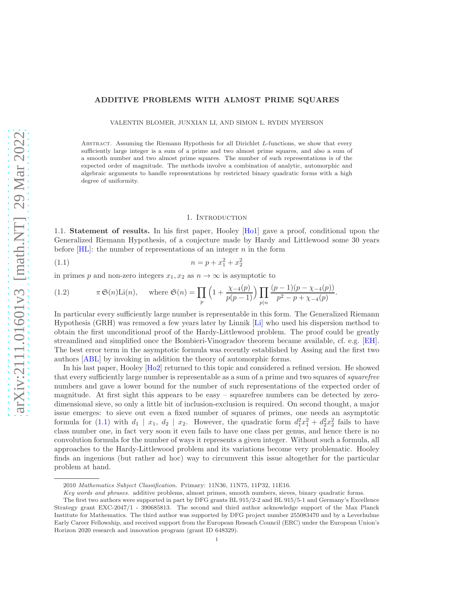# ADDITIVE PROBLEMS WITH ALMOST PRIME SQUARES

VALENTIN BLOMER, JUNXIAN LI, AND SIMON L. RYDIN MYERSON

Abstract. Assuming the Riemann Hypothesis for all Dirichlet L-functions, we show that every sufficiently large integer is a sum of a prime and two almost prime squares, and also a sum of a smooth number and two almost prime squares. The number of such representations is of the expected order of magnitude. The methods involve a combination of analytic, automorphic and algebraic arguments to handle representations by restricted binary quadratic forms with a high degree of uniformity.

#### 1. INTRODUCTION

1.1. Statement of results. In his first paper, Hooley [\[Ho1\]](#page-37-0) gave a proof, conditional upon the Generalized Riemann Hypothesis, of a conjecture made by Hardy and Littlewood some 30 years before  $[HL]$ : the number of representations of an integer n in the form

<span id="page-0-0"></span>
$$
(1.1) \t\t n = p + x_1^2 + x_2^2
$$

in primes p and non-zero integers  $x_1, x_2$  as  $n \to \infty$  is asymptotic to

<span id="page-0-1"></span>(1.2) 
$$
\pi \mathfrak{S}(n) \text{Li}(n), \quad \text{where } \mathfrak{S}(n) = \prod_{p} \left(1 + \frac{\chi_{-4}(p)}{p(p-1)}\right) \prod_{p|n} \frac{(p-1)(p-\chi_{-4}(p))}{p^2 - p + \chi_{-4}(p)}.
$$

In particular every sufficiently large number is representable in this form. The Generalized Riemann Hypothesis (GRH) was removed a few years later by Linnik [\[Li\]](#page-37-2) who used his dispersion method to obtain the first unconditional proof of the Hardy-Littlewood problem. The proof could be greatly streamlined and simplified once the Bombieri-Vinogradov theorem became available, cf. e.g. [\[EH\]](#page-37-3). The best error term in the asymptotic formula was recently established by Assing and the first two authors [\[ABL\]](#page-37-4) by invoking in addition the theory of automorphic forms.

In his last paper, Hooley [\[Ho2\]](#page-37-5) returned to this topic and considered a refined version. He showed that every sufficiently large number is representable as a sum of a prime and two squares of *squarefree* numbers and gave a lower bound for the number of such representations of the expected order of magnitude. At first sight this appears to be easy – squarefree numbers can be detected by zerodimensional sieve, so only a little bit of inclusion-exclusion is required. On second thought, a major issue emerges: to sieve out even a fixed number of squares of primes, one needs an asymptotic formula for [\(1.1\)](#page-0-0) with  $d_1 | x_1, d_2 | x_2$ . However, the quadratic form  $d_1^2x_1^2 + d_2^2x_2^2$  fails to have class number one, in fact very soon it even fails to have one class per genus, and hence there is no convolution formula for the number of ways it represents a given integer. Without such a formula, all approaches to the Hardy-Littlewood problem and its variations become very problematic. Hooley finds an ingenious (but rather ad hoc) way to circumvent this issue altogether for the particular problem at hand.

<sup>2010</sup> *Mathematics Subject Classification.* Primary: 11N36, 11N75, 11P32, 11E16.

*Key words and phrases.* additive problems, almost primes, smooth numbers, sieves, binary quadratic forms.

The first two authors were supported in part by DFG grants BL 915/2-2 and BL 915/5-1 and Germany's Excellence Strategy grant EXC-2047/1 - 390685813. The second and third author acknowledge support of the Max Planck Institute for Mathematics. The third author was supported by DFG project number 255083470 and by a Leverhulme Early Career Fellowship, and received support from the European Reseach Council (ERC) under the European Union's Horizon 2020 research and innovation program (grant ID 648329).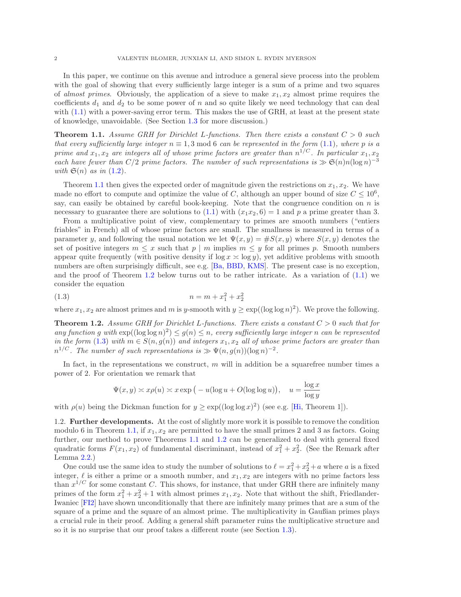In this paper, we continue on this avenue and introduce a general sieve process into the problem with the goal of showing that every sufficiently large integer is a sum of a prime and two squares of almost primes. Obviously, the application of a sieve to make  $x_1, x_2$  almost prime requires the coefficients  $d_1$  and  $d_2$  to be some power of n and so quite likely we need technology that can deal with  $(1.1)$  with a power-saving error term. This makes the use of GRH, at least at the present state of knowledge, unavoidable. (See Section [1.3](#page-2-0) for more discussion.)

<span id="page-1-0"></span>**Theorem 1.1.** Assume GRH for Dirichlet L-functions. Then there exists a constant  $C > 0$  such that every sufficiently large integer  $n \equiv 1, 3 \mod 6$  can be represented in the form [\(1.1\)](#page-0-0), where p is a prime and  $x_1, x_2$  are integers all of whose prime factors are greater than  $n^{1/C}$ . In particular  $x_1, x_2$ each have fewer than  $C/2$  prime factors. The number of such representations is  $\gg \mathfrak{S}(n)n(\log n)^{-3}$ with  $\mathfrak{S}(n)$  as in  $(1.2)$ .

Theorem [1.1](#page-1-0) then gives the expected order of magnitude given the restrictions on  $x_1, x_2$ . We have made no effort to compute and optimize the value of C, although an upper bound of size  $C \leq 10^6$ , say, can easily be obtained by careful book-keeping. Note that the congruence condition on  $n$  is necessary to guarantee there are solutions to  $(1.1)$  with  $(x_1x_2, 6) = 1$  and p a prime greater than 3.

From a multiplicative point of view, complementary to primes are smooth numbers ("entiers friables" in French) all of whose prime factors are small. The smallness is measured in terms of a parameter y, and following the usual notation we let  $\Psi(x, y) = \#S(x, y)$  where  $S(x, y)$  denotes the set of positive integers  $m \leq x$  such that  $p \mid m$  implies  $m \leq y$  for all primes p. Smooth numbers appear quite frequently (with positive density if  $\log x \approx \log y$ ), yet additive problems with smooth numbers are often surprisingly difficult, see e.g. [\[Ba,](#page-37-6) [BBD,](#page-37-7) [KMS\]](#page-37-8). The present case is no exception, and the proof of Theorem [1.2](#page-1-1) below turns out to be rather intricate. As a variation of  $(1.1)$  we consider the equation

<span id="page-1-2"></span>
$$
(1.3) \t\t n = m + x_1^2 + x_2^2
$$

where  $x_1, x_2$  are almost primes and m is y-smooth with  $y \ge \exp((\log \log n)^2)$ . We prove the following.

<span id="page-1-1"></span>**Theorem 1.2.** Assume GRH for Dirichlet L-functions. There exists a constant  $C > 0$  such that for any function g with  $\exp((\log \log n)^2) \leq g(n) \leq n$ , every sufficiently large integer n can be represented in the form [\(1.3\)](#page-1-2) with  $m \in S(n, g(n))$  and integers  $x_1, x_2$  all of whose prime factors are greater than  $n^{1/C}$ . The number of such representations is  $\gg \Psi(n, g(n))(\log n)^{-2}$ .

In fact, in the representations we construct,  $m$  will in addition be a squarefree number times a power of 2. For orientation we remark that

$$
\Psi(x, y) \asymp x \rho(u) \asymp x \exp\big(-u(\log u + O(\log \log u)\big), \quad u = \frac{\log x}{\log y}
$$

with  $\rho(u)$  being the Dickman function for  $y \ge \exp((\log \log x)^2)$  (see e.g. [\[Hi,](#page-37-9) Theorem 1]).

1.2. Further developments. At the cost of slightly more work it is possible to remove the condition modulo 6 in Theorem [1.1,](#page-1-0) if  $x_1, x_2$  are permitted to have the small primes 2 and 3 as factors. Going further, our method to prove Theorems [1.1](#page-1-0) and [1.2](#page-1-1) can be generalized to deal with general fixed quadratic forms  $F(x_1, x_2)$  of fundamental discriminant, instead of  $x_1^2 + x_2^2$ . (See the Remark after Lemma [2.2.](#page-4-0))

One could use the same idea to study the number of solutions to  $\ell = x_1^2 + x_2^2 + a$  where a is a fixed integer,  $\ell$  is either a prime or a smooth number, and  $x_1, x_2$  are integers with no prime factors less than  $x^{1/C}$  for some constant C. This shows, for instance, that under GRH there are infinitely many primes of the form  $x_1^2 + x_2^2 + 1$  with almost primes  $x_1, x_2$ . Note that without the shift, Friedlander-Iwaniec [\[FI2\]](#page-37-10) have shown unconditionally that there are infinitely many primes that are a sum of the square of a prime and the square of an almost prime. The multiplicativity in Gaußian primes plays a crucial rule in their proof. Adding a general shift parameter ruins the multiplicative structure and so it is no surprise that our proof takes a different route (see Section [1.3\)](#page-2-0).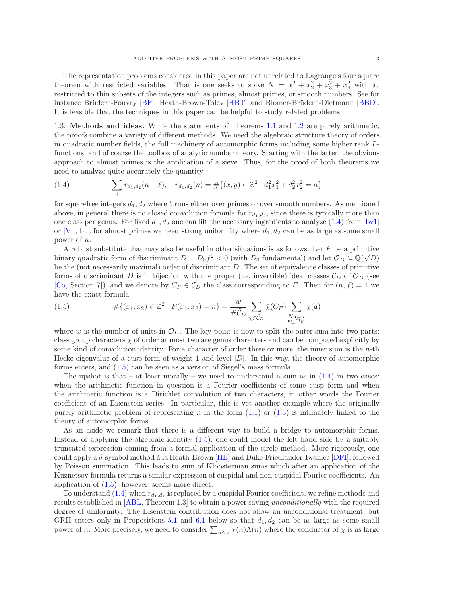The representation problems considered in this paper are not unrelated to Lagrange's four square theorem with restricted variables. That is one seeks to solve  $N = x_1^2 + x_2^2 + x_3^2 + x_4^2$  with  $x_i$ restricted to thin subsets of the integers such as primes, almost primes, or smooth numbers. See for instance Brüdern-Fouvry [\[BF\]](#page-37-11), Heath-Brown-Tolev [\[HBT\]](#page-37-12) and Blomer-Brüdern-Dietmann [\[BBD\]](#page-37-7). It is feasible that the techniques in this paper can be helpful to study related problems.

<span id="page-2-0"></span>1.3. Methods and ideas. While the statements of Theorems [1.1](#page-1-0) and [1.2](#page-1-1) are purely arithmetic, the proofs combine a variety of different methods. We need the algebraic structure theory of orders in quadratic number fields, the full machinery of automorphic forms including some higher rank Lfunctions, and of course the toolbox of analytic number theory. Starting with the latter, the obvious approach to almost primes is the application of a sieve. Thus, for the proof of both theorems we need to analyze quite accurately the quantity

<span id="page-2-1"></span>(1.4) 
$$
\sum_{\ell} r_{d_1,d_2}(n-\ell), \quad r_{d_1,d_2}(n) = \#\{(x,y) \in \mathbb{Z}^2 \mid d_1^2 x_1^2 + d_2^2 x_2^2 = n\}
$$

for squarefree integers  $d_1, d_2$  where  $\ell$  runs either over primes or over smooth numbers. As mentioned above, in general there is no closed convolution formula for  $r_{d_1,d_2}$ , since there is typically more than one class per genus. For fixed  $d_1, d_2$  one can lift the necessary ingredients to analyze [\(1.4\)](#page-2-1) from [\[Iw1\]](#page-37-13) or [\[Vi\]](#page-37-14), but for almost primes we need strong uniformity where  $d_1, d_2$  can be as large as some small power of n.

A robust substitute that may also be useful in other situations is as follows. Let  $F$  be a primitive binary quadratic form of discriminant  $D = D_0 f^2 < 0$  (with  $D_0$  fundamental) and let  $\mathcal{O}_D \subseteq \mathbb{Q}(\sqrt{D})$ be the (not necessarily maximal) order of discriminant D. The set of equivalence classes of primitive forms of discriminant D is in bijection with the proper (i.e. invertible) ideal classes  $\mathcal{C}_D$  of  $\mathcal{O}_D$  (see [\[Co,](#page-37-15) Section 7]), and we denote by  $C_F \in \mathcal{C}_D$  the class corresponding to F. Then for  $(n, f) = 1$  we have the exact formula

<span id="page-2-2"></span>(1.5) 
$$
\#\{(x_1, x_2) \in \mathbb{Z}^2 \mid F(x_1, x_2) = n\} = \frac{w}{\#\widehat{\mathcal{C}}_D} \sum_{\chi \in \widehat{\mathcal{C}}_D} \bar{\chi}(C_F) \sum_{\substack{N\mathfrak{a} = n \\ \mathfrak{a} \subseteq \mathcal{O}_K}} \chi(\mathfrak{a})
$$

where w is the number of units in  $\mathcal{O}_D$ . The key point is now to split the outer sum into two parts: class group characters  $\chi$  of order at most two are genus characters and can be computed explicitly by some kind of convolution identity. For a character of order three or more, the inner sum is the  $n$ -th Hecke eigenvalue of a cusp form of weight 1 and level  $|D|$ . In this way, the theory of automorphic forms enters, and [\(1.5\)](#page-2-2) can be seen as a version of Siegel's mass formula.

The upshot is that – at least morally – we need to understand a sum as in  $(1.4)$  in two cases: when the arithmetic function in question is a Fourier coefficients of some cusp form and when the arithmetic function is a Dirichlet convolution of two characters, in other words the Fourier coefficient of an Eisenstein series. In particular, this is yet another example where the originally purely arithmetic problem of representing n in the form  $(1.1)$  or  $(1.3)$  is intimately linked to the theory of automorphic forms.

As an aside we remark that there is a different way to build a bridge to automorphic forms. Instead of applying the algebraic identity [\(1.5\)](#page-2-2), one could model the left hand side by a suitably truncated expression coming from a formal application of the circle method. More rigorously, one could apply a  $\delta$ -symbol method à la Heath-Brown [\[HB\]](#page-37-16) and Duke-Friedlander-Iwaniec [\[DFI\]](#page-37-17), followed by Poisson summation. This leads to sum of Kloosterman sums which after an application of the Kuznetsov formula returns a similar expression of cuspidal and non-cuspidal Fourier coefficients. An application of [\(1.5\)](#page-2-2), however, seems more direct.

To understand [\(1.4\)](#page-2-1) when  $r_{d_1,d_2}$  is replaced by a cuspidal Fourier coefficient, we refine methods and results established in [\[ABL,](#page-37-4) Theorem 1.3] to obtain a power saving unconditionally with the required degree of uniformity. The Eisenstein contribution does not allow an unconditional treatment, but GRH enters only in Propositions [5.1](#page-13-0) and [6.1](#page-18-0) below so that  $d_1, d_2$  can be as large as some small power of n. More precisely, we need to consider  $\sum_{n\leq x}\chi(n)\Lambda(n)$  where the conductor of  $\chi$  is as large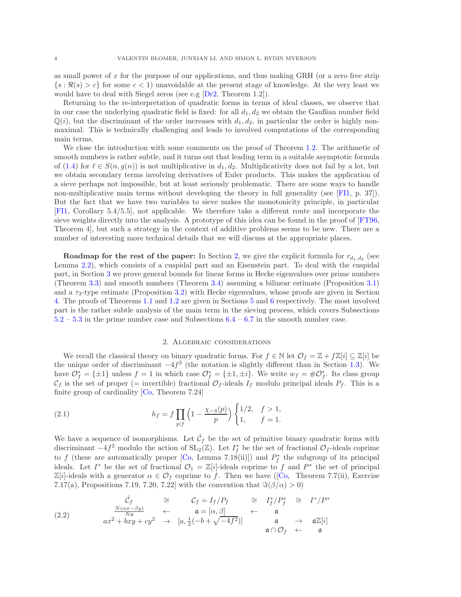as small power of x for the purpose of our applications, and thus making GRH (or a zero free strip  $\{s : \Re(s) > c\}$  for some  $c < 1$ ) unavoidable at the present stage of knowledge. At the very least we would have to deal with Siegel zeros (see e.g [\[Dr2,](#page-37-18) Theorem 1.2]).

Returning to the re-interpretation of quadratic forms in terms of ideal classes, we observe that in our case the underlying quadratic field is fixed: for all  $d_1, d_2$  we obtain the Gaußian number field  $\mathbb{Q}(i)$ , but the discriminant of the order increases with  $d_1, d_2$ , in particular the order is highly nonmaximal. This is technically challenging and leads to involved computations of the corresponding main terms.

We close the introduction with some comments on the proof of Theorem [1.2.](#page-1-1) The arithmetic of smooth numbers is rather subtle, and it turns out that leading term in a suitable asymptotic formula of [\(1.4\)](#page-2-1) for  $\ell \in S(n, g(n))$  is not multiplicative in  $d_1, d_2$ . Multiplicativity does not fail by a lot, but we obtain secondary terms involving derivatives of Euler products. This makes the application of a sieve perhaps not impossible, but at least seriously problematic. There are some ways to handle non-multiplicative main terms without developing the theory in full generality (see [\[FI1,](#page-37-19) p. 37]). But the fact that we have two variables to sieve makes the monotonicity principle, in particular [\[FI1,](#page-37-19) Corollary 5.4/5.5], not applicable. We therefore take a different route and incorporate the sieve weights directly into the analysis. A prototype of this idea can be found in the proof of [\[FT96,](#page-37-20) Theorem 4], but such a strategy in the context of additive problems seems to be new. There are a number of interesting more technical details that we will discuss at the appropriate places.

**Roadmap for the rest of the paper:** In Section [2,](#page-3-0) we give the explicit formula for  $r_{d_1,d_2}$  (see Lemma [2.2\)](#page-4-0), which consists of a cuspidal part and an Eisenstein part. To deal with the cuspidal part, in Section [3](#page-6-0) we prove general bounds for linear forms in Hecke eigenvalues over prime numbers (Theorem [3.3\)](#page-6-1) and smooth numbers (Theorem [3.4\)](#page-7-0) assuming a bilinear estimate (Proposition [3.1\)](#page-6-2) and a  $\tau_3$ -type estimate (Proposition [3.2\)](#page-6-3) with Hecke eigenvalues, whose proofs are given in Section [4.](#page-10-0) The proofs of Theorems [1.1](#page-1-0) and [1.2](#page-1-1) are given in Sections [5](#page-13-1) and [6](#page-18-1) respectively. The most involved part is the rather subtle analysis of the main term in the sieving process, which covers Subsections  $5.2 - 5.3$  $5.2 - 5.3$  $5.2 - 5.3$  in the prime number case and Subsections  $6.4 - 6.7$  $6.4 - 6.7$  $6.4 - 6.7$  in the smooth number case.

#### 2. Algebraic considerations

<span id="page-3-0"></span>We recall the classical theory on binary quadratic forms. For  $f \in \mathbb{N}$  let  $\mathcal{O}_f = \mathbb{Z} + f\mathbb{Z}[i] \subseteq \mathbb{Z}[i]$  be the unique order of discriminant  $-4f^2$  (the notation is slightly different than in Section [1.3\)](#page-2-0). We have  $\mathcal{O}_f^* = \{\pm 1\}$  unless  $f = 1$  in which case  $\mathcal{O}_f^* = \{\pm 1, \pm i\}$ . We write  $w_f = \#\mathcal{O}_f^*$ . Its class group  $\mathcal{C}_f$  is the set of proper (= invertible) fractional  $\mathcal{O}_f$ -ideals  $I_f$  modulo principal ideals  $P_f$ . This is a finite group of cardinality [\[Co,](#page-37-15) Theorem 7.24]

<span id="page-3-2"></span>(2.1) 
$$
h_f = f \prod_{p \mid f} \left( 1 - \frac{\chi_{-4}(p)}{p} \right) \begin{cases} 1/2, & f > 1, \\ 1, & f = 1. \end{cases}
$$

We have a sequence of isomorphisms. Let  $\tilde{\mathcal{C}}_f$  be the set of primitive binary quadratic forms with discriminant  $-4f^2$  modulo the action of  $SL_2(\mathbb{Z})$ . Let  $I_f^*$  be the set of fractional  $\mathcal{O}_f$ -ideals coprime to f (these are automatically proper [\[Co,](#page-37-15) Lemma 7.18(ii)]) and  $P_f^*$  the subgroup of its principal ideals. Let  $I^*$  be the set of fractional  $\mathcal{O}_1 = \mathbb{Z}[i]$ -ideals coprime to f and  $P^*$  the set of principal  $\mathbb{Z}[i]$ -ideals with a generator  $\alpha \in \mathcal{O}_f$  coprime to f. Then we have ([\[Co,](#page-37-15) Theorem 7.7(ii), Exercise 7.17(a), Propositions 7.19, 7.20, 7.22] with the convention that  $\Im(\beta/\alpha) > 0$ 

<span id="page-3-1"></span>(2.2) 
$$
\begin{array}{ccccccccc}\n\tilde{C}_f & \cong & C_f = I_f/P_f & \cong & I_f^*/P_f^* & \cong & I^*/P^*\\
\frac{N(\alpha x - \beta y)}{N \mathfrak{a}} & \leftarrow & \mathfrak{a} = [\alpha, \beta] & \leftarrow & \mathfrak{a}\\
ax^2 + bxy + cy^2 & \rightarrow & [a, \frac{1}{2}(-b + \sqrt{-4f^2})] & \mathfrak{a} & \rightarrow & \mathfrak{a}\mathbb{Z}[i]\\
\mathfrak{a} \cap \mathcal{O}_f & \leftarrow & \mathfrak{a}\n\end{array}
$$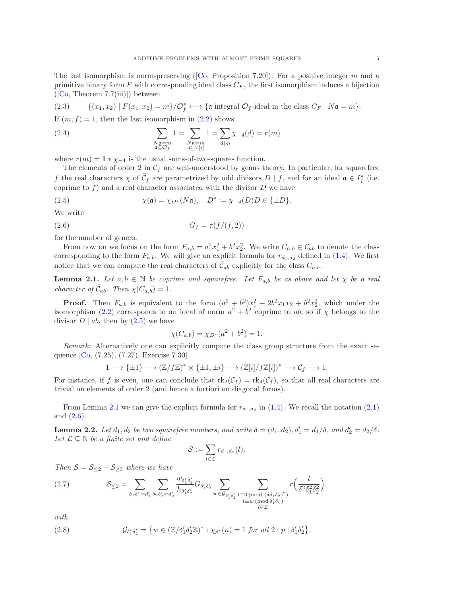The last isomorphism is norm-preserving ( $[Co, Proposition 7.20]$  $[Co, Proposition 7.20]$ ). For a positive integer m and a primitive binary form F with corresponding ideal class  $C_F$ , the first isomorphism induces a bijection  $([Co, Theorem 7.7(iii)])$  $([Co, Theorem 7.7(iii)])$  $([Co, Theorem 7.7(iii)])$  between

<span id="page-4-4"></span>(2.3) 
$$
\{(x_1, x_2) | F(x_1, x_2) = m\}/\mathcal{O}_f^* \longleftrightarrow \{\text{a integral } \mathcal{O}_f\text{-ideal in the class } C_F | N\mathfrak{a} = m\}.
$$

If  $(m, f) = 1$ , then the last isomorphism in  $(2.2)$  shows

<span id="page-4-5"></span>(2.4) 
$$
\sum_{\substack{N\mathfrak{a}=m\\ \mathfrak{a}\subseteq \mathcal{O}_f}}1=\sum_{\substack{N\mathfrak{a}=m\\ \mathfrak{a}\subseteq \mathbb{Z}[i]}}1=\sum_{d|m}\chi_{-4}(d)=r(m)
$$

where  $r(m) = 1 * \chi_{-4}$  is the usual sums-of-two-squares function.

The elements of order 2 in  $C_f$  are well-understood by genus theory. In particular, for squarefree f the real characters  $\chi$  of  $\mathcal{C}_f$  are parametrized by odd divisors  $D | f$ , and for an ideal  $\mathfrak{a} \in I_f^*$  (i.e. coprime to f) and a real character associated with the divisor  $D$  we have

<span id="page-4-1"></span>(2.5) 
$$
\chi(\mathfrak{a}) = \chi_{D^*}(N\mathfrak{a}), \quad D^* := \chi_{-4}(D)D \in \{\pm D\}.
$$

We write

<span id="page-4-3"></span>
$$
(2.6)\qquad \qquad G_f = \tau(f/(f,2))
$$

for the number of genera.

From now on we focus on the form  $F_{a,b} = a^2x_1^2 + b^2x_2^2$ . We write  $C_{a,b} \in \mathcal{C}_{ab}$  to denote the class corresponding to the form  $F_{a,b}$ . We will give an explicit formula for  $r_{d_1,d_2}$  defined in [\(1.4\)](#page-2-1). We first notice that we can compute the real characters of  $\tilde{\mathcal{C}}_{ab}$  explicitly for the class  $C_{a,b}$ .

<span id="page-4-2"></span>**Lemma 2.1.** Let  $a, b \in \mathbb{N}$  be coprime and squarefree. Let  $F_{a,b}$  be as above and let  $\chi$  be a real character of  $\tilde{\mathcal{C}}_{ab}$ . Then  $\chi(C_{a,b}) = 1$ .

**Proof.** Then  $F_{a,b}$  is equivalent to the form  $(a^2 + b^2)x_1^2 + 2b^2x_1x_2 + b^2x_2^2$ , which under the isomorphism [\(2.2\)](#page-3-1) corresponds to an ideal of norm  $a^2 + b^2$  coprime to ab, so if  $\chi$  belongs to the divisor  $D | ab$ , then by  $(2.5)$  we have

$$
\chi(C_{a,b}) = \chi_{D^*}(a^2 + b^2) = 1.
$$

Remark: Alternatively one can explicitly compute the class group structure from the exact sequence [\[Co,](#page-37-15) (7.25), (7.27), Exercise 7.30]

$$
1 \longrightarrow {\pm 1} \longrightarrow (\mathbb{Z}/f\mathbb{Z})^* \times {\pm 1}, \pm i \} \longrightarrow (\mathbb{Z}[i]/f\mathbb{Z}[i])^* \longrightarrow C_f \longrightarrow 1.
$$

For instance, if f is even, one can conclude that  $\text{rk}_2(\mathcal{C}_f) = \text{rk}_4(\mathcal{C}_f)$ , so that all real characters are trivial on elements of order 2 (and hence a fortiori on diagonal forms).

From Lemma [2.1](#page-4-2) we can give the explicit formula for  $r_{d_1,d_2}$  in [\(1.4\)](#page-2-1). We recall the notation [\(2.1\)](#page-3-2) and [\(2.6\)](#page-4-3).

<span id="page-4-0"></span>**Lemma 2.2.** Let  $d_1, d_2$  be two squarefree numbers, and write  $\delta = (d_1, d_2), d'_1 = d_1/\delta$ , and  $d'_2 = d_2/\delta$ . Let  $\mathcal{L} \subseteq \mathbb{N}$  be a finite set and define

$$
\mathcal{S}:=\sum_{l\in\mathcal{L}}r_{d_1,d_2}(l).
$$

Then  $S = S_{\leq 2} + S_{\geq 3}$  where we have

<span id="page-4-6"></span>(2.7) 
$$
\mathcal{S}_{\leq 2} = \sum_{\delta_1 \delta_1' = d_1'} \sum_{\delta_2 \delta_2' = d_2'} \frac{w_{\delta_1' \delta_2'}}{h_{\delta_1' \delta_2'}} G_{\delta_1' \delta_2'} \sum_{w \in \mathcal{G}_{\delta_1' \delta_2'}} \sum_{\substack{l \equiv 0 \pmod{(\delta \delta_1 \delta_2)^2} \\ l \equiv w \pmod{\delta_1' \delta_2'}}} r\left(\frac{l}{\delta^2 \delta_1^2 \delta_2^2}\right).
$$

with

<span id="page-4-7"></span>(2.8) 
$$
\mathcal{G}_{\delta'_1 \delta'_2} = \{ w \in (\mathbb{Z}/\delta'_1 \delta'_2 \mathbb{Z})^* : \chi_{p^*}(n) = 1 \text{ for all } 2 \nmid p \mid \delta'_1 \delta'_2 \},
$$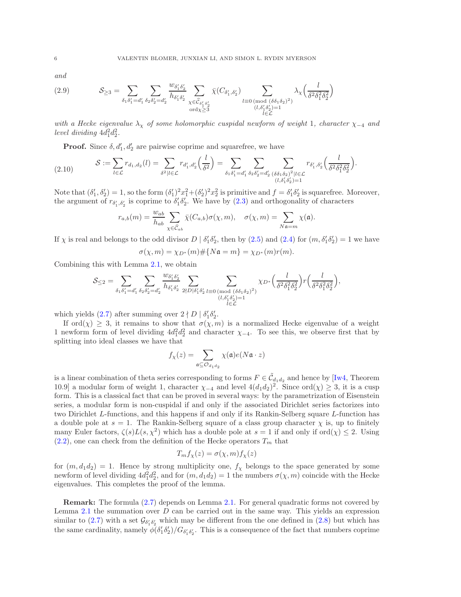and

<span id="page-5-1"></span>(2.9) 
$$
\mathcal{S}_{\geq 3} = \sum_{\delta_1 \delta_1' = d_1'} \sum_{\delta_2 \delta_2' = d_2'} \frac{w_{\delta_1' \delta_2'}}{h_{\delta_1' \delta_2'}} \sum_{\substack{\chi \in \widehat{\mathcal{C}}_{\delta_1' \delta_2'} \\ \text{ord}\chi \geq 3}} \bar{\chi}(C_{\delta_1', \delta_2'}) \sum_{\substack{l \equiv 0 \pmod{(\delta \delta_1 \delta_2)^2} \\ (l, \delta_1' \delta_2') = 1}} \lambda_{\chi} \left(\frac{l}{\delta^2 \delta_1^2 \delta_2^2}\right)
$$

with a Hecke eigenvalue  $\lambda_{\chi}$  of some holomorphic cuspidal newform of weight 1, character  $\chi_{-4}$  and level dividing  $4d_1^2d_2^2$ .

**Proof.** Since  $\delta, d'_1, d'_2$  are pairwise coprime and squarefree, we have

<span id="page-5-0"></span>
$$
(2.10) \t\t S := \sum_{l \in \mathcal{L}} r_{d_1, d_2}(l) = \sum_{\delta^2 \mid l \in \mathcal{L}} r_{d'_1, d'_2}\left(\frac{l}{\delta^2}\right) = \sum_{\delta_1 \delta'_1 = d'_1} \sum_{\delta_2 \delta'_2 = d'_2} \sum_{\substack{(\delta \delta_1 \delta_2)^2 \mid l \in \mathcal{L} \\ (l, \delta'_1 \delta'_2) = 1}} r_{\delta'_1, \delta'_2}\left(\frac{l}{\delta^2 \delta_1^2 \delta_2^2}\right).
$$

Note that  $(\delta'_1, \delta'_2) = 1$ , so the form  $(\delta'_1)^2 x_1^2 + (\delta'_2)^2 x_2^2$  is primitive and  $f = \delta'_1 \delta'_2$  is squarefree. Moreover, the argument of  $r_{\delta'_1,\delta'_2}$  is coprime to  $\delta'_1\delta'_2$ . We have by  $(2.3)$  and orthogonality of characters

$$
r_{a,b}(m) = \frac{w_{ab}}{h_{ab}} \sum_{\chi \in \widehat{\mathcal{C}}_{ab}} \bar{\chi}(C_{a,b}) \sigma(\chi, m), \quad \sigma(\chi, m) = \sum_{N \mathfrak{a} = m} \chi(\mathfrak{a}).
$$

If  $\chi$  is real and belongs to the odd divisor  $D | \delta'_1 \delta'_2$ , then by [\(2.5\)](#page-4-1) and [\(2.4\)](#page-4-5) for  $(m, \delta'_1 \delta'_2) = 1$  we have

$$
\sigma(\chi, m) = \chi_{D^*}(m) \# \{ N \mathfrak{a} = m \} = \chi_{D^*}(m) r(m).
$$

Combining this with Lemma [2.1,](#page-4-2) we obtain

$$
\mathcal{S}_{\leq 2} = \sum_{\delta_1\delta_1'=d_1'}\sum_{\delta_2\delta_2'=d_2'}\frac{w_{\delta_1'\delta_2'}}{h_{\delta_1'\delta_2'}}\sum_{2\nmid D|\delta_1'\delta_2'}\sum_{l\equiv 0\,(\text{mod }\,(\delta\delta_1\delta_2)^2)\atop(l,\delta_1'\delta_2')=1}\chi_{D^*}\Big(\frac{l}{\delta^2\delta_1^2\delta_2^2}\Big)r\Big(\frac{l}{\delta^2\delta_1^2\delta_2^2}\Big),
$$

which yields  $(2.7)$  after summing over  $2 \nmid D \mid \delta'_1 \delta'_2$ .

If ord $(\chi) \geq 3$ , it remains to show that  $\sigma(\chi, m)$  is a normalized Hecke eigenvalue of a weight 1 newform form of level dividing  $4d_1^2d_2^2$  and character  $\chi_{-4}$ . To see this, we observe first that by splitting into ideal classes we have that

$$
f_{\chi}(z)=\sum_{\mathfrak{a}\subseteq\mathcal{O}_{d_1d_2}}\chi(\mathfrak{a})e(N\mathfrak{a}\cdot z)
$$

is a linear combination of theta series corresponding to forms  $F \in \tilde{C}_{d_1 d_2}$  and hence by [\[Iw4,](#page-37-21) Theorem 10.9] a modular form of weight 1, character  $\chi_{-4}$  and level  $4(d_1d_2)^2$ . Since  $\text{ord}(\chi) \geq 3$ , it is a cusp form. This is a classical fact that can be proved in several ways: by the parametrization of Eisenstein series, a modular form is non-cuspidal if and only if the associated Dirichlet series factorizes into two Dirichlet L-functions, and this happens if and only if its Rankin-Selberg square L-function has a double pole at  $s = 1$ . The Rankin-Selberg square of a class group character  $\chi$  is, up to finitely many Euler factors,  $\zeta(s)L(s,\chi^2)$  which has a double pole at  $s=1$  if and only if ord $(\chi) \leq 2$ . Using  $(2.2)$ , one can check from the definition of the Hecke operators  $T_m$  that

$$
T_m f_\chi(z) = \sigma(\chi, m) f_\chi(z)
$$

for  $(m, d_1 d_2) = 1$ . Hence by strong multiplicity one,  $f_\chi$  belongs to the space generated by some newform of level dividing  $4d_1^2d_2^2$ , and for  $(m, d_1d_2) = 1$  the numbers  $\sigma(\chi, m)$  coincide with the Hecke eigenvalues. This completes the proof of the lemma.

Remark: The formula [\(2.7\)](#page-4-6) depends on Lemma [2.1.](#page-4-2) For general quadratic forms not covered by Lemma [2.1](#page-4-2) the summation over  $D$  can be carried out in the same way. This yields an expression similar to [\(2.7\)](#page-4-6) with a set  $\mathcal{G}_{\delta'_1 \delta'_2}$  which may be different from the one defined in [\(2.8\)](#page-4-7) but which has the same cardinality, namely  $\phi(\delta'_1 \delta'_2)/G_{\delta'_1 \delta'_2}$ . This is a consequence of the fact that numbers coprime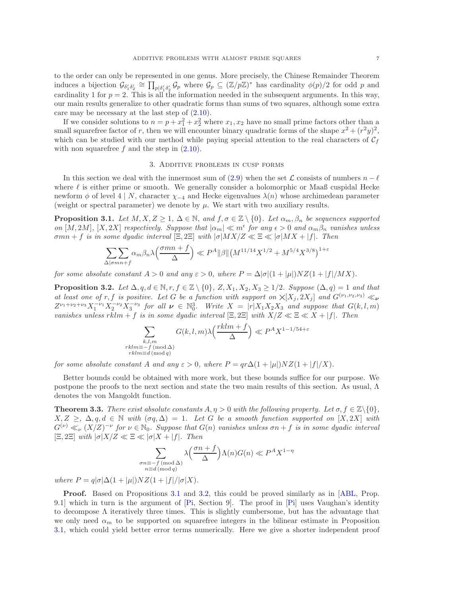to the order can only be represented in one genus. More precisely, the Chinese Remainder Theorem induces a bijection  $\mathcal{G}_{\delta'_1 \delta'_2} \cong \prod_{p | \delta'_1 \delta'_2} \mathcal{G}_p$  where  $\mathcal{G}_p \subseteq (\mathbb{Z}/p\mathbb{Z})^*$  has cardinality  $\phi(p)/2$  for odd p and cardinality 1 for  $p = 2$ . This is all the information needed in the subsequent arguments. In this way, our main results generalize to other quadratic forms than sums of two squares, although some extra care may be necessary at the last step of [\(2.10\)](#page-5-0).

If we consider solutions to  $n = p + x_1^2 + x_2^2$  where  $x_1, x_2$  have no small prime factors other than a small squarefree factor of r, then we will encounter binary quadratic forms of the shape  $x^2 + (r^2y)^2$ , which can be studied with our method while paying special attention to the real characters of  $C_f$ with non squarefree  $f$  and the step in  $(2.10)$ .

#### 3. Additive problems in cusp forms

<span id="page-6-0"></span>In this section we deal with the innermost sum of [\(2.9\)](#page-5-1) when the set  $\mathcal L$  consists of numbers  $n - \ell$ where  $\ell$  is either prime or smooth. We generally consider a holomorphic or Maaß cuspidal Hecke newform  $\phi$  of level 4 | N, character  $\chi_{-4}$  and Hecke eigenvalues  $\lambda(n)$  whose archimedean parameter (weight or spectral parameter) we denote by  $\mu$ . We start with two auxiliary results.

<span id="page-6-2"></span>**Proposition 3.1.** Let  $M, X, Z \geq 1, \Delta \in \mathbb{N}$ , and  $f, \sigma \in \mathbb{Z} \setminus \{0\}$ . Let  $\alpha_m, \beta_n$  be sequences supported on  $[M, 2M]$ ,  $[X, 2X]$  respectively. Suppose that  $|\alpha_m| \ll m^{\epsilon}$  for any  $\epsilon > 0$  and  $\alpha_m \beta_n$  vanishes unless  $\sigma mn + f$  is in some dyadic interval  $[\Xi, 2\Xi]$  with  $|\sigma|$ MX/ $Z \ll \Xi \ll |\sigma|$ MX + |f|. Then

$$
\sum_{\Delta \mid \sigma mn + f} \alpha_m \beta_n \lambda \left( \frac{\sigma mn + f}{\Delta} \right) \ll P^A ||\beta|| \left( M^{11/14} X^{1/2} + M^{5/4} X^{3/8} \right)^{1+\epsilon}
$$

for some absolute constant  $A > 0$  and any  $\varepsilon > 0$ , where  $P = \Delta |\sigma|(1 + |\mu|)NZ(1 + |f|/MX)$ .

<span id="page-6-3"></span>**Proposition 3.2.** Let  $\Delta, q, d \in \mathbb{N}, r, f \in \mathbb{Z} \setminus \{0\}, Z, X_1, X_2, X_3 \geq 1/2$ . Suppose  $(\Delta, q) = 1$  and that at least one of r, f is positive. Let G be a function with support on  $\chi[X_i, 2X_i]$  and  $G^{(\nu_1,\nu_2,\nu_3)} \ll_{\nu}$  $Z^{\nu_1+\nu_2+\nu_3}X_1^{-\nu_1}X_2^{-\nu_2}X_3^{-\nu_3}$  for all  $\nu \in \mathbb{N}_0^3$ . Write  $X = |r|X_1X_2X_3$  and suppose that  $G(k, l, m)$ vanishes unless rklm + f is in some dyadic interval  $[\Xi, 2\Xi]$  with  $X/Z \ll \Xi \ll X + |f|$ . Then

$$
\sum_{\substack{k,l,m\\rklm\equiv -f\,(\text{mod }\Delta)\\rklm\equiv d\,(\text{mod }q)}}G(k,l,m)\lambda\left(\frac{rklm+f}{\Delta}\right)\ll P^AX^{1-1/54+\varepsilon}
$$

for some absolute constant A and any  $\varepsilon > 0$ , where  $P = \frac{qr\Delta(1+|\mu|)NZ(1+|f|/X)}{q}$ .

Better bounds could be obtained with more work, but these bounds suffice for our purpose. We postpone the proofs to the next section and state the two main results of this section. As usual, Λ denotes the von Mangoldt function.

<span id="page-6-1"></span>**Theorem 3.3.** There exist absolute constants  $A, \eta > 0$  with the following property. Let  $\sigma, f \in \mathbb{Z}\backslash\{0\}$ ,  $X, Z \geq, \Delta, q, d \in \mathbb{N}$  with  $(\sigma q, \Delta) = 1$ . Let G be a smooth function supported on [X, 2X] with  $G^{(\nu)} \ll_{\nu} (X/Z)^{-\nu}$  for  $\nu \in \mathbb{N}_0$ . Suppose that  $G(n)$  vanishes unless  $\sigma n + f$  is in some dyadic interval  $[\Xi, 2\Xi]$  with  $|\sigma|X/Z \ll \Xi \ll |\sigma|X + |f|$ . Then

$$
\sum_{\substack{\sigma n \equiv -f \pmod{\Delta} \\ n \equiv d \pmod{q}}} \lambda \left(\frac{\sigma n + f}{\Delta}\right) \Lambda(n) G(n) \ll P^A X^{1-\eta}
$$

where  $P = q|\sigma|\Delta(1+|\mu|)NZ(1+|f|/|\sigma|X)$ .

Proof. Based on Propositions [3.1](#page-6-2) and [3.2,](#page-6-3) this could be proved similarly as in [\[ABL,](#page-37-4) Prop. 9.1] which in turn is the argument of [\[Pi,](#page-37-22) Section 9]. The proof in [\[Pi\]](#page-37-22) uses Vaughan's identity to decompose  $\Lambda$  iteratively three times. This is slightly cumbersome, but has the advantage that we only need  $\alpha_m$  to be supported on squarefree integers in the bilinear estimate in Proposition [3.1,](#page-6-2) which could yield better error terms numerically. Here we give a shorter independent proof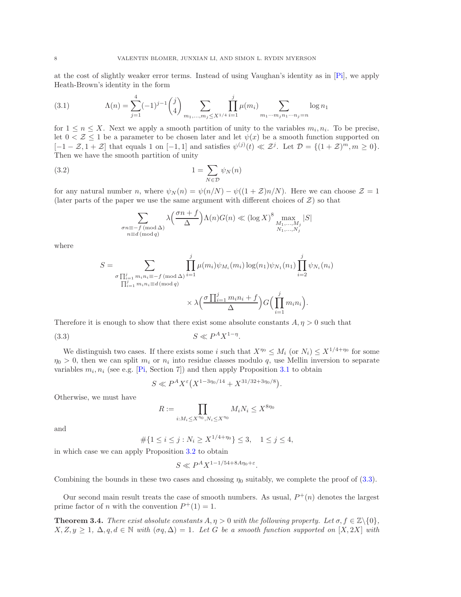at the cost of slightly weaker error terms. Instead of using Vaughan's identity as in [\[Pi\]](#page-37-22), we apply Heath-Brown's identity in the form

<span id="page-7-2"></span>(3.1) 
$$
\Lambda(n) = \sum_{j=1}^{4} (-1)^{j-1} {j \choose 4} \sum_{m_1, \dots, m_j \le X^{1/4}} \prod_{i=1}^{j} \mu(m_i) \sum_{m_1 \cdots m_j n_1 \cdots n_j = n} \log n_1
$$

for  $1 \leq n \leq X$ . Next we apply a smooth partition of unity to the variables  $m_i, n_i$ . To be precise, let  $0 < \mathcal{Z} \leq 1$  be a parameter to be chosen later and let  $\psi(x)$  be a smooth function supported on  $[-1-\mathcal{Z}, 1+\mathcal{Z}]$  that equals 1 on  $[-1,1]$  and satisfies  $\psi^{(j)}(t) \ll \mathcal{Z}^j$ . Let  $\mathcal{D} = \{(1+\mathcal{Z})^m, m \ge 0\}$ . Then we have the smooth partition of unity

<span id="page-7-3"></span>
$$
(3.2)\t\t\t 1 = \sum_{N \in \mathcal{D}} \psi_N(n)
$$

for any natural number n, where  $\psi_N(n) = \psi(n/N) - \psi((1+\mathcal{Z})n/N)$ . Here we can choose  $\mathcal{Z} = 1$ (later parts of the paper we use the same argument with different choices of  $\mathcal{Z}$ ) so that

$$
\sum_{\substack{\sigma n \equiv -f \pmod{\Delta} \\ n \equiv d \pmod{q}}} \lambda \left( \frac{\sigma n + f}{\Delta} \right) \Lambda(n) G(n) \ll (\log X)^8 \max_{\substack{M_1, \dots, M_j \\ N_1, \dots, N_j}} |S|
$$

where

$$
S = \sum_{\substack{\sigma \prod_{i=1}^j m_i n_i \equiv -f \pmod{\Delta} \\ \prod_{i=1}^j m_i n_i \equiv d \pmod{q}}} \prod_{i=1}^j \mu(m_i) \psi_{M_i}(m_i) \log(n_1) \psi_{N_1}(n_1) \prod_{i=2}^j \psi_{N_i}(n_i)
$$

$$
\times \lambda \left( \frac{\sigma \prod_{i=1}^j m_i n_i + f}{\Delta} \right) G\left( \prod_{i=1}^j m_i n_i \right).
$$

Therefore it is enough to show that there exist some absolute constants  $A, \eta > 0$  such that

<span id="page-7-1"></span>
$$
(3.3) \t\t S \ll P^A X^{1-\eta}.
$$

We distinguish two cases. If there exists some i such that  $X^{\eta_0} \leq M_i$  (or  $N_i \leq X^{1/4+\eta_0}$  for some  $\eta_0 > 0$ , then we can split  $m_i$  or  $n_i$  into residue classes modulo q, use Mellin inversion to separate variables  $m_i, n_i$  (see e.g. [\[Pi,](#page-37-22) Section 7]) and then apply Proposition [3.1](#page-6-2) to obtain

$$
S \ll P^{A} X^{\varepsilon} \left( X^{1-3\eta_0/14} + X^{31/32+3\eta_0/8} \right).
$$

Otherwise, we must have

$$
R := \prod_{i:M_i \le X^{\eta_0}, N_i \le X^{\eta_0}} M_i N_i \le X^{8\eta_0}
$$

and

$$
\#\{1 \le i \le j : N_i \ge X^{1/4 + \eta_0}\} \le 3, \quad 1 \le j \le 4,
$$

in which case we can apply Proposition [3.2](#page-6-3) to obtain

$$
S \ll P^A X^{1-1/54+8A\eta_0+\varepsilon}.
$$

Combining the bounds in these two cases and chossing  $\eta_0$  suitably, we complete the proof of [\(3.3\)](#page-7-1).

Our second main result treats the case of smooth numbers. As usual,  $P^+(n)$  denotes the largest prime factor of *n* with the convention  $P^+(1) = 1$ .

<span id="page-7-0"></span>**Theorem 3.4.** There exist absolute constants  $A, \eta > 0$  with the following property. Let  $\sigma, f \in \mathbb{Z}\backslash\{0\}$ ,  $X, Z, y \geq 1$ ,  $\Delta, q, d \in \mathbb{N}$  with  $(\sigma q, \Delta) = 1$ . Let G be a smooth function supported on  $[X, 2X]$  with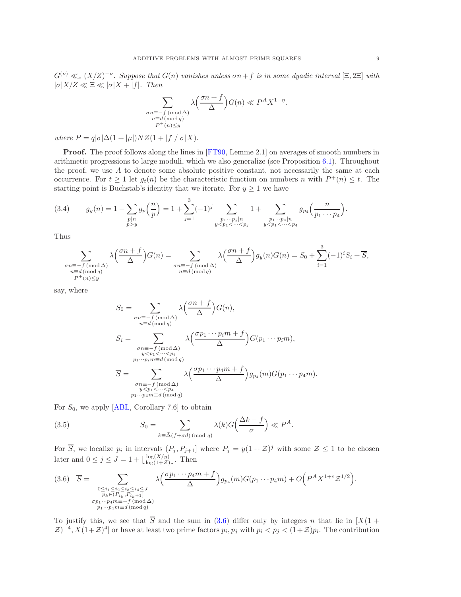$G^{(\nu)} \ll_{\nu} (X/Z)^{-\nu}$ . Suppose that  $G(n)$  vanishes unless  $\sigma n + f$  is in some dyadic interval  $[\Xi, 2\Xi]$  with  $|\sigma|X/Z \ll \Xi \ll |\sigma|X + |f|$ . Then

$$
\sum_{\substack{\sigma n \equiv -f \pmod{\Delta} \\ n \equiv d \pmod{q} \\ P^+(n) \le y}} \lambda \left( \frac{\sigma n + f}{\Delta} \right) G(n) \ll P^A X^{1-\eta}.
$$

where  $P = q|\sigma|\Delta(1+|\mu|)NZ(1+|f|/|\sigma|X)$ .

**Proof.** The proof follows along the lines in [\[FT90,](#page-37-23) Lemme 2.1] on averages of smooth numbers in arithmetic progressions to large moduli, which we also generalize (see Proposition [6.1\)](#page-18-0). Throughout the proof, we use  $A$  to denote some absolute positive constant, not necessarily the same at each occurrence. For  $t \ge 1$  let  $g_t(n)$  be the characteristic function on numbers n with  $P^+(n) \le t$ . The starting point is Buchstab's identity that we iterate. For  $y \geq 1$  we have

<span id="page-8-2"></span>
$$
(3.4) \t g_y(n) = 1 - \sum_{\substack{p|n \ p>y}} g_p\left(\frac{n}{p}\right) = 1 + \sum_{j=1}^3 (-1)^j \sum_{\substack{p_1 \cdots p_j|n \ yp_1<\cdotsp_2<\cdots
$$

Thus

$$
\sum_{\substack{\sigma n \equiv -f \pmod{\Delta} \\ n \equiv d \pmod{q} \\ P^+(n) \le y}} \lambda \left(\frac{\sigma n + f}{\Delta}\right) G(n) = \sum_{\substack{\sigma n \equiv -f \pmod{\Delta} \\ n \equiv d \pmod{q}}} \lambda \left(\frac{\sigma n + f}{\Delta}\right) g_y(n) G(n) = S_0 + \sum_{i=1}^3 (-1)^i S_i + \overline{S},
$$

say, where

$$
S_0 = \sum_{\substack{\sigma n \equiv -f \pmod{\Delta} \\ n \equiv d \pmod{q}}} \lambda \left( \frac{\sigma n + f}{\Delta} \right) G(n),
$$
  
\n
$$
S_i = \sum_{\substack{\sigma n \equiv -f \pmod{\Delta} \\ y < p_1 < \cdots < p_i \\ n_1 \cdots p_i m \equiv d \pmod{q}}} \lambda \left( \frac{\sigma p_1 \cdots p_i m + f}{\Delta} \right) G(p_1 \cdots p_i m),
$$
  
\n
$$
\overline{S} = \sum_{\substack{\sigma n \equiv -f \pmod{\Delta} \\ y < p_1 < \cdots < p_4}} \lambda \left( \frac{\sigma p_1 \cdots p_4 m + f}{\Delta} \right) g_{p_4}(m) G(p_1 \cdots p_4 m).
$$

For  $S_0$ , we apply [\[ABL,](#page-37-4) Corollary 7.6] to obtain

<span id="page-8-1"></span>(3.5) 
$$
S_0 = \sum_{k \equiv \bar{\Delta}(f + \sigma d) \pmod{q}} \lambda(k) G\left(\frac{\Delta k - f}{\sigma}\right) \ll P^A.
$$

For  $\overline{S}$ , we localize  $p_i$  in intervals  $(P_j, P_{j+1}]$  where  $P_j = y(1 + \mathcal{Z})^j$  with some  $\mathcal{Z} \leq 1$  to be chosen later and  $0 \leq j \leq J = 1 + \lfloor \frac{\log(X/y)}{\log(1+\mathcal{Z})} \rfloor$  $\frac{\log(\Lambda/y)}{\log(1+\mathcal{Z})}$ . Then

<span id="page-8-0"></span>
$$
(3.6) \quad \overline{S} = \sum_{\substack{0 \le i_1 \le i_2 \le i_3 \le i_4 \le J \\ p_k \in (P_{i_k}, P_{i_k+1}] \\ \sigma p_1 \cdots p_4 m \equiv -f \pmod{\Delta} \\ p_1 \cdots p_4 m \equiv d \pmod{q}}} \lambda \left( \frac{\sigma p_1 \cdots p_4 m + f}{\Delta} \right) g_{p_4}(m) G(p_1 \cdots p_4 m) + O\left( P^A X^{1+\varepsilon} \mathcal{Z}^{1/2} \right).
$$

To justify this, we see that  $\overline{S}$  and the sum in [\(3.6\)](#page-8-0) differ only by integers n that lie in  $[X(1 +$  $(\mathcal{Z})^{-4}, X(1+\mathcal{Z})^4$  or have at least two prime factors  $p_i, p_j$  with  $p_i < p_j < (1+\mathcal{Z})p_i$ . The contribution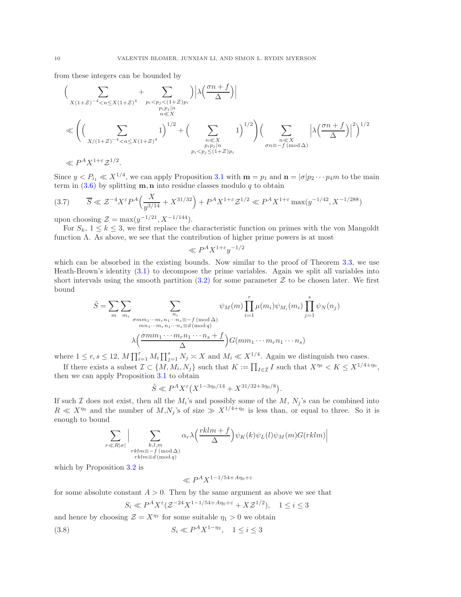from these integers can be bounded by

$$
\left(\sum_{\substack{X(1+Z)^{-4} < n \le X(1+Z)^4 \\ n \ll X \\ \text{with } n \ll X}} + \sum_{\substack{p_i < p_j < (1+Z)p_i \\ n \ll X \\ n \ll X \\ p_i < p_j \le (1+Z)p_i}} \left| \lambda \left( \frac{\sigma n + f}{\Delta} \right) \right| \right) \left(\sum_{\substack{n \ll X \\ n \ll X \\ p_i p_j \mid n \\ p_i < p_j \le (1+Z)p_i}} \left| \lambda \left( \frac{\sigma n + f}{\Delta} \right) \right|^2 \right)^{1/2} \left(\sum_{\substack{n \ll X \\ n \ll X \\ p_i < p_j \le (1+Z)p_i}} \left| \lambda \left( \frac{\sigma n + f}{\Delta} \right) \right|^2 \right)^{1/2} \left(\sum_{\substack{n \ll X \\ n \ll X \\ p_i < p_j \le (1+Z)p_i}} \left| \lambda \left( \frac{\sigma n + f}{\Delta} \right) \right|^2 \right)^{1/2}
$$

Since  $y < P_{i_1} \ll X^{1/4}$ , we can apply Proposition [3.1](#page-6-2) with  $\mathbf{m} = p_1$  and  $\mathbf{n} = |\sigma| p_2 \cdots p_4 m$  to the main term in  $(3.6)$  by splitting **m**, **n** into residue classes modulo q to obtain

<span id="page-9-0"></span>
$$
(3.7) \qquad \overline{S} \ll \mathcal{Z}^{-4} X^{\varepsilon} P^A \Big( \frac{X}{y^{3/14}} + X^{31/32} \Big) + P^A X^{1+\varepsilon} \mathcal{Z}^{1/2} \ll P^A X^{1+\varepsilon} \max(y^{-1/42}, X^{-1/288})
$$

upon choosing  $\mathcal{Z} = \max(y^{-1/21}, X^{-1/144}).$ 

For  $S_k$ ,  $1 \leq k \leq 3$ , we first replace the characteristic function on primes with the von Mangoldt function  $\Lambda$ . As above, we see that the contribution of higher prime powers is at most

$$
\ll P^A X^{1+\varepsilon} y^{-1/2}
$$

which can be absorbed in the existing bounds. Now similar to the proof of Theorem [3.3,](#page-7-1) we use Heath-Brown's identity [\(3.1\)](#page-7-2) to decompose the prime variables. Again we split all variables into short intervals using the smooth partition  $(3.2)$  for some parameter Z to be chosen later. We first bound

$$
\tilde{S} = \sum_{m} \sum_{m_i} \sum_{\substack{m_i \text{ sum} \dots m_r n_1 \cdots n_s \equiv -f \pmod{\Delta} \\ mn_1 \cdots m_r n_1 \cdots n_s \equiv d \pmod{q} \\ \lambda \left(\frac{\sigma m m_1 \cdots m_r n_1 \cdots n_s + f}{\Delta}\right) G \left(m m_1 \cdots m_r n_1 \cdots n_s\right)}
$$

where  $1 \le r, s \le 12$ ,  $M \prod_{i=1}^{r} M_i \prod_{j=1}^{s} N_j \asymp X$  and  $M_i \ll X^{1/4}$ . Again we distinguish two cases.

If there exists a subset  $\mathcal{I} \subset \{M, M_i, N_j\}$  such that  $K := \prod_{I \in \mathcal{I}} I$  such that  $X^{\eta_0} < K \leq X^{1/4 + \eta_0}$ , then we can apply Proposition [3.1](#page-6-2) to obtain

$$
\tilde{S} \ll P^A X^{\varepsilon} (X^{1-3\eta_0/14} + X^{31/32+3\eta_0/8}).
$$

If such I does not exist, then all the  $M_i$ 's and possibly some of the  $M$ ,  $N_j$ 's can be combined into  $R \ll X^{\eta_0}$  and the number of  $M, N_j$ 's of size  $\gg X^{1/4+\eta_0}$  is less than, or equal to three. So it is enough to bound

$$
\sum_{\substack{r \ll R|\sigma| \\ rklm \equiv -f \pmod{\Delta} \\ rklm \equiv d \pmod{q}}} \alpha_r \lambda\left(\frac{rklm+f}{\Delta}\right) \psi_K(k) \psi_L(l) \psi_M(m) G(rklm) \Big|
$$

which by Proposition [3.2](#page-6-3) is

$$
\ll P^A X^{1-1/54 + A\eta_0 + \varepsilon}
$$

for some absolute constant  $A > 0$ . Then by the same argument as above we see that

$$
S_i \ll P^A X^{\varepsilon} (\mathcal{Z}^{-24} X^{1-1/54+A\eta_0+\varepsilon} + X \mathcal{Z}^{1/2}), \quad 1 \le i \le 3
$$

and hence by choosing  $\mathcal{Z} = X^{\eta_1}$  for some suitable  $\eta_1 > 0$  we obtain

<span id="page-9-1"></span>(3.8) 
$$
S_i \ll P^A X^{1-\eta_2}, \quad 1 \le i \le 3
$$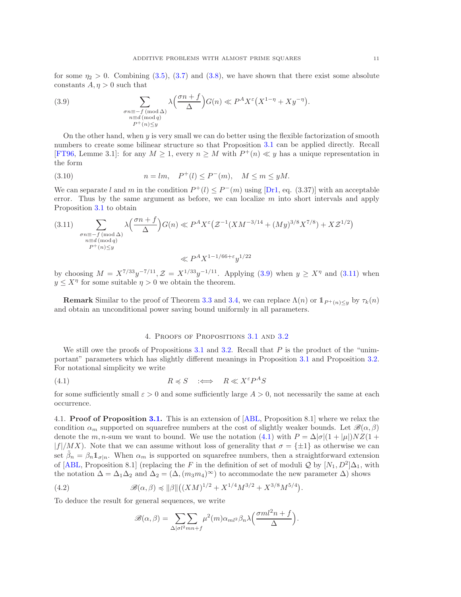for some  $\eta_2 > 0$ . Combining [\(3.5\)](#page-8-1), [\(3.7\)](#page-9-0) and [\(3.8\)](#page-9-1), we have shown that there exist some absolute constants  $A, \eta > 0$  such that

<span id="page-10-1"></span>(3.9) 
$$
\sum_{\substack{\sigma n \equiv -f \pmod{\Delta} \\ n \equiv d \pmod{q} \\ P^+(n) \le y}} \lambda \left(\frac{\sigma n + f}{\Delta}\right) G(n) \ll P^A X^{\varepsilon} \left(X^{1-\eta} + X y^{-\eta}\right).
$$

On the other hand, when  $y$  is very small we can do better using the flexible factorization of smooth numbers to create some bilinear structure so that Proposition [3.1](#page-6-2) can be applied directly. Recall [\[FT96,](#page-37-20) Lemme 3.1]: for any  $M \geq 1$ , every  $n \geq M$  with  $P^+(n) \ll y$  has a unique representation in the form

<span id="page-10-5"></span>(3.10) 
$$
n = lm, \quad P^+(l) \le P^-(m), \quad M \le m \le yM.
$$

We can separate l and m in the condition  $P^+(l) \leq P^-(m)$  using [\[Dr1,](#page-37-24) eq. (3.37)] with an acceptable error. Thus by the same argument as before, we can localize  $m$  into short intervals and apply Proposition [3.1](#page-6-2) to obtain

<span id="page-10-2"></span>
$$
(3.11) \sum_{\substack{\sigma n \equiv -f \pmod{\Delta} \\ n \equiv d \pmod{q} \\ P^+(n) \le y}} \lambda \left( \frac{\sigma n + f}{\Delta} \right) G(n) \ll P^A X^{\varepsilon} \left( \mathcal{Z}^{-1} (X M^{-3/14} + (My)^{3/8} X^{7/8}) + X \mathcal{Z}^{1/2} \right)
$$

by choosing  $M = X^{7/33}y^{-7/11}, \mathcal{Z} = X^{1/33}y^{-1/11}$ . Applying [\(3.9\)](#page-10-1) when  $y \ge X^{\eta}$  and [\(3.11\)](#page-10-2) when  $y \leq X^{\eta}$  for some suitable  $\eta > 0$  we obtain the theorem.

**Remark** Similar to the proof of Theorem [3.3](#page-6-1) and [3.4,](#page-7-0) we can replace  $\Lambda(n)$  or  $1_{P^+(n) \le y}$  by  $\tau_k(n)$ and obtain an unconditional power saving bound uniformly in all parameters.

### 4. Proofs of Propositions [3.1](#page-6-2) and [3.2](#page-6-3)

<span id="page-10-0"></span>We still owe the proofs of Propositions [3.1](#page-6-2) and [3.2.](#page-6-3) Recall that  $P$  is the product of the "unimportant" parameters which has slightly different meanings in Proposition [3.1](#page-6-2) and Proposition [3.2.](#page-6-3) For notational simplicity we write

<span id="page-10-3"></span>(4.1) 
$$
R \preccurlyeq S \iff R \ll X^{\varepsilon} P^{A} S
$$

for some sufficiently small  $\varepsilon > 0$  and some sufficiently large  $A > 0$ , not necessarily the same at each occurrence.

4.1. Proof of Proposition [3.1.](#page-6-2) This is an extension of [\[ABL,](#page-37-4) Proposition 8.1] where we relax the condition  $\alpha_m$  supported on squarefree numbers at the cost of slightly weaker bounds. Let  $\mathscr{B}(\alpha,\beta)$ denote the m, n-sum we want to bound. We use the notation [\(4.1\)](#page-10-3) with  $P = \Delta |\sigma|(1 + |\mu|)NZ(1 +$  $|f|/MX$ ). Note that we can assume without loss of generality that  $\sigma = {\pm 1}$  as otherwise we can set  $\tilde{\beta}_n = \beta_n \mathbb{1}_{\sigma|n}$ . When  $\alpha_m$  is supported on squarefree numbers, then a straightforward extension of [\[ABL,](#page-37-4) Proposition 8.1] (replacing the F in the definition of set of moduli Q by  $[N_1, D^2] \Delta_1$ , with the notation  $\Delta = \Delta_1 \Delta_2$  and  $\Delta_2 = (\Delta, (m_3m_4)^{\infty})$  to accommodate the new parameter  $\Delta$ ) shows

<span id="page-10-4"></span>(4.2) 
$$
\mathscr{B}(\alpha,\beta) \preccurlyeq \|\beta\| \big((XM)^{1/2} + X^{1/4}M^{3/2} + X^{3/8}M^{5/4}\big).
$$

To deduce the result for general sequences, we write

$$
\mathscr{B}(\alpha,\beta) = \sum_{\Delta|\sigma^2 m n + f} \mu^2(m) \alpha_{ml^2} \beta_n \lambda \left(\frac{\sigma m l^2 n + f}{\Delta}\right).
$$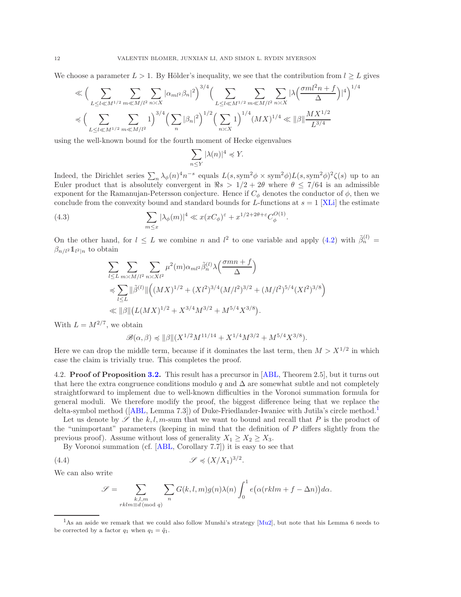We choose a parameter  $L > 1$ . By Hölder's inequality, we see that the contribution from  $l \geq L$  gives

$$
\ll \Big( \sum_{L \leq l \ll M^{1/2}} \sum_{m \ll M/l^2} \sum_{n \asymp X} |\alpha_{ml^2} \beta_n|^2 \Big)^{3/4} \Big( \sum_{L \leq l \ll M^{1/2}} \sum_{m \ll M/l^2} \sum_{n \asymp X} |\lambda \left( \frac{\sigma m l^2 n + f}{\Delta} \right)|^4 \Big)^{1/4} \nonumber \\ \lesssim \Big( \sum_{L \leq l \ll M^{1/2}} \sum_{m \ll M/l^2} 1 \Big)^{3/4} \Big( \sum_n |\beta_n|^2 \Big)^{1/2} \Big( \sum_{n \asymp X} 1 \Big)^{1/4} (MX)^{1/4} \ll \|\beta\| \frac{MX^{1/2}}{L^{3/4}} \nonumber
$$

using the well-known bound for the fourth moment of Hecke eigenvalues

$$
\sum_{n\leq Y}|\lambda(n)|^4\preccurlyeq Y.
$$

Indeed, the Dirichlet series  $\sum_n \lambda_\phi(n)^4 n^{-s}$  equals  $L(s, \text{sym}^2 \phi \times \text{sym}^2 \phi) L(s, \text{sym}^2 \phi)^2 \zeta(s)$  up to an Euler product that is absolutely convergent in  $\Re s > 1/2 + 2\theta$  where  $\theta \le 7/64$  is an admissible exponent for the Ramanujan-Petersson conjecture. Hence if  $C_{\phi}$  denotes the conductor of  $\phi$ , then we conclude from the convexity bound and standard bounds for L-functions at  $s = 1$  [\[XLi\]](#page-37-25) the estimate

<span id="page-11-2"></span>(4.3) 
$$
\sum_{m \leq x} |\lambda_{\phi}(m)|^4 \ll x (x C_{\phi})^{\varepsilon} + x^{1/2 + 2\theta + \varepsilon} C_{\phi}^{O(1)}.
$$

On the other hand, for  $l \leq L$  we combine n and  $l^2$  to one variable and apply [\(4.2\)](#page-10-4) with  $\tilde{\beta}_n^{(l)} =$  $\beta_{n/l^2} \mathbb{1}_{l^2|n}$  to obtain

$$
\sum_{l \le L} \sum_{m \asymp M/l^2} \sum_{n \asymp Xl^2} \mu^2(m) \alpha_{ml^2} \tilde{\beta}_n^{(l)} \lambda\left(\frac{\sigma mn + f}{\Delta}\right)
$$
  
\$\preccurlyeq \sum\_{l \le L} ||\tilde{\beta}^{(l)}|| \left( (MX)^{1/2} + (Xl^2)^{3/4} (M/l^2)^{3/2} + (M/l^2)^{5/4} (Xl^2)^{3/8} \right)\$  
\$\ll ||\beta|| \left( L(MX)^{1/2} + X^{3/4} M^{3/2} + M^{5/4} X^{3/8} \right).

With  $L = M^{2/7}$ , we obtain

$$
\mathcal{B}(\alpha, \beta) \preccurlyeq ||\beta|| (X^{1/2} M^{11/14} + X^{1/4} M^{3/2} + M^{5/4} X^{3/8}).
$$

Here we can drop the middle term, because if it dominates the last term, then  $M > X^{1/2}$  in which case the claim is trivially true. This completes the proof.

4.2. Proof of Proposition [3.2.](#page-6-3) This result has a precursor in [\[ABL,](#page-37-4) Theorem 2.5], but it turns out that here the extra congruence conditions modulo q and  $\Delta$  are somewhat subtle and not completely straightforward to implement due to well-known difficulties in the Voronoi summation formula for general moduli. We therefore modify the proof, the biggest difference being that we replace the delta-symbol method ([\[ABL,](#page-37-4) Lemma 7.3]) of Duke-Friedlander-Iwaniec with Jutila's circle method.<sup>[1](#page-11-0)</sup>

Let us denote by  $\mathscr S$  the k, l, m-sum that we want to bound and recall that P is the product of the "unimportant" parameters (keeping in mind that the definition of  $P$  differs slightly from the previous proof). Assume without loss of generality  $X_1 \geq X_2 \geq X_3$ .

By Voronoi summation (cf. [\[ABL,](#page-37-4) Corollary 7.7]) it is easy to see that

<span id="page-11-1"></span>
$$
(4.4) \t\t \mathscr{S} \preccurlyeq (X/X_1)^{3/2}.
$$

We can also write

$$
\mathcal{S} = \sum_{\substack{k,l,m \ kklm \equiv d \pmod{q}}} \sum_{n} G(k,l,m)g(n)\lambda(n) \int_{0}^{1} e(\alpha(rklm + f - \Delta n))d\alpha.
$$

<span id="page-11-0"></span><sup>&</sup>lt;sup>1</sup>As an aside we remark that we could also follow Munshi's strategy [\[Mu2\]](#page-37-26), but note that his Lemma 6 needs to be corrected by a factor  $q_1$  when  $q_1 = \tilde{q}_1$ .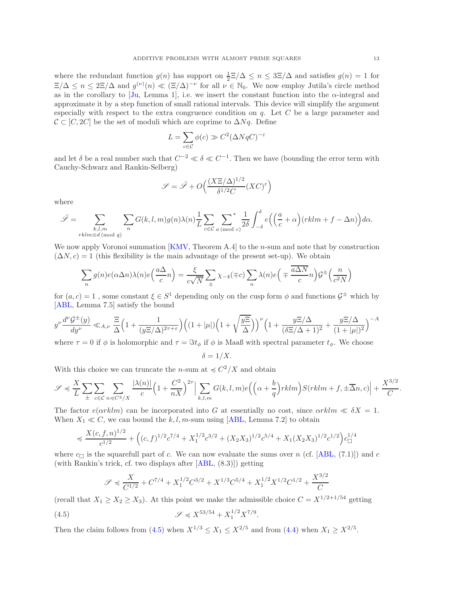where the redundant function  $g(n)$  has support on  $\frac{1}{2} \mathbb{E}/\Delta \leq n \leq 3 \mathbb{E}/\Delta$  and satisfies  $g(n) = 1$  for  $\Xi/\Delta \leq n \leq 2\Xi/\Delta$  and  $g^{(\nu)}(n) \ll (\Xi/\Delta)^{-\nu}$  for all  $\nu \in \mathbb{N}_0$ . We now employ Jutila's circle method as in the corollary to [\[Ju,](#page-37-27) Lemma 1], i.e. we insert the constant function into the  $\alpha$ -integral and approximate it by a step function of small rational intervals. This device will simplify the argument especially with respect to the extra congruence condition on q. Let  $C$  be a large parameter and  $\mathcal{C} \subset [C, 2C]$  be the set of moduli which are coprime to  $\Delta Nq$ . Define

$$
L = \sum_{c \in \mathcal{C}} \phi(c) \gg C^2 (\Delta N q C)^{-\varepsilon}
$$

and let  $\delta$  be a real number such that  $C^{-2} \ll \delta \ll C^{-1}$ . Then we have (bounding the error term with Cauchy-Schwarz and Rankin-Selberg)

$$
\mathcal{S} = \tilde{\mathcal{S}} + O\left(\frac{(X\Xi/\Delta)^{1/2}}{\delta^{1/2}C}(XC)^{\varepsilon}\right)
$$

where

$$
\tilde{\mathcal{S}} = \sum_{\substack{k,l,m\\rklm \equiv d \pmod{q}}} \sum_n G(k,l,m)g(n)\lambda(n) \frac{1}{L} \sum_{c \in \mathcal{C}} \sum_{a \pmod{c}}^* \frac{1}{2\delta} \int_{-\delta}^{\delta} e\Big(\Big(\frac{a}{c}+\alpha\Big)(rklm+f-\Delta n)\Big) d\alpha.
$$

We now apply Voronoi summation [\[KMV,](#page-37-28) Theorem A.4] to the *n*-sum and note that by construction  $(\Delta N, c) = 1$  (this flexibility is the main advantage of the present set-up). We obtain

$$
\sum_{n} g(n)e(\alpha \Delta n)\lambda(n)e\left(\frac{a\Delta}{c}n\right) = \frac{\xi}{c\sqrt{N}}\sum_{\pm}\chi_{-4}(\mp c)\sum_{n}\lambda(n)e\left(\mp \frac{\overline{a\Delta N}}{c}n\right)\mathcal{G}^{\pm}\left(\frac{n}{c^2N}\right)
$$

for  $(a, c) = 1$ , some constant  $\xi \in S^1$  depending only on the cusp form  $\phi$  and functions  $\mathcal{G}^{\pm}$  which by [\[ABL,](#page-37-4) Lemma 7.5] satisfy the bound

$$
y^{\nu} \frac{d^{\nu} \mathcal{G}^{\pm}(y)}{dy^{\nu}} \ll_{A,\nu} \frac{\Xi}{\Delta} \Big( 1 + \frac{1}{(y \Xi/\Delta)^{2\tau + \varepsilon}} \Big) \Big( (1 + |\mu|) \Big( 1 + \sqrt{\frac{y \Xi}{\Delta}} \Big) \Big)^{\nu} \Big( 1 + \frac{y \Xi/\Delta}{(\delta \Xi/\Delta + 1)^2} + \frac{y \Xi/\Delta}{(1 + |\mu|)^2} \Big)^{-A}
$$

where  $\tau = 0$  if  $\phi$  is holomorphic and  $\tau = \Im t_{\phi}$  if  $\phi$  is Maaß with spectral parameter  $t_{\phi}$ . We choose

 $\delta = 1/X.$ 

With this choice we can truncate the *n*-sum at  $\leq C^2/X$  and obtain

$$
\mathscr{S} \preccurlyeq \frac{X}{L} \sum_{\pm} \sum_{c \in \mathcal{C}} \sum_{n \preccurlyeq C^2/X} \frac{|\lambda(n)|}{c} \left(1 + \frac{C^2}{nX}\right)^{2\tau} \Big| \sum_{k,l,m} G(k,l,m) e\left(\left(\alpha + \frac{b}{q}\right) r k l m\right) S(r k l m + f, \pm \overline{\Delta} n, c) \Big| + \frac{X^{3/2}}{C}.
$$

The factor  $e(\alpha r k l m)$  can be incorporated into G at essentially no cost, since  $\alpha r k l m \ll \delta X = 1$ . When  $X_1 \ll C$ , we can bound the k, l, m-sum using [\[ABL,](#page-37-4) Lemma 7.2] to obtain

$$
\preccurlyeq \frac{X(c, f, n)^{1/2}}{c^{1/2}} + \left( (c, f)^{1/2} c^{7/4} + X_1^{1/2} c^{3/2} + (X_2 X_3)^{1/2} c^{5/4} + X_1 (X_2 X_3)^{1/2} c^{1/2} \right) c_{\square}^{1/4}
$$

where  $c_{\Box}$  is the squarefull part of c. We can now evaluate the sums over n (cf. [\[ABL,](#page-37-4) (7.1)]) and c (with Rankin's trick, cf. two displays after [\[ABL,](#page-37-4) (8.3)]) getting

$$
\mathcal{S} \preccurlyeq \frac{X}{C^{1/2}} + C^{7/4} + X_1^{1/2} C^{3/2} + X^{1/3} C^{5/4} + X_1^{1/2} X^{1/2} C^{1/2} + \frac{X^{3/2}}{C}
$$

(recall that  $X_1 \geq X_2 \geq X_3$ ). At this point we make the admissible choice  $C = X^{1/2+1/54}$  getting

<span id="page-12-0"></span>(4.5) 
$$
\mathscr{S} \preccurlyeq X^{53/54} + X_1^{1/2} X^{7/9}.
$$

Then the claim follows from  $(4.5)$  when  $X^{1/3} \le X_1 \le X^{2/5}$  and from  $(4.4)$  when  $X_1 \ge X^{2/5}$ .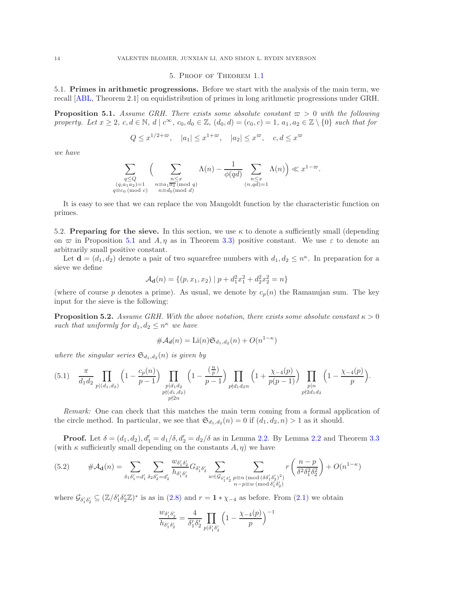#### 5. Proof of Theorem [1.1](#page-1-0)

<span id="page-13-1"></span>5.1. Primes in arithmetic progressions. Before we start with the analysis of the main term, we recall [\[ABL,](#page-37-4) Theorem 2.1] on equidistribution of primes in long arithmetic progressions under GRH.

<span id="page-13-0"></span>**Proposition 5.1.** Assume GRH. There exists some absolute constant  $\varpi > 0$  with the following property. Let  $x \geq 2$ ,  $c, d \in \mathbb{N}$ ,  $d \mid c^{\infty}$ ,  $c_0, d_0 \in \mathbb{Z}$ ,  $(d_0, d) = (c_0, c) = 1$ ,  $a_1, a_2 \in \mathbb{Z} \setminus \{0\}$  such that for

$$
Q \le x^{1/2 + \varpi}, \quad |a_1| \le x^{1 + \varpi}, \quad |a_2| \le x^{\varpi}, \quad c, d \le x^{\varpi}
$$

we have

$$
\sum_{\substack{q \leq Q \\ (q, a_1 a_2) = 1 \\ q \equiv c_0 \, (\text{mod } c)}} \Big( \sum_{\substack{n \leq x \\ n \equiv a_1 \overline{a_2} \, (\text{mod } q) \\ n \equiv d_0 \, (\text{mod } d)}} \Lambda(n) - \frac{1}{\phi(qd)} \sum_{\substack{n \leq x \\ (n, qd) = 1}} \Lambda(n) \Big) \ll x^{1 - \varpi}.
$$

It is easy to see that we can replace the von Mangoldt function by the characteristic function on primes.

<span id="page-13-2"></span>5.2. Preparing for the sieve. In this section, we use  $\kappa$  to denote a sufficiently small (depending on  $\bar{\varpi}$  in Proposition [5.1](#page-13-0) and A,  $\eta$  as in Theorem [3.3\)](#page-6-1) positive constant. We use  $\varepsilon$  to denote an arbitrarily small positive constant.

Let  $\mathbf{d} = (d_1, d_2)$  denote a pair of two squarefree numbers with  $d_1, d_2 \leq n^{\kappa}$ . In preparation for a sieve we define

$$
\mathcal{A}_{\mathbf{d}}(n) = \{ (p, x_1, x_2) \mid p + d_1^2 x_1^2 + d_2^2 x_2^2 = n \}
$$

(where of course p denotes a prime). As usual, we denote by  $c_p(n)$  the Ramanujan sum. The key input for the sieve is the following:

<span id="page-13-5"></span>**Proposition 5.2.** Assume GRH. With the above notation, there exists some absolute constant  $\kappa > 0$ such that uniformly for  $d_1, d_2 \leq n^{\kappa}$  we have

$$
\#\mathcal{A}_d(n) = \text{Li}(n)\mathfrak{S}_{d_1,d_2}(n) + O(n^{1-\kappa})
$$

where the singular series  $\mathfrak{S}_{d_1,d_2}(n)$  is given by

<span id="page-13-4"></span>
$$
(5.1) \quad \frac{\pi}{d_1d_2} \prod_{\substack{p|(d_1,d_2) \\ p\nmid (d_1,d_2)}} \left(1 - \frac{c_p(n)}{p-1}\right) \prod_{\substack{p|d_1d_2 \\ p\nmid (d_1,d_2)}} \left(1 - \frac{\left(\frac{n}{p}\right)}{p-1}\right) \prod_{\substack{p\nmid d_1d_2n \\ p\nmid d_1d_2n}} \left(1 + \frac{\chi_{-4}(p)}{p(p-1)}\right) \prod_{\substack{p|n \ p\nmid 2d_1d_2}} \left(1 - \frac{\chi_{-4}(p)}{p}\right).
$$

Remark: One can check that this matches the main term coming from a formal application of the circle method. In particular, we see that  $\mathfrak{S}_{d_1,d_2}(n) = 0$  if  $(d_1, d_2, n) > 1$  as it should.

**Proof.** Let  $\delta = (d_1, d_2), d'_1 = d_1/\delta, d'_2 = d_2/\delta$  as in Lemma [2.2.](#page-4-0) By Lemma [2.2](#page-4-0) and Theorem [3.3](#page-6-1) (with  $\kappa$  sufficiently small depending on the constants  $A, \eta$ ) we have

<span id="page-13-3"></span>
$$
(5.2) \qquad \#A_{\mathbf{d}}(n) = \sum_{\delta_1 \delta_1' = d_1'} \sum_{\delta_2 \delta_2' = d_2'} \frac{w_{\delta_1' \delta_2'}}{h_{\delta_1' \delta_2'}} G_{\delta_1' \delta_2'} \sum_{w \in \mathcal{G}_{\delta_1' \delta_2'}} \sum_{\substack{p \equiv n \pmod{(\delta \delta_1' \delta_2')^2} \\ n-p \equiv w \pmod{\delta_1' \delta_2'}}} r \left( \frac{n-p}{\delta^2 \delta_1^2 \delta_2^2} \right) + O(n^{1-\kappa})
$$

where  $\mathcal{G}_{\delta'_1 \delta'_2} \subseteq (\mathbb{Z}/\delta'_1 \delta'_2 \mathbb{Z})^*$  is as in [\(2.8\)](#page-4-7) and  $r = 1 * \chi_{-4}$  as before. From [\(2.1\)](#page-3-2) we obtain

$$
\frac{w_{\delta'_1\delta'_2}}{h_{\delta'_1\delta'_2}}=\frac{4}{\delta'_1\delta'_2}\prod_{p\mid\delta'_1\delta'_2}\Big(1-\frac{\chi_{-4}(p)}{p}\Big)^{-1}
$$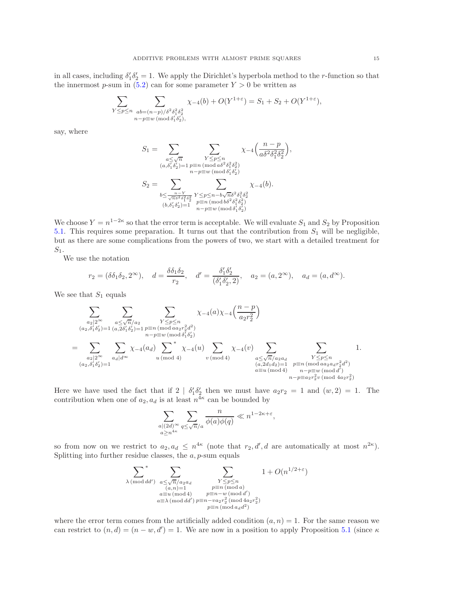in all cases, including  $\delta'_1 \delta'_2 = 1$ . We apply the Dirichlet's hyperbola method to the *r*-function so that the innermost p-sum in  $(5.2)$  can for some parameter  $Y > 0$  be written as

$$
\sum_{\substack{Y \le p \le n \\ n-p \equiv w \pmod{\delta_1 \delta_2^2} \\ n-p \equiv w \pmod{\delta_1 \delta_2^j},}} \chi_{-4}(b) + O(Y^{1+\varepsilon}) = S_1 + S_2 + O(Y^{1+\varepsilon}),
$$

say, where

$$
S_1 = \sum_{\substack{a \le \sqrt{n} \\ (a,\delta'_1 \delta'_2) = 1}} \sum_{\substack{Y \le p \le n \\ n - p \equiv w \pmod{\delta^2 \delta_1^2 \delta_2^2}}} \chi_{-4}\left(\frac{n - p}{a \delta^2 \delta_1^2 \delta_2^2}\right),
$$
  

$$
S_2 = \sum_{\substack{n - Y \\ b \le \frac{n - Y}{\sqrt{n} \delta^2 \delta_1^2 \delta_2^2}} \sum_{\substack{Y \le p \le n - b\sqrt{n} \delta^2 \delta_1^2 \delta_2^2 \\ p \equiv n \pmod{b \delta^2 \delta_1^2 \delta_2^2}}} \chi_{-4}(b).
$$
  

$$
(b,\delta'_1 \delta'_2) = 1 \sum_{\substack{n - Y \\ n - p \equiv w \pmod{\delta^2 \delta_1^2 \delta_2^2}}} \chi_{-4}(b).
$$

We choose  $Y = n^{1-2\kappa}$  so that the error term is acceptable. We will evaluate  $S_1$  and  $S_2$  by Proposition [5.1.](#page-13-0) This requires some preparation. It turns out that the contribution from  $S_1$  will be negligible, but as there are some complications from the powers of two, we start with a detailed treatment for  $S_1$ .

We use the notation

$$
r_2 = (\delta \delta_1 \delta_2, 2^{\infty}), \quad d = \frac{\delta \delta_1 \delta_2}{r_2}, \quad d' = \frac{\delta'_1 \delta'_2}{(\delta'_1 \delta'_2, 2)}, \quad a_2 = (a, 2^{\infty}), \quad a_d = (a, d^{\infty}).
$$

We see that  $S_1$  equals

$$
\sum_{\substack{a_2 \mid 2^{\infty} \\ (a_2, \delta'_1 \delta'_2) = 1}} \sum_{\substack{a \le \sqrt{n}/a_2 \\ (a_2, \delta'_1 \delta'_2) = 1}} \sum_{\substack{y \le p \le n \\ n - p \equiv w \pmod{\delta'_1 \delta'_2} \\ n - p \equiv w \pmod{\delta'_1 \delta'_2}}} \chi_{-4}(a) \chi_{-4}\left(\frac{n - p}{a_2 r_2^2}\right)
$$
\n
$$
= \sum_{\substack{a_2 \mid 2^{\infty} \\ (a_2, \delta'_1 \delta'_2) = 1}} \sum_{\substack{a_d \mid d^{\infty} \\ (a_d, \delta'_1 \delta'_2) = 1}} \chi_{-4}(a_d) \sum_{\substack{w \pmod{4} \\ (a_1, \delta'_1) = 1 \\ (a_2, \delta'_1 \delta'_2) = 1}} \sum_{\substack{a \le \sqrt{n}/a_2 a_d \\ (a_2, \delta'_1 a_2) = 1 \\ a \equiv u \pmod{4} \\ n - p \equiv w \pmod{d^2} \\ n - p \equiv a_2 r_2^2 v \pmod{4a_2 r_2^2}}}
$$
1.

Here we have used the fact that if  $2 | \delta'_1 \delta'_2$  then we must have  $a_2 r_2 = 1$  and  $(w, 2) = 1$ . The contribution when one of  $a_2, a_d$  is at least  $n^{4\kappa}$  can be bounded by

$$
\sum_{\substack{a|(2d)^\infty\\a\geq n^{4\kappa}}} \sum_{q\leq \sqrt{n}/a} \frac{n}{\phi(a)\phi(q)} \ll n^{1-2\kappa+\varepsilon},
$$

so from now on we restrict to  $a_2, a_d \leq n^{4\kappa}$  (note that  $r_2, d', d$  are automatically at most  $n^{2\kappa}$ ). Splitting into further residue classes, the  $a, p$ -sum equals

$$
\sum_{\substack{\lambda \, (\text{mod } dd')} \atop \lambda \, (\text{mod } dd')} \sum_{\substack{a \le \sqrt{n}/a_2a_d \\ (a,n)=1 \\ a \equiv u \, (\text{mod } 4) \\ a \equiv \lambda \, (\text{mod } dd')} \sum_{\substack{Y \le p \le n \\ p \equiv n - w \, (\text{mod } d') \\ p \equiv n - v a_2r_2^2 \, (\text{mod } 4a_2r_2^2) \\ p \equiv n \, (\text{mod } a_d d^2)}} 1 + O(n^{1/2+\varepsilon})
$$

where the error term comes from the artificially added condition  $(a, n) = 1$ . For the same reason we can restrict to  $(n, d) = (n - w, d') = 1$ . We are now in a position to apply Proposition [5.1](#page-13-0) (since  $\kappa$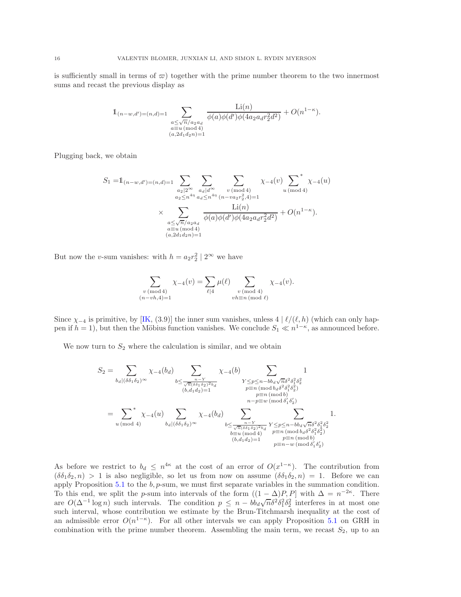is sufficiently small in terms of  $\varpi$ ) together with the prime number theorem to the two innermost sums and recast the previous display as

$$
\mathbb{1}_{(n-w,d')=(n,d)=1} \sum_{\substack{a \le \sqrt{n}/a_2a_d \\ a \equiv u \pmod{4} \\ (a,2d_1d_2n)=1}} \frac{\text{Li}(n)}{\phi(a)\phi(d')\phi(4a_2a_dr_2^2d^2)} + O(n^{1-\kappa}).
$$

Plugging back, we obtain

$$
S_1 = 1_{(n-w,d')=(n,d)=1} \sum_{\substack{a_2 \mid 2^{\infty} \\ a_2 \le n^{4\eta}}} \sum_{\substack{a_d \mid d^{\infty} \\ a_d \le n^{4\eta}}} \sum_{\substack{v \pmod{4} \\ (n-wa_2r_2^2, 4)=1}} \chi_{-4}(v) \sum_{u \pmod{4}}^* \chi_{-4}(u)
$$
  
 
$$
\times \sum_{\substack{a \le \sqrt{n}/a_2a_d \\ a \equiv u \pmod{4} \\ (a,2d_1d_2n)=1}} \frac{\text{Li}(n)}{\phi(a)\phi(d')\phi(4a_2a_dr_2^2d^2)} + O(n^{1-\kappa}).
$$

But now the *v*-sum vanishes: with  $h = a_2 r_2^2 \mid 2^\infty$  we have

$$
\sum_{\substack{v \pmod{4} \\ (n-vh,4)=1}} \chi_{-4}(v) = \sum_{\ell \mid 4} \mu(\ell) \sum_{\substack{v \pmod{4} \\ vb \equiv n \pmod{\ell}}} \chi_{-4}(v).
$$

Since  $\chi_{-4}$  is primitive, by [\[IK,](#page-37-29) (3.9)] the inner sum vanishes, unless 4 |  $\ell/(\ell, h)$  (which can only happen if  $h = 1$ ), but then the Möbius function vanishes. We conclude  $S_1 \ll n^{1-\kappa}$ , as announced before.

We now turn to  $S_2$  where the calculation is similar, and we obtain

$$
S_2 = \sum_{b_d | (\delta \delta_1 \delta_2)^\infty} \chi_{-4}(b_d) \sum_{\substack{b \le \frac{n-Y}{\sqrt{n}(\delta \delta_1 \delta_2)^{2b_d}} \\ (b, d_1 d_2) = 1}} \chi_{-4}(b) \sum_{\substack{Y \le p \le n - b b_d \sqrt{n} \delta^2 \delta_1^2 \delta_2^2 \\ p \equiv n \pmod{b_d \delta^2 \delta_1^2 \delta_2^2} \\ n - p \equiv w \pmod{b_d \delta^2 \delta_1^2 \delta_2^2}}} 1
$$
  

$$
= \sum_{u \pmod{4}}^* \chi_{-4}(u) \sum_{\substack{b_d | (\delta \delta_1 \delta_2)^\infty \\ b_d | (\delta \delta_1 \delta_2)^\infty}} \chi_{-4}(b_d) \sum_{\substack{b \le \frac{n-Y}{\sqrt{n}(\delta \delta_1 \delta_2)^{2b_d}}} Y \le p \le n - b b_d \sqrt{n} \delta^2 \delta_1^2 \delta_2^2 \\ b \equiv u \pmod{4}} \sum_{\substack{b = u \pmod{4} \\ (b, d_1 d_2) = 1}} 1.
$$

As before we restrict to  $b_d \n\leq n^{4\kappa}$  at the cost of an error of  $O(x^{1-\kappa})$ . The contribution from  $(\delta\delta_1\delta_2, n) > 1$  is also negligible, so let us from now on assume  $(\delta\delta_1\delta_2, n) = 1$ . Before we can apply Proposition [5.1](#page-13-0) to the  $b$ ,  $p$ -sum, we must first separate variables in the summation condition. To this end, we split the p-sum into intervals of the form  $((1 - \Delta)P, P]$  with  $\Delta = n^{-2\kappa}$ . There are  $O(\Delta^{-1} \log n)$  such intervals. The condition  $p \leq n - b \overline{b} a \sqrt{n} \delta^2 \delta_1^2 \delta_2^2$  interferes in at most one such interval, whose contribution we estimate by the Brun-Titchmarsh inequality at the cost of an admissible error  $O(n^{1-\kappa})$ . For all other intervals we can apply Proposition [5.1](#page-13-0) on GRH in combination with the prime number theorem. Assembling the main term, we recast  $S_2$ , up to an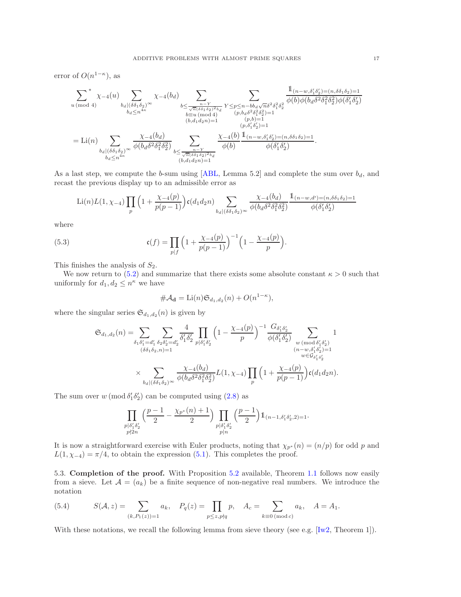error of  $O(n^{1-\kappa})$ , as

$$
\sum_{u \, (\text{mod } 4)}^{*} \chi_{-4}(u) \sum_{\substack{b_{d} \mid (\delta \delta_{1} \delta_{2})^{\infty} \\ b_{d} \leq n^{4\kappa}}} \chi_{-4}(b_{d}) \sum_{\substack{b \leq \frac{n-Y}{\sqrt{n}(\delta \delta_{1} \delta_{2})^{2}b_{d} \\ b \equiv u \, (\text{mod } 4)}} Y \leq p \leq n - b b_{d} \sqrt{n} \delta^{2} \delta_{1}^{2} \delta_{2}^{2}} \frac{1_{(n-w, \delta'_{1} \delta'_{2}) = (n, \delta \delta_{1} \delta_{2}) = 1}}{\phi(b) \phi(b_{d} \delta^{2} \delta_{1}^{2} \delta_{2}^{2}) \phi(\delta'_{1} \delta'_{2})}
$$
\n
$$
= \text{Li}(n) \sum_{\substack{b \mid (\delta \delta_{1} \delta_{2})^{\infty} \\ b_{d} \mid (\delta \delta_{1} \delta_{2})^{\infty}}} \frac{\chi_{-4}(b_{d})}{\phi(b_{d} \delta^{2} \delta_{1}^{2} \delta_{2}^{2})} \sum_{\substack{b \leq \frac{n-Y}{\sqrt{n}(\delta \delta_{1} \delta_{2})^{2}b_{d} \\ (b, d_{1} d_{2} n) = 1}} \frac{\chi_{-4}(b) 1_{(n-w, \delta'_{1} \delta'_{2}) = (n, \delta \delta_{1} \delta_{2}) = 1}}{\phi(b)} \frac{\phi(\delta'_{1} \delta'_{2})}{\phi(\delta'_{1} \delta'_{2})}.
$$

As a last step, we compute the b-sum using [\[ABL,](#page-37-4) Lemma 5.2] and complete the sum over  $b_d$ , and recast the previous display up to an admissible error as

$$
\text{Li}(n)L(1,\chi_{-4})\prod_{p}\left(1+\frac{\chi_{-4}(p)}{p(p-1)}\right)\mathfrak{c}(d_{1}d_{2}n)\sum_{b_{d}\mid(\delta\delta_{1}\delta_{2})^{\infty}}\frac{\chi_{-4}(b_{d})}{\phi(b_{d}\delta^{2}\delta_{1}^{2}\delta_{2}^{2})}\frac{\mathbb{1}_{(n-w,d')=(n,\delta\delta_{1}\delta_{2})=1}}{\phi(\delta_{1}'\delta_{2}')}
$$

where

<span id="page-16-2"></span>(5.3) 
$$
\mathfrak{c}(f) = \prod_{p \mid f} \left( 1 + \frac{\chi_{-4}(p)}{p(p-1)} \right)^{-1} \left( 1 - \frac{\chi_{-4}(p)}{p} \right).
$$

This finishes the analysis of  $S_2$ .

We now return to [\(5.2\)](#page-13-3) and summarize that there exists some absolute constant  $\kappa > 0$  such that uniformly for  $d_1, d_2 \leq n^{\kappa}$  we have

$$
\#\mathcal{A}_{\mathbf{d}} = \mathrm{Li}(n)\mathfrak{S}_{d_1,d_2}(n) + O(n^{1-\kappa}),
$$

where the singular series  $\mathfrak{S}_{d_1,d_2}(n)$  is given by

$$
\begin{split} \mathfrak{S}_{d_1,d_2}(n) = & \sum_{\delta_1\delta_1'=d_1'}\sum_{\delta_2\delta_2'=d_2'}\frac{4}{\delta_1'\delta_2'}\prod_{p|\delta_1'\delta_2'}\Big(1-\frac{\chi_{-4}(p)}{p}\Big)^{-1}\frac{G_{\delta_1'\delta_2'}}{\phi\big(\delta_1'\delta_2'\big)}\sum_{\substack{w \,(\text{mod}\,\delta_1'\delta_2')\\(n-w,\delta_1'\delta_2')=1\\w \in \mathcal{G}_{\delta_1'\delta_2'}}}\frac{1}{\phi\big(b_d\delta^2\delta_1^2\delta_2^2\big)}L(1,\chi_{-4})\prod_p\Big(1+\frac{\chi_{-4}(p)}{p(p-1)}\Big)\mathfrak{c}\big(d_1d_2n\big). \end{split}
$$

The sum over  $w \pmod{\delta_1' \delta_2'}$  can be computed using  $(2.8)$  as

$$
\prod_{\substack{p \mid \delta'_1 \delta'_2 \\ p \nmid 2n}} \left( \frac{p-1}{2} - \frac{\chi_{p^*}(n) + 1}{2} \right) \prod_{\substack{p \mid \delta'_1 \delta'_2 \\ p \mid n}} \left( \frac{p-1}{2} \right) \mathbb{1}_{(n-1, \delta'_1 \delta'_2, 2) = 1}.
$$

It is now a straightforward exercise with Euler products, noting that  $\chi_{p^*}(n) = (n/p)$  for odd p and  $L(1, \chi_{-4}) = \pi/4$ , to obtain the expression [\(5.1\)](#page-13-4). This completes the proof.

<span id="page-16-0"></span>5.3. Completion of the proof. With Proposition [5.2](#page-13-5) available, Theorem [1.1](#page-1-0) follows now easily from a sieve. Let  $\mathcal{A} = (a_k)$  be a finite sequence of non-negative real numbers. We introduce the notation

<span id="page-16-1"></span>(5.4) 
$$
S(\mathcal{A}, z) = \sum_{(k, P_1(z)) = 1} a_k, \quad P_q(z) = \prod_{p \le z, p \nmid q} p, \quad A_c = \sum_{k \equiv 0 \pmod{c}} a_k, \quad A = A_1.
$$

With these notations, we recall the following lemma from sieve theory (see e.g. [\[Iw2,](#page-37-30) Theorem 1]).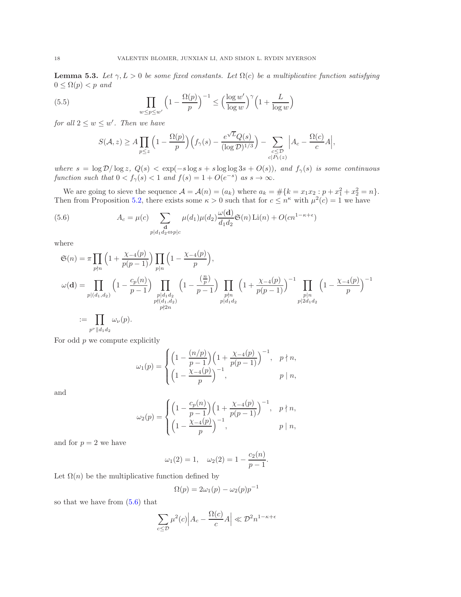<span id="page-17-2"></span>**Lemma 5.3.** Let  $\gamma, L > 0$  be some fixed constants. Let  $\Omega(c)$  be a multiplicative function satisfying  $0 \leq \Omega(p) < p$  and

<span id="page-17-1"></span>(5.5) 
$$
\prod_{w \le p \le w'} \left(1 - \frac{\Omega(p)}{p}\right)^{-1} \le \left(\frac{\log w'}{\log w}\right)^{\gamma} \left(1 + \frac{L}{\log w}\right)
$$

for all  $2 \leq w \leq w'$ . Then we have

$$
S(\mathcal{A}, z) \ge A \prod_{p \le z} \left(1 - \frac{\Omega(p)}{p}\right) \left(f_{\gamma}(s) - \frac{e^{\sqrt{L}} Q(s)}{(\log \mathcal{D})^{1/3}}\right) - \sum_{\substack{c \le \mathcal{D} \\ c|P_1(z)}} \left|A_c - \frac{\Omega(c)}{c} A\right|,
$$

where  $s = \log \mathcal{D}/\log z$ ,  $Q(s) < \exp(-s \log s + s \log \log 3s + O(s))$ , and  $f_{\gamma}(s)$  is some continuous function such that  $0 < f_{\gamma}(s) < 1$  and  $f(s) = 1 + O(e^{-s})$  as  $s \to \infty$ .

We are going to sieve the sequence  $\mathcal{A} = \mathcal{A}(n) = (a_k)$  where  $a_k = \#\{k = x_1x_2 : p + x_1^2 + x_2^2 = n\}.$ Then from Proposition [5.2,](#page-13-5) there exists some  $\kappa > 0$  such that for  $c \leq n^{\kappa}$  with  $\mu^2(c) = 1$  we have

<span id="page-17-0"></span>(5.6) 
$$
A_c = \mu(c) \sum_{\substack{\mathbf{d} \\ p|d_1d_2 \Leftrightarrow p|c}} \mu(d_1)\mu(d_2)\frac{\omega(\mathbf{d})}{d_1d_2}\mathfrak{S}(n)\operatorname{Li}(n) + O(cn^{1-\kappa+\epsilon})
$$

where

$$
\mathfrak{S}(n) = \pi \prod_{p \nmid n} \left( 1 + \frac{\chi_{-4}(p)}{p(p-1)} \right) \prod_{p \mid n} \left( 1 - \frac{\chi_{-4}(p)}{p} \right),
$$
\n
$$
\omega(\mathbf{d}) = \prod_{p | (d_1, d_2)} \left( 1 - \frac{c_p(n)}{p-1} \right) \prod_{\substack{p | d_1 d_2 \\ p \nmid d_1 d_2}} \left( 1 - \frac{\left( \frac{n}{p} \right)}{p-1} \right) \prod_{\substack{p \mid n \\ p \nmid d_1 d_2}} \left( 1 + \frac{\chi_{-4}(p)}{p(p-1)} \right)^{-1} \prod_{\substack{p \mid n \\ p \mid 2 d_1 d_2}} \left( 1 - \frac{\chi_{-4}(p)}{p} \right)^{-1}
$$
\n
$$
:= \prod_{\substack{p \mid d_1 d_2 \\ p \nmid d_1 d_2}} \omega_{\nu}(p).
$$

For odd  $p$  we compute explicitly

$$
\omega_1(p) = \begin{cases} \left(1 - \frac{(n/p)}{p-1}\right) \left(1 + \frac{\chi_{-4}(p)}{p(p-1)}\right)^{-1}, & p \nmid n, \\ \left(1 - \frac{\chi_{-4}(p)}{p}\right)^{-1}, & p \mid n, \end{cases}
$$

and

$$
\omega_2(p)=\begin{cases} \Big(1-\frac{c_p(n)}{p-1}\Big)\Big(1+\frac{\chi_{-4}(p)}{p(p-1)}\Big)^{-1}, & p\nmid n, \\ \Big(1-\frac{\chi_{-4}(p)}{p}\Big)^{-1}, & p\mid n, \end{cases}
$$

and for  $p = 2$  we have

$$
\omega_1(2) = 1, \quad \omega_2(2) = 1 - \frac{c_2(n)}{p-1}.
$$

Let  $\Omega(n)$  be the multiplicative function defined by

$$
\Omega(p) = 2\omega_1(p) - \omega_2(p)p^{-1}
$$

so that we have from [\(5.6\)](#page-17-0) that

$$
\sum_{c \le \mathcal{D}} \mu^2(c) \left| A_c - \frac{\Omega(c)}{c} A \right| \ll \mathcal{D}^2 n^{1-\kappa+\epsilon}
$$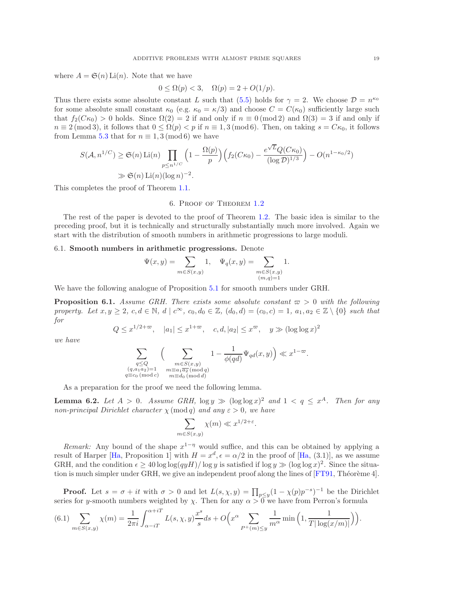where  $A = \mathfrak{S}(n)$  Li(n). Note that we have

$$
0 \le \Omega(p) < 3, \quad \Omega(p) = 2 + O(1/p).
$$

Thus there exists some absolute constant L such that [\(5.5\)](#page-17-1) holds for  $\gamma = 2$ . We choose  $\mathcal{D} = n^{\kappa_0}$ for some absolute small constant  $\kappa_0$  (e.g.  $\kappa_0 = \kappa/3$ ) and choose  $C = C(\kappa_0)$  sufficiently large such that  $f_2(C\kappa_0) > 0$  holds. Since  $\Omega(2) = 2$  if and only if  $n \equiv 0 \pmod{2}$  and  $\Omega(3) = 3$  if and only if  $n \equiv 2 \pmod{3}$ , it follows that  $0 \leq \Omega(p) < p$  if  $n \equiv 1, 3 \pmod{6}$ . Then, on taking  $s = C\kappa_0$ , it follows from Lemma [5.3](#page-17-2) that for  $n \equiv 1, 3 \pmod{6}$  we have

$$
S(\mathcal{A}, n^{1/C}) \ge \mathfrak{S}(n) \operatorname{Li}(n) \prod_{p \le n^{1/C}} \left(1 - \frac{\Omega(p)}{p}\right) \left(f_2(C\kappa_0) - \frac{e^{\sqrt{L}}Q(C\kappa_0)}{(\log \mathcal{D})^{1/3}}\right) - O(n^{1-\kappa_0/2})
$$
  
\$\gg \mathfrak{S}(n) \operatorname{Li}(n)(\log n)^{-2}\$.

<span id="page-18-1"></span>This completes the proof of Theorem [1.1.](#page-1-0)

## 6. Proof of Theorem [1.2](#page-1-1)

The rest of the paper is devoted to the proof of Theorem [1.2.](#page-1-1) The basic idea is similar to the preceding proof, but it is technically and structurally substantially much more involved. Again we start with the distribution of smooth numbers in arithmetic progressions to large moduli.

## 6.1. Smooth numbers in arithmetic progressions. Denote

$$
\Psi(x,y) = \sum_{m \in S(x,y)} 1, \quad \Psi_q(x,y) = \sum_{\substack{m \in S(x,y) \\ (m,q)=1}} 1.
$$

We have the following analogue of Proposition [5.1](#page-13-0) for smooth numbers under GRH.

<span id="page-18-0"></span>**Proposition 6.1.** Assume GRH. There exists some absolute constant  $\varpi > 0$  with the following property. Let  $x, y \geq 2$ ,  $c, d \in \mathbb{N}$ ,  $d \mid c^{\infty}$ ,  $c_0, d_0 \in \mathbb{Z}$ ,  $(d_0, d) = (c_0, c) = 1$ ,  $a_1, a_2 \in \mathbb{Z} \setminus \{0\}$  such that for

$$
Q \le x^{1/2 + \varpi}, \quad |a_1| \le x^{1 + \varpi}, \quad c, d, |a_2| \le x^{\varpi}, \quad y \gg (\log \log x)^2
$$

we have

$$
\sum_{\substack{q \leq Q \\ (q, a_1a_2) = 1 \\ q \equiv c_0 \, (\text{{\rm mod }} c)}} \Big( \sum_{\substack{m \in S(x,y) \\ m \equiv a_1\overline{a_2} \, (\text{{\rm mod }} q) \\ m \equiv d_0 \, (\text{{\rm mod }} d)}} 1 - \frac{1}{\phi(qd)} \Psi_{qd}(x,y) \Big) \ll x^{1-\varpi}.
$$

As a preparation for the proof we need the following lemma.

<span id="page-18-3"></span>**Lemma 6.2.** Let  $A > 0$ . Assume GRH,  $\log y \gg (\log \log x)^2$  and  $1 < q \leq x^A$ . Then for any non-principal Dirichlet character  $\chi \pmod{q}$  and any  $\varepsilon > 0$ , we have

$$
\sum_{m \in S(x,y)} \chi(m) \ll x^{1/2 + \varepsilon}
$$

.

Remark: Any bound of the shape  $x^{1-\eta}$  would suffice, and this can be obtained by applying a result of Harper [\[Ha,](#page-37-31) Proposition 1] with  $H = x^d, \epsilon = \alpha/2$  in the proof of [Ha, (3.1)], as we assume GRH, and the condition  $\epsilon \ge 40 \log \log (qyH)/\log y$  is satisfied if  $\log y \gg (\log \log x)^2$ . Since the situation is much simpler under GRH, we give an independent proof along the lines of  $[FT91, Théorème 4]$ .

**Proof.** Let  $s = \sigma + it$  with  $\sigma > 0$  and let  $L(s, \chi, y) = \prod_{p \le y} (1 - \chi(p)p^{-s})^{-1}$  be the Dirichlet series for y-smooth numbers weighted by  $\chi$ . Then for any  $\alpha > 0$  we have from Perron's formula

<span id="page-18-2"></span>
$$
(6.1)\sum_{m\in S(x,y)} \chi(m) = \frac{1}{2\pi i} \int_{\alpha-iT}^{\alpha+iT} L(s,\chi,y) \frac{x^s}{s} ds + O\left(x^{\alpha} \sum_{P^+(m)\le y} \frac{1}{m^{\alpha}} \min\left(1, \frac{1}{T|\log(x/m)|}\right)\right).
$$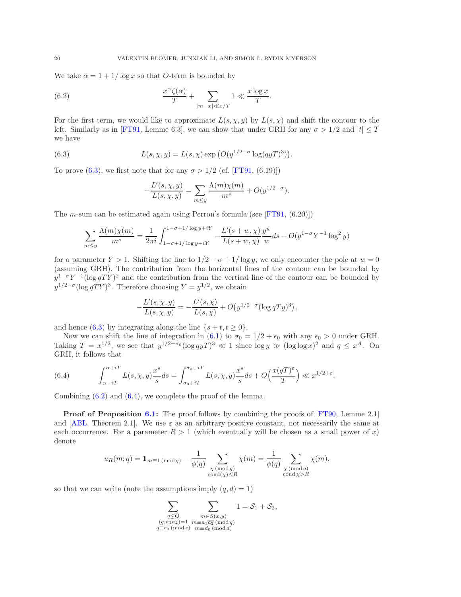We take  $\alpha = 1 + 1/\log x$  so that *O*-term is bounded by

<span id="page-19-1"></span>(6.2) 
$$
\frac{x^{\alpha} \zeta(\alpha)}{T} + \sum_{|m-x| \ll x/T} 1 \ll \frac{x \log x}{T}.
$$

For the first term, we would like to approximate  $L(s, \chi, y)$  by  $L(s, \chi)$  and shift the contour to the left. Similarly as in [\[FT91,](#page-37-32) Lemme 6.3], we can show that under GRH for any  $\sigma > 1/2$  and  $|t| \leq T$ we have

<span id="page-19-0"></span>(6.3) 
$$
L(s, \chi, y) = L(s, \chi) \exp (O(y^{1/2 - \sigma} \log(qyT)^3)).
$$

To prove [\(6.3\)](#page-19-0), we first note that for any  $\sigma > 1/2$  (cf. [\[FT91,](#page-37-32) (6.19)])

$$
-\frac{L'(s, \chi, y)}{L(s, \chi, y)} = \sum_{m \le y} \frac{\Lambda(m)\chi(m)}{m^s} + O(y^{1/2-\sigma}).
$$

The *m*-sum can be estimated again using Perron's formula (see  $[FT91, (6.20)]$ )

$$
\sum_{m\leq y} \frac{\Lambda(m)\chi(m)}{m^s} = \frac{1}{2\pi i} \int_{1-\sigma+1/\log y - iY}^{1-\sigma+1/\log y + iY} -\frac{L'(s+w,\chi)}{L(s+w,\chi)} \frac{y^w}{w} ds + O(y^{1-\sigma}Y^{-1}\log^2 y)
$$

for a parameter  $Y > 1$ . Shifting the line to  $1/2 - \sigma + 1/\log y$ , we only encounter the pole at  $w = 0$ (assuming GRH). The contribution from the horizontal lines of the contour can be bounded by  $y^{1-\sigma}Y^{-1}(\log qTY)^2$  and the contribution from the vertical line of the contour can be bounded by  $y^{1/2-\sigma}(\log qTY)^3$ . Therefore choosing  $Y=y^{1/2}$ , we obtain

$$
-\frac{L'(s,\chi,y)}{L(s,\chi,y)} = -\frac{L'(s,\chi)}{L(s,\chi)} + O\big(y^{1/2-\sigma}(\log qTy)^3\big),\,
$$

and hence [\(6.3\)](#page-19-0) by integrating along the line  $\{s + t, t \geq 0\}.$ 

Now we can shift the line of integration in [\(6.1\)](#page-18-2) to  $\sigma_0 = 1/2 + \epsilon_0$  with any  $\epsilon_0 > 0$  under GRH. Taking  $T = x^{1/2}$ , we see that  $y^{1/2-\sigma_0} (\log q y T)^3 \ll 1$  since  $\log y \gg (\log \log x)^2$  and  $q \leq x^A$ . On GRH, it follows that

<span id="page-19-2"></span>(6.4) 
$$
\int_{\alpha-iT}^{\alpha+iT} L(s,\chi,y) \frac{x^s}{s} ds = \int_{\sigma_0+iT}^{\sigma_0+iT} L(s,\chi,y) \frac{x^s}{s} ds + O\left(\frac{x(qT)^{\varepsilon}}{T}\right) \ll x^{1/2+\varepsilon}.
$$

Combining [\(6.2\)](#page-19-1) and [\(6.4\)](#page-19-2), we complete the proof of the lemma.

**Proof of Proposition [6.1:](#page-18-0)** The proof follows by combining the proofs of [\[FT90,](#page-37-23) Lemme 2.1] and [\[ABL,](#page-37-4) Theorem 2.1]. We use  $\varepsilon$  as an arbitrary positive constant, not necessarily the same at each occurrence. For a parameter  $R > 1$  (which eventually will be chosen as a small power of x) denote

$$
u_R(m;q) = 1_{m \equiv 1 \pmod{q}} - \frac{1}{\phi(q)} \sum_{\substack{\chi \pmod{q} \\ \text{cond}(\chi) \le R}} \chi(m) = \frac{1}{\phi(q)} \sum_{\substack{\chi \pmod{q} \\ \text{cond}(\chi) > R}} \chi(m),
$$

so that we can write (note the assumptions imply  $(q, d) = 1$ )

$$
\sum_{\substack{q \le Q \\ (q, a_1 a_2) = 1 \\ q \equiv c_0 \, (\text{mod } c)}} \sum_{\substack{m \in S(x, y) \\ m \equiv a_1 \overline{a_2} \, (\text{mod } q) \\ m \equiv d_0 \, (\text{mod } d)}} 1 = \mathcal{S}_1 + \mathcal{S}_2,
$$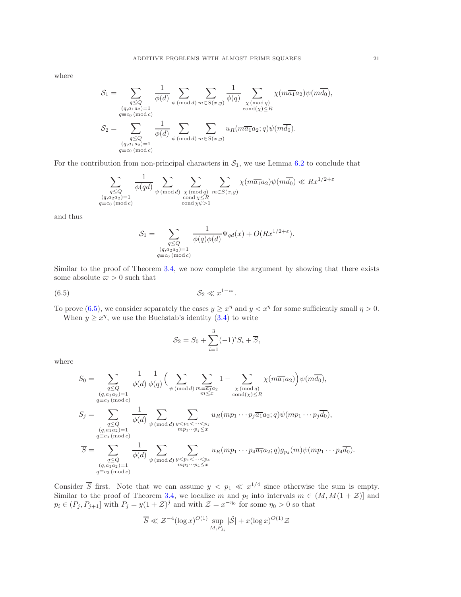where

$$
\mathcal{S}_1 = \sum_{\substack{q \leq Q \\ (q, a_1 a_2) = 1 \\ q \equiv c_0 \pmod{c}}} \frac{1}{\phi(d)} \sum_{\psi \pmod{d}} \sum_{m \in S(x, y)} \frac{1}{\phi(q)} \sum_{\substack{\chi \pmod{q} \\ \text{cond}(\chi) \leq R}} \chi(m\overline{a_1}a_2) \psi(m\overline{d_0}),
$$

$$
\mathcal{S}_2 = \sum_{\substack{q \leq Q \\ (q, a_1 a_2) = 1 \\ q \equiv c_0 \pmod{c}}} \frac{1}{\phi(d)} \sum_{\psi \pmod{d}} \sum_{m \in S(x, y)} u_R(m\overline{a_1}a_2; q) \psi(m\overline{d_0}).
$$

For the contribution from non-principal characters in  $S_1$ , we use Lemma [6.2](#page-18-3) to conclude that

$$
\sum_{\substack{q \leq Q \\ (q, a_2 a_2) = 1 \\ q \equiv c_0 \, (\text{mod } c)}} \frac{1}{\phi(qd)} \sum_{\psi \, (\text{mod } d)} \sum_{\substack{\chi \, (\text{mod } q) \\ \text{cond } \chi \leq R \\ \text{cond } \chi \psi > 1}} \sum_{m \in S(x, y)} \chi(m \overline{a_1} a_2) \psi(m \overline{d_0}) \ll Rx^{1/2 + \varepsilon}
$$

and thus

$$
\mathcal{S}_1 = \sum_{\substack{q \le Q \\ (q, a_2 a_2) = 1 \\ q \equiv c_0 \pmod{c}}} \frac{1}{\phi(q)\phi(d)} \Psi_{qd}(x) + O(Rx^{1/2 + \varepsilon}).
$$

Similar to the proof of Theorem [3.4,](#page-7-0) we now complete the argument by showing that there exists some absolute  $\varpi > 0$  such that

<span id="page-20-0"></span>
$$
(6.5) \t S_2 \ll x^{1-\varpi}.
$$

To prove [\(6.5\)](#page-20-0), we consider separately the cases  $y \geq x^{\eta}$  and  $y < x^{\eta}$  for some sufficiently small  $\eta > 0$ . When  $y \geq x^{\eta}$ , we use the Buchstab's identity [\(3.4\)](#page-8-2) to write

$$
S_2 = S_0 + \sum_{i=1}^{3} (-1)^i S_i + \overline{S},
$$

where

$$
S_0 = \sum_{\substack{q \leq Q \\ (q, a_1 a_2) = 1}} \frac{1}{\phi(d)} \frac{1}{\phi(q)} \Big(\sum_{\substack{\psi \pmod{d} \\ m \leq x}} \sum_{\substack{m \equiv \overline{a_1} a_2 \\ \text{cond}(\chi) \leq R}} 1 - \sum_{\substack{\chi \pmod{q} \\ \text{cond}(\chi) \leq R}} \chi(m \overline{a_1} a_2) \Big) \psi(m \overline{d_0}),
$$
  

$$
S_j = \sum_{\substack{q \leq Q \\ (q, a_1 a_2) = 1}} \frac{1}{\phi(d)} \sum_{\substack{\psi \pmod{d} \\ \text{mod } \overline{d}}} \sum_{\substack{y < p_1 < \dots < p_j \\ mp_1 \cdots p_j \leq x}} u_R(mp_1 \cdots p_j \overline{a_1} a_2; q) \psi(mp_1 \cdots p_j \overline{d_0}),
$$
  

$$
\overline{S} = \sum_{\substack{q \leq Q \\ (q, a_1 a_2) = 1}} \frac{1}{\phi(d)} \sum_{\substack{\psi \pmod{d} \\ \text{mod } \overline{d}}} \sum_{\substack{y < p_1 < \dots < p_4 \\ mp_1 \cdots p_4 \leq x}} u_R(mp_1 \cdots p_4 \overline{a_1} a_2; q) g_{p_4}(m) \psi(mp_1 \cdots p_4 \overline{d_0}).
$$

Consider  $\overline{S}$  first. Note that we can assume  $y < p_1 \ll x^{1/4}$  since otherwise the sum is empty. Similar to the proof of Theorem [3.4,](#page-7-0) we localize m and  $p_i$  into intervals  $m \in (M, M(1 + \mathcal{Z})]$  and  $p_i \in (P_j, P_{j+1}]$  with  $P_j = y(1+\mathcal{Z})^j$  and with  $\mathcal{Z} = x^{-\eta_0}$  for some  $\eta_0 > 0$  so that

$$
\overline{S} \ll \mathcal{Z}^{-4} (\log x)^{O(1)} \sup_{M, P_{j_i}} |\tilde{\mathcal{S}}| + x (\log x)^{O(1)} \mathcal{Z}
$$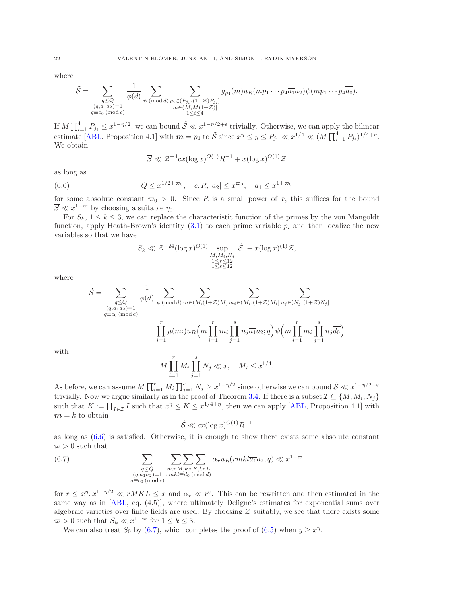where

$$
\tilde{S} = \sum_{\substack{q \leq Q \\ (q, a_1 a_2) = 1 \\ q \equiv c_0 \, (\text{mod } c)}} \frac{1}{\phi(d)} \sum_{\psi \, (\text{mod } d)} \sum_{\substack{p_i \in (P_{j_i}, (1+Z)P_{j_i}] \\ m \in (M, M(1+Z)]}} g_{p_4}(m) u_R(m p_1 \cdots p_4 \overline{a_1} a_2) \psi(m p_1 \cdots p_4 \overline{a_0}).
$$

If  $M \prod_{i=1}^4 P_{j_i} \leq x^{1-\eta/2}$ , we can bound  $\tilde{S} \ll x^{1-\eta/2+\epsilon}$  trivially. Otherwise, we can apply the bilinear estimate [\[ABL,](#page-37-4) Proposition 4.1] with  $m = p_1$  to  $\tilde{S}$  since  $x^{\eta} \le y \le P_{j_1} \ll x^{1/4} \ll (M \prod_{i=1}^4 P_{j_i})^{1/4 + \eta}$ . We obtain

$$
\overline{S} \ll \mathcal{Z}^{-4} c x (\log x)^{O(1)} R^{-1} + x (\log x)^{O(1)} \mathcal{Z}
$$

as long as

<span id="page-21-0"></span>(6.6) 
$$
Q \le x^{1/2 + \varpi_0}, \quad c, R, |a_2| \le x^{\varpi_0}, \quad a_1 \le x^{1 + \varpi_0}
$$

for some absolute constant  $\varpi_0 > 0$ . Since R is a small power of x, this suffices for the bound  $\overline{S} \ll x^{1-\varpi}$  by choosing a suitable  $\eta_0$ .

For  $S_k$ ,  $1 \leq k \leq 3$ , we can replace the characteristic function of the primes by the von Mangoldt function, apply Heath-Brown's identity  $(3.1)$  to each prime variable  $p_i$  and then localize the new variables so that we have

$$
S_k \ll \mathcal{Z}^{-24} (\log x)^{O(1)} \sup_{\substack{M, M_i, N_j \\ 1 \le r \le 12 \\ 1 \le s \le 12}} |\dot{\mathcal{S}}| + x (\log x)^{(1)} \mathcal{Z},
$$

where

$$
\dot{\mathcal{S}} = \sum_{\substack{q \leq Q \\ (q, a_1 a_2) = 1 \\ q \equiv c_0 \, (\text{mod } c)}} \frac{1}{\phi(d)} \sum_{\psi \, (\text{mod } d)} \sum_{m \in (M, (1 + Z)M]} \sum_{m_i \in (M_i, (1 + Z)M_i]} \sum_{n_j \in (N_j, (1 + Z)N_j]} \sum_{\substack{q \equiv c_0 \, (\text{mod } c)}} \sum_{\psi \, (\text{mod } d)} \sum_{m_i \in (M, (1 + Z)M_i]} \sum_{n_i \in (M_i, (1 + Z)M_i]} \sum_{n_j \in (N_j, (1 + Z)N_j]} \sum_{\substack{q \equiv c_0 \, (\text{mod } c)}} \frac{1}{\phi(d)} \sum_{\substack{q \equiv c_0 \, (\text{mod } c)}} \frac{1}{\phi(d)} \sum_{m_i \in (M, (1 + Z)M_i]} \sum_{n_i \in (M_i, (1 + Z)M_i]} \sum_{n_j \in (N_j, (1 + Z)M_j]} \frac{1}{\phi(d)} \sum_{\substack{q \equiv c_0 \, (\text{mod } c)}} \frac{1}{\phi(d)} \sum_{\substack{q \equiv c_0 \, (\text{mod } c)}} \frac{1}{\phi(d)} \sum_{m_i \in (M, (1 + Z)M_i]} \frac{1}{\phi(d)} \sum_{\substack{q \equiv c_0 \, (\text{mod } c)}} \frac{1}{\phi(d)} \sum_{\substack{q \equiv c_0 \, (\text{mod } c)}} \frac{1}{\phi(d)} \sum_{\substack{q \equiv c_0 \, (\text{mod } c)}} \frac{1}{\phi(d)} \sum_{\substack{q \equiv c_0 \, (\text{mod } c)}} \frac{1}{\phi(d)} \sum_{\substack{q \equiv c_0 \, (\text{mod } c)}} \frac{1}{\phi(d)} \sum_{\substack{q \equiv c_0 \, (\text{mod } c)}} \frac{1}{\phi(d)} \sum_{\substack{q \equiv c_0 \, (\text{mod } c)}} \frac{1}{\phi(d)} \sum_{\substack{q \equiv c_0 \, (\text{mod } c)}} \frac{1}{\phi(d)} \sum_{\substack{q \equiv c_0 \, (\text{mod } c)}} \frac{1}{\phi(d)} \sum_{\substack{q \equiv c_0 \, (\text{mod } c)}} \frac{1}{\phi(d)} \sum_{\substack{q \equiv c_0 \
$$

with

$$
M \prod_{i=1}^{r} M_i \prod_{j=1}^{s} N_j \ll x, \quad M_i \leq x^{1/4}.
$$

As before, we can assume  $M\prod_{i=1}^r M_i \prod_{j=1}^s N_j \geq x^{1-\eta/2}$  since otherwise we can bound  $\dot{S} \ll x^{1-\eta/2+\varepsilon}$ trivially. Now we argue similarly as in the proof of Theorem [3.4.](#page-7-0) If there is a subset  $\mathcal{I} \subseteq \{M, M_i, N_j\}$ such that  $K := \prod_{I \in \mathcal{I}} I$  such that  $x^{\eta} \le K \le x^{1/4 + \eta}$ , then we can apply [\[ABL,](#page-37-4) Proposition 4.1] with  $m = k$  to obtain

$$
\dot{S} \ll cx(\log x)^{O(1)}R^{-1}
$$

as long as [\(6.6\)](#page-21-0) is satisfied. Otherwise, it is enough to show there exists some absolute constant  $\varpi > 0$  such that

<span id="page-21-1"></span>(6.7) 
$$
\sum_{\substack{q \leq Q \\ (q, a_1 a_2) = 1 \\ q \equiv c_0 \pmod{c}}} \sum_{\substack{m \asymp M, k \asymp K, l \asymp L \\ r m k l \equiv d_0 \pmod{d}}} \sum_{\substack{\alpha_r u_R(r m k l \overline{a_1} a_2; q) \ll x^{1-\varpi}}
$$

for  $r \leq x^{\eta}, x^{1-\eta/2} \ll rMKL \leq x$  and  $\alpha_r \ll r^{\varepsilon}$ . This can be rewritten and then estimated in the same way as in [\[ABL,](#page-37-4) eq. (4.5)], where ultimately Deligne's estimates for exponential sums over algebraic varieties over finite fields are used. By choosing  $\mathcal Z$  suitably, we see that there exists some  $\varpi > 0$  such that  $S_k \ll x^{1-\varpi}$  for  $1 \leq k \leq 3$ .

We can also treat  $S_0$  by [\(6.7\)](#page-21-1), which completes the proof of [\(6.5\)](#page-20-0) when  $y \geq x^{\eta}$ .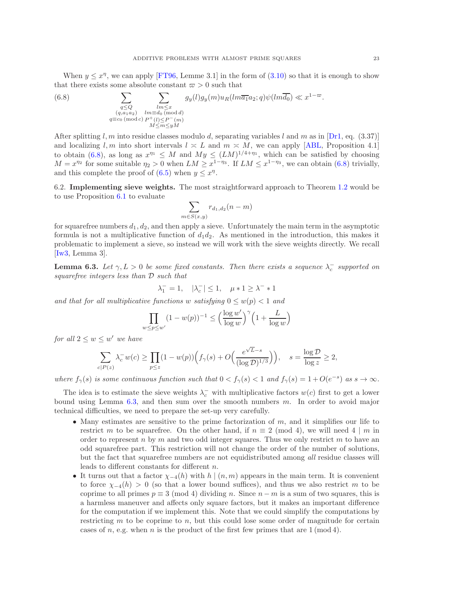When  $y \leq x^{\eta}$ , we can apply [\[FT96,](#page-37-20) Lemme 3.1] in the form of [\(3.10\)](#page-10-5) so that it is enough to show that there exists some absolute constant  $\varpi > 0$  such that

<span id="page-22-0"></span>(6.8) 
$$
\sum_{\substack{q \leq Q \\ (q, a_1 a_2) \\ q \equiv c_0 \pmod{c}}} \sum_{\substack{lm \leq x \\ lm \equiv d_0 \pmod{d} \\ M \leq m \leq yM}} g_y(l)g_y(m)u_R(lm\overline{a_1}a_2; q)\psi(lm\overline{d_0}) \ll x^{1-\overline{\omega}}.
$$

After splitting l, m into residue classes modulo d, separating variables l and m as in  $[Dr1, eq. (3.37)]$ and localizing l, m into short intervals  $l \approx L$  and  $m \approx M$ , we can apply [\[ABL,](#page-37-4) Proposition 4.1] to obtain [\(6.8\)](#page-22-0), as long as  $x^{\eta_1} \leq M$  and  $My \leq (LM)^{1/4+\eta_1}$ , which can be satisfied by choosing  $M = x^{\eta_2}$  for some suitable  $\eta_2 > 0$  when  $LM \geq x^{1-\eta_3}$ . If  $LM \leq x^{1-\eta_3}$ , we can obtain [\(6.8\)](#page-22-0) trivially, and this complete the proof of  $(6.5)$  when  $y \leq x^{\eta}$ .

6.2. Implementing sieve weights. The most straightforward approach to Theorem [1.2](#page-1-1) would be to use Proposition [6.1](#page-18-0) to evaluate

$$
\sum_{m \in S(x,y)} r_{d_1,d_2}(n-m)
$$

for squarefree numbers  $d_1, d_2$ , and then apply a sieve. Unfortunately the main term in the asymptotic formula is not a multiplicative function of  $d_1d_2$ . As mentioned in the introduction, this makes it problematic to implement a sieve, so instead we will work with the sieve weights directly. We recall [\[Iw3,](#page-37-33) Lemma 3].

<span id="page-22-1"></span>**Lemma 6.3.** Let  $\gamma, L > 0$  be some fixed constants. Then there exists a sequence  $\lambda_c^-$  supported on squarefree integers less than D such that

$$
\lambda_1^- = 1, \quad |\lambda_c^-| \le 1, \quad \mu * 1 \ge \lambda^- * 1
$$

and that for all multiplicative functions w satisfying  $0 \leq w(p) < 1$  and

$$
\prod_{w \le p \le w'} (1 - w(p))^{-1} \le \left(\frac{\log w'}{\log w}\right)^{\gamma} \left(1 + \frac{L}{\log w}\right)
$$

for all  $2 \leq w \leq w'$  we have

$$
\sum_{c|P(z)} \lambda_c^{-} w(c) \ge \prod_{p \le z} (1 - w(p)) \Big( f_{\gamma}(s) + O\Big(\frac{e^{\sqrt{L} - s}}{(\log \mathcal{D})^{1/3}} \Big) \Big), \quad s = \frac{\log \mathcal{D}}{\log z} \ge 2,
$$

where  $f_{\gamma}(s)$  is some continuous function such that  $0 < f_{\gamma}(s) < 1$  and  $f_{\gamma}(s) = 1 + O(e^{-s})$  as  $s \to \infty$ .

The idea is to estimate the sieve weights  $\lambda_c^-$  with multiplicative factors  $w(c)$  first to get a lower bound using Lemma [6.3,](#page-22-1) and then sum over the smooth numbers m. In order to avoid major technical difficulties, we need to prepare the set-up very carefully.

- Many estimates are sensitive to the prime factorization of  $m$ , and it simplifies our life to restrict m to be squarefree. On the other hand, if  $n \equiv 2 \pmod{4}$ , we will need 4 | m in order to represent n by m and two odd integer squares. Thus we only restrict m to have an odd squarefree part. This restriction will not change the order of the number of solutions, but the fact that squarefree numbers are not equidistributed among all residue classes will leads to different constants for different n.
- It turns out that a factor  $\chi_{-4}(h)$  with  $h | (n,m)$  appears in the main term. It is convenient to force  $\chi_{-4}(h) > 0$  (so that a lower bound suffices), and thus we also restrict m to be coprime to all primes  $p \equiv 3 \pmod{4}$  dividing n. Since  $n - m$  is a sum of two squares, this is a harmless maneuver and affects only square factors, but it makes an important difference for the computation if we implement this. Note that we could simplify the computations by restricting  $m$  to be coprime to  $n$ , but this could lose some order of magnitude for certain cases of n, e.g. when n is the product of the first few primes that are  $1 \pmod{4}$ .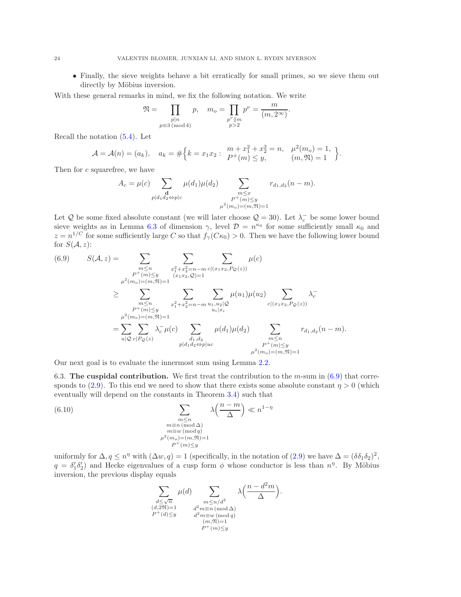• Finally, the sieve weights behave a bit erratically for small primes, so we sieve them out directly by Möbius inversion.

With these general remarks in mind, we fix the following notation. We write

$$
\mathfrak{N} = \prod_{\substack{p|n \ p \equiv 3 \pmod{4}}} p, \quad m_o = \prod_{\substack{p^{\nu} \parallel m \\ p > 2}} p^{\nu} = \frac{m}{(m, 2^{\infty})}.
$$

Recall the notation [\(5.4\)](#page-16-1). Let

$$
\mathcal{A} = \mathcal{A}(n) = (a_k), \quad a_k = \# \Big\{ k = x_1 x_2 : \begin{array}{c} m + x_1^2 + x_2^2 = n, & \mu^2(m_o) = 1, \\ P^+(m) \le y, & (m, \mathfrak{N}) = 1 \end{array} \Big\}.
$$

Then for c squarefree, we have

$$
A_c = \mu(c) \sum_{\substack{\mathbf{d} \\ p \mid d_1 d_2 \Leftrightarrow p \mid c}} \mu(d_1)\mu(d_2) \sum_{\substack{m \le x \\ P^+(m) \le y \\ \mu^2(m_o) = (m, \mathfrak{N}) = 1}} r_{d_1, d_2}(n - m).
$$

Let Q be some fixed absolute constant (we will later choose  $Q = 30$ ). Let  $\lambda_c$  be some lower bound sieve weights as in Lemma [6.3](#page-22-1) of dimension  $\gamma$ , level  $\mathcal{D} = n^{\kappa_0}$  for some sufficiently small  $\kappa_0$  and  $z = n^{1/C}$  for some sufficiently large C so that  $f_{\gamma}(C\kappa_0) > 0$ . Then we have the following lower bound for  $S(A, z)$ :

<span id="page-23-0"></span>(6.9) 
$$
S(\mathcal{A}, z) = \sum_{\substack{m \le n \\ P^+(m) \le y \\ \mu^2(m_o) = (m, \mathfrak{N}) = 1}} \sum_{\substack{x_1^2 + x_2^2 = n - m \\ (x_1 x_2, Q) = 1}} \mu(c)
$$

$$
= \sum_{\substack{\mu^2(m_o) = (m, \mathfrak{N}) = 1 \\ P^+(m) \le y \\ \mu^2(m_o) = (m, \mathfrak{N}) = 1}} \sum_{\substack{x_1^2 + x_2^2 = n - m \\ u_1, u_2 | Q}} \mu(u_1) \mu(u_2) \sum_{\substack{c | (x_1 x_2, P_{\mathcal{Q}}(z)) \\ c | (x_1 x_2, P_{\mathcal{Q}}(z))}} \lambda_c^-
$$

$$
= \sum_{u | Q} \sum_{c | P_{\mathcal{Q}}(z)} \lambda_c^- \mu(c) \sum_{\substack{d_1, d_2 \\ \mu | d_1 d_2 \Leftrightarrow p | uc}} \mu(d_1) \mu(d_2) \sum_{\substack{m \le n \\ P^+(m) \le y \\ P^+(m) \le y \\ \mu^2(m_o) = (m, \mathfrak{N}) = 1}} r_{d_1, d_2}(n - m).
$$

Our next goal is to evaluate the innermost sum using Lemma [2.2.](#page-4-0)

6.3. The cuspidal contribution. We first treat the contribution to the  $m$ -sum in [\(6.9\)](#page-23-0) that corre-sponds to [\(2.9\)](#page-5-1). To this end we need to show that there exists some absolute constant  $\eta > 0$  (which eventually will depend on the constants in Theorem [3.4\)](#page-7-0) such that

<span id="page-23-1"></span>(6.10) 
$$
\sum_{\substack{m \le n \\ m \equiv n \pmod{\Delta} \\ m \equiv w \pmod{q} \\ \mu^2(m_o) = (m, \mathfrak{N}) = 1}} \lambda\left(\frac{n - m}{\Delta}\right) \ll n^{1 - \eta}
$$

uniformly for  $\Delta, q \leq n^{\eta}$  with  $(\Delta w, q) = 1$  (specifically, in the notation of  $(2.9)$  we have  $\Delta = (\delta \delta_1 \delta_2)^2$ ,  $q = \delta'_1 \delta'_2$  and Hecke eigenvalues of a cusp form  $\phi$  whose conductor is less than  $n^{\eta}$ . By Möbius inversion, the previous display equals

$$
\sum_{\substack{d \leq \sqrt{n} \\ (d, 2\mathfrak{N}) = 1 \\ P^+(d) \leq y}} \mu(d) \sum_{\substack{m \leq n/d^2 \\ d^2 m \equiv n \pmod{4} \\ d^2 m \equiv w \pmod{q} \\ (m, \mathfrak{N}) = 1 \\ P^+(m) \leq y}} \lambda\left(\frac{n - d^2 m}{\Delta}\right).
$$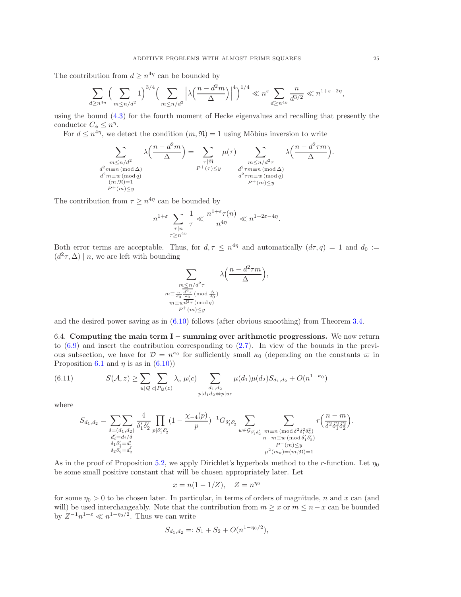The contribution from  $d \geq n^{4\eta}$  can be bounded by

$$
\sum_{d\geq n^{4\eta}}\Big(\sum_{m\leq n/d^2}1\Big)^{3/4}\Big(\sum_{m\leq n/d^2}\Big|\lambda\Big(\frac{n-d^2m}{\Delta}\Big)\Big|^4\Big)^{1/4}\ll n^{\varepsilon}\sum_{d\geq n^{4\eta}}\frac{n}{d^{3/2}}\ll n^{1+\varepsilon-2\eta},
$$

using the bound [\(4.3\)](#page-11-2) for the fourth moment of Hecke eigenvalues and recalling that presently the conductor  $C_{\phi} \leq n^{\eta}$ .

For  $d \leq n^{4\eta}$ , we detect the condition  $(m, \mathfrak{N}) = 1$  using Möbius inversion to write

$$
\sum_{\substack{m \le n/d^2 \\ d^2m \equiv n \pmod{\Delta} \\ d^2m \equiv w \pmod{q} \\ (m, \mathfrak{N}) = 1}} \lambda\left(\frac{n - d^2m}{\Delta}\right) = \sum_{\substack{\tau | \mathfrak{N} \\ P^+(\tau) \le y}} \mu(\tau) \sum_{\substack{m \le n/d^2\tau \\ d^2\tau m \equiv n \pmod{\Delta} \\ d^2\tau m \equiv w \pmod{q} \\ P^+(m) \le y}} \lambda\left(\frac{n - d^2\tau m}{\Delta}\right).
$$

The contribution from  $\tau \geq n^{4\eta}$  can be bounded by

$$
n^{1+\varepsilon}\sum_{\substack{\tau|n\\ \tau\geq n^{4\eta}}} \frac{1}{\tau} \ll \frac{n^{1+\varepsilon}\tau(n)}{n^{4\eta}} \ll n^{1+2\varepsilon-4\eta}.
$$

Both error terms are acceptable. Thus, for  $d, \tau \leq n^{4\eta}$  and automatically  $(d\tau, q) = 1$  and  $d_0 :=$  $(d^2\tau, \Delta) \mid n$ , we are left with bounding

$$
\sum_{\substack{m \le n/d^2 \tau \\ m \equiv \frac{n}{d_0} \frac{d^2 \tau}{d_0} \pmod{\frac{\Delta}{d_0}} \\ m \equiv w d^2 \tau \pmod{q} \\ P^+(m) \le y}} \lambda\left(\frac{n - d^2 \tau m}{\Delta}\right),
$$

<span id="page-24-0"></span>and the desired power saving as in [\(6.10\)](#page-23-1) follows (after obvious smoothing) from Theorem [3.4.](#page-7-0)

6.4. Computing the main term  $I$  – summing over arithmetic progressions. We now return to  $(6.9)$  and insert the contribution corresponding to  $(2.7)$ . In view of the bounds in the previous subsection, we have for  $\mathcal{D} = n^{\kappa_0}$  for sufficiently small  $\kappa_0$  (depending on the constants  $\varpi$  in Proposition [6.1](#page-18-0) and  $\eta$  is as in [\(6.10\)](#page-23-1))

<span id="page-24-1"></span>(6.11) 
$$
S(\mathcal{A}, z) \geq \sum_{u | \mathcal{Q}} \sum_{c | P_{\mathcal{Q}}(z)} \lambda_c^{\top} \mu(c) \sum_{\substack{d_1, d_2 \\ p | d_1 d_2 \Leftrightarrow p | uc}} \mu(d_1) \mu(d_2) S_{d_1, d_2} + O(n^{1 - \kappa_0})
$$

where

$$
S_{d_1,d_2} = \sum_{\substack{\delta = (d_1,d_2) \\ d'_i = d_i/\delta \\ \delta_1 \delta'_1 = d'_1 \\ \delta_2 \delta'_2 = d'_2}} \frac{4}{\delta'_1 \delta'_2} \prod_{p | \delta'_1 \delta'_2} (1 - \frac{\chi_{-4}(p)}{p})^{-1} G_{\delta'_1 \delta'_2} \sum_{w \in \mathcal{G}_{\delta'_1 \delta'_2}} \sum_{\substack{m \equiv n \, (\text{mod } \delta^2 \delta_1^2 \delta_2^2) \\ n - m \equiv w \, (\text{mod } \delta'_1 \delta'_2) \\ P^+(m) \leq y \\ \mu^2(m_o) = (m, \mathfrak{N}) = 1}} r \Big( \frac{n - m}{\delta^2 \delta_1^2 \delta_2^2} \Big).
$$

As in the proof of Proposition [5.2,](#page-13-5) we apply Dirichlet's hyperbola method to the r-function. Let  $\eta_0$ be some small positive constant that will be chosen appropriately later. Let

$$
x = n(1 - 1/Z), \quad Z = n^{\eta_0}
$$

for some  $\eta_0 > 0$  to be chosen later. In particular, in terms of orders of magnitude, n and x can (and will) be used interchangeably. Note that the contribution from  $m \geq x$  or  $m \leq n-x$  can be bounded by  $Z^{-1}n^{1+\varepsilon} \ll n^{1-\eta_0/2}$ . Thus we can write

$$
S_{d_1,d_2} =: S_1 + S_2 + O(n^{1-\eta_0/2}),
$$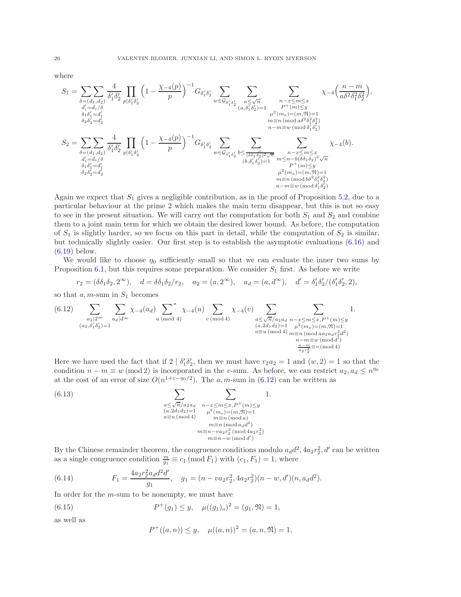where

$$
S_{1} = \sum_{\substack{\delta = (d_{1}, d_{2}) \\ d'_{i} = d_{i}/\delta \\ \delta_{1} \delta_{2}^{\prime} \\ \delta_{1} \delta_{2}^{\prime} \\ \delta_{2} \delta_{2}^{\prime} \\ \delta_{2} \delta_{2}^{\prime} \\ \delta_{2}^{\prime} \\ \delta_{2}^{\prime} \\ \delta_{2} \delta_{2}^{\prime} = d'_{2}}} \frac{4}{\delta_{1}^{\prime} \delta_{2}^{\prime}} \prod_{p | \delta_{1}^{\prime} \delta_{2}^{\prime}} \left(1 - \frac{\chi_{-4}(p)}{p}\right)^{-1} G_{\delta_{1}^{\prime} \delta_{2}^{\prime}} \sum_{w \in \mathcal{G}_{\delta_{1}^{\prime} \delta_{2}^{\prime}}} \sum_{\substack{a \leq \sqrt{n} \\ (a, \delta_{1}^{\prime} \delta_{2}^{\prime}) = 1 \\ (a, \delta_{1}^{\prime} \delta_{2}^{\prime}) = 1 \\ \mu^{2}(m_{o}) = (m, \mathfrak{N}) = 1 \\ m = n \pmod{\delta^{2} \delta_{1}^{2} \delta_{2}^{2}}} \chi_{-4} \left(\frac{n - m}{a \delta^{2} \delta_{1}^{2} \delta_{2}^{2}}\right),
$$
  
\n
$$
S_{2} = \sum_{\substack{\delta = (d_{1}, d_{2}) \\ d'_{i} = d_{i}/\delta \\ \delta_{1}^{\prime} \delta_{2}^{\prime} \\ \delta_{1} \delta_{1}^{\prime} \\ \delta_{2} \delta_{2}^{\prime} = d'_{2}}} \frac{4}{\delta_{1}^{\prime} \delta_{2}^{\prime}} \prod_{p | \delta_{1}^{\prime} \delta_{2}^{\prime}} \left(1 - \frac{\chi_{-4}(p)}{p}\right)^{-1} G_{\delta_{1}^{\prime} \delta_{2}^{\prime}} \sum_{w \in \mathcal{G}_{\delta_{1}^{\prime} \delta_{2}^{\prime}}} \sum_{\substack{b \leq \frac{x}{(\delta \delta_{1} \delta_{2})^{2} \sqrt{n} \\ (b, \delta_{1}^{\prime} \delta_{2}^{\prime}) = 1 \\ (b, \delta_{1}^{\prime} \delta_{2}^{\prime}) = 1 \\ m = n \pmod{\delta^{2} \delta_{1}^{2} \delta_{2}}} \chi_{-4}(b).
$$
  
\n $$ 

Again we expect that  $S_1$  gives a negligible contribution, as in the proof of Proposition [5.2,](#page-13-5) due to a particular behaviour at the prime 2 which makes the main term disappear, but this is not so easy to see in the present situation. We will carry out the computation for both  $S_1$  and  $S_2$  and combine them to a joint main term for which we obtain the desired lower bound. As before, the computation of  $S_1$  is slightly harder, so we focus on this part in detail, while the computation of  $S_2$  is similar, but technically slightly easier. Our first step is to establish the asymptotic evaluations [\(6.16\)](#page-26-0) and [\(6.19\)](#page-28-0) below.

We would like to choose  $\eta_0$  sufficiently small so that we can evaluate the inner two sums by Proposition [6.1,](#page-18-0) but this requires some preparation. We consider  $S_1$  first. As before we write

$$
r_2 = (\delta \delta_1 \delta_2, 2^{\infty}), \quad d = \delta \delta_1 \delta_2 / r_2, \quad a_2 = (a, 2^{\infty}), \quad a_d = (a, d^{\infty}), \quad d' = \delta_1' \delta_2' / (\delta_1' \delta_2', 2),
$$

so that  $a, m$ -sum in  $S_1$  becomes

<span id="page-25-0"></span>
$$
(6.12) \sum_{\substack{a_2 \mid 2^{\infty} \\ (a_2, \delta'_1 \delta'_2) = 1}} \sum_{\substack{a_d \mid d^{\infty} \\ a_d \mid d^{\infty}}} \chi_{-4}(a_d) \sum_{\substack{u \pmod{4} \\ u \pmod{4}}}^* \chi_{-4}(u) \sum_{\substack{a \le \sqrt{n}/a_2 a_d \\ (a, 2d_1 d_2) = 1 \\ a \equiv u \pmod{4}}} \sum_{\substack{m - x \le m \le x, P^+(m) \le y \\ m \equiv n \pmod{4} \\ m \equiv m \pmod{4} \\ n - m \equiv w \pmod{d} \\ \frac{n - m \equiv w \pmod{d}}{a_2 r_2^2}} 1.
$$

Here we have used the fact that if  $2 | \delta'_1 \delta'_2$ , then we must have  $r_2 a_2 = 1$  and  $(w, 2) = 1$  so that the condition  $n - m \equiv w \pmod{2}$  is incorporated in the v-sum. As before, we can restrict  $a_2, a_d \leq n^{\eta_0}$ at the cost of an error of size  $O(n^{1+\varepsilon-\eta_0/2})$ . The a, m-sum in [\(6.12\)](#page-25-0) can be written as

<span id="page-25-1"></span>(6.13) 
$$
\sum_{\substack{a \le \sqrt{n}/a_2 a_d \\ (a, 2d_1 d_2) = 1 \\ a \equiv u \, (\text{mod } 4)}} \sum_{\substack{n-x \le m \le x, P^+(m) \le y \\ \mu^2(m_o) = (m, \mathfrak{N}) = 1 \\ m \equiv n \, (\text{mod } a)}} 1.
$$
  

$$
\sum_{\substack{a \le \sqrt{n}/a_2 a_d \\ m \equiv n \, (\text{mod } a_d a^2) \\ m \equiv n - v a_2 r_2^2 \, (\text{mod } 4a_2 r_2^2)}} 1.
$$

By the Chinese remainder theorem, the congruence conditions modulo  $a_d d^2$ ,  $4a_2 r_2^2$ , d' can be written as a single congruence condition  $\frac{m}{g_1} \equiv c_1 \pmod{F_1}$  with  $(c_1, F_1) = 1$ , where

<span id="page-25-3"></span>(6.14) 
$$
F_1 = \frac{4a_2r_2^2a_d d^2d'}{g_1}, \quad g_1 = (n - va_2r_2^2, 4a_2r_2^2)(n - w, d')(n, a_d d^2).
$$

In order for the *m*-sum to be nonempty, we must have

<span id="page-25-2"></span>(6.15) 
$$
P^+(g_1) \leq y, \quad \mu((g_1)_o)^2 = (g_1, \mathfrak{N}) = 1,
$$

as well as

$$
P^+((a, n)) \le y, \quad \mu((a, n))^2 = (a, n, \mathfrak{N}) = 1,
$$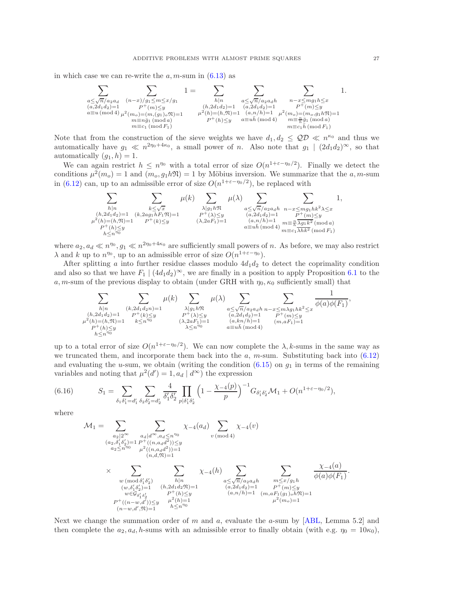in which case we can re-write the  $a, m$ -sum in  $(6.13)$  as



Note that from the construction of the sieve weights we have  $d_1, d_2 \leq QD \ll n^{\kappa_0}$  and thus we automatically have  $g_1 \ll n^{2\eta_0+4\kappa_0}$ , a small power of n. Also note that  $g_1 \mid (2d_1d_2)^\infty$ , so that automatically  $(g_1, h) = 1$ .

We can again restrict  $h \leq n^{\eta_0}$  with a total error of size  $O(n^{1+\varepsilon-\eta_0/2})$ . Finally we detect the conditions  $\mu^2(m_o) = 1$  and  $(m_o, g_1 h \mathfrak{N}) = 1$  by Möbius inversion. We summarize that the a, m-sum in [\(6.12\)](#page-25-0) can, up to an admissible error of size  $O(n^{1+\epsilon-\eta_0/2})$ , be replaced with

$$
\sum_{\substack{h|n\\(h,2d_1d_2)=1}}\sum_{\substack{k\leq \sqrt{x}\\(k,2ag_1hF_1\mathfrak{N})=1}}\mu(k)\sum_{\substack{\lambda|g_1h\mathfrak{N}\\P^+(\lambda)\leq y\\(k,2aF_1)=1}}\mu(\lambda)\sum_{\substack{a\leq \sqrt{n}/a_2a_dh\\(a,2d_1d_2)=1\\(a,n/h)=1}}\sum_{\substack{n-\leq mg_1hk^2\\\lambda\leq x\\P^+(m)\leq y\\n\equiv c_1\lambda h^2\pmod{a}}}1,
$$
  

$$
\mu^2(h)=(h,\mathfrak{N})=1
$$

where  $a_2, a_d \ll n^{\eta_0}, g_1 \ll n^{2\eta_0+4\kappa_0}$  are sufficiently small powers of n. As before, we may also restrict  $\lambda$  and k up to  $n^{\eta_0}$ , up to an admissible error of size  $O(n^{1+\varepsilon-\eta_0})$ .

After splitting a into further residue classes modulo  $4d_1d_2$  to detect the coprimality condition and also so that we have  $F_1 | (4d_1d_2)^\infty$ , we are finally in a position to apply Proposition [6.1](#page-18-0) to the a, m-sum of the previous display to obtain (under GRH with  $\eta_0$ ,  $\kappa_0$  sufficiently small) that

$$
\sum_{\substack{h|n\\(h,2d_1d_2)=1}}\sum_{\substack{(k,2d_1d_2n)=1\\(k^2(h)=(h, \mathfrak{N})=1}}\mu(k)\sum_{\substack{\lambda|g_1h\mathfrak{N}\\P^+(\lambda)\le y\\k\le n^{\eta_0}}}\mu(\lambda)\sum_{\substack{a\le \sqrt{n}/a_2a_dh\\(a,2d_1d_2)=1\\(a,kn/h)=1}}\sum_{\substack{n\le m\lambda g_1h k^2\le x\\(n,m/h)=1\\a\equiv uh\,(\text{mod}\,4)}}\frac{1}{\phi(a)\phi(F_1)},
$$

up to a total error of size  $O(n^{1+\varepsilon-\eta_0/2})$ . We can now complete the  $\lambda, k$ -sums in the same way as we truncated them, and incorporate them back into the  $a$ ,  $m$ -sum. Substituting back into [\(6.12\)](#page-25-0) and evaluating the u-sum, we obtain (writing the condition  $(6.15)$  on  $g_1$  in terms of the remaining variables and noting that  $\mu^2(d') = 1, a_d | d^{\infty}$  the expression

<span id="page-26-0"></span>(6.16) 
$$
S_1 = \sum_{\delta_1 \delta_1' = d_1'} \sum_{\delta_2 \delta_2' = d_2'} \frac{4}{\delta_1' \delta_2'} \prod_{p | \delta_1' \delta_2'} \left(1 - \frac{\chi_{-4}(p)}{p}\right)^{-1} G_{\delta_1' \delta_2'} \mathcal{M}_1 + O(n^{1+\epsilon-\eta_0/2}),
$$

where

$$
\begin{array}{lcl} \mathcal{M}_1 = & \sum_{a_2 \mid 2^{\infty}} \sum_{\substack{a_d \mid d^{\infty}, a_d \leq n^{\eta_0} \\ (a_2, \delta'_1 \delta'_2) = 1}} \sum_{\substack{P^+( (n, a_d d^2)) \leq y \\ \mu^2((n, a_d d^2)) = 1 \\ (n, d, \mathfrak{N}) = 1}} \chi_{-4}(h) & \sum_{\substack{m \mid (n, d, d^2) \\ (n, d, \mathfrak{N}) = 1}} \sum_{\substack{m \mid (n, d, \mathfrak{N}) = 1 \\ (w, \delta'_1 \delta'_2) = 1}} \chi_{-4}(h) & \sum_{\substack{a \leq \sqrt{n}/a_2 a_d h \\ a \leq \sqrt{n}/a_2 a_d h \\ w \in \mathcal{G}_{\delta'_1 \delta'_2}}} \sum_{\substack{m \mid (m, \delta'_1 \delta'_2) = 1 \\ (n, 2d_1 d_2) = 1 \\ (a, 2d_1 d_2) = 1}} \sum_{\substack{m \mid (n, 2d, d, \mathfrak{N}) = 1 \\ (a, n/h) = 1}} \sum_{\substack{m \mid (m, aF_1(g_1)_o h \mathfrak{N}) = 1 \\ (n, m, aF_1(g_1)_o h \mathfrak{N}) = 1}} \frac{\chi_{-4}(a)}{\phi(a)\phi(F_1)} .\end{array}
$$

Next we change the summation order of m and a, evaluate the a-sum by  $[ABL, Lemma 5.2]$  and then complete the  $a_2, a_d, h$ -sums with an admissible error to finally obtain (with e.g.  $\eta_0 = 10\kappa_0$ ),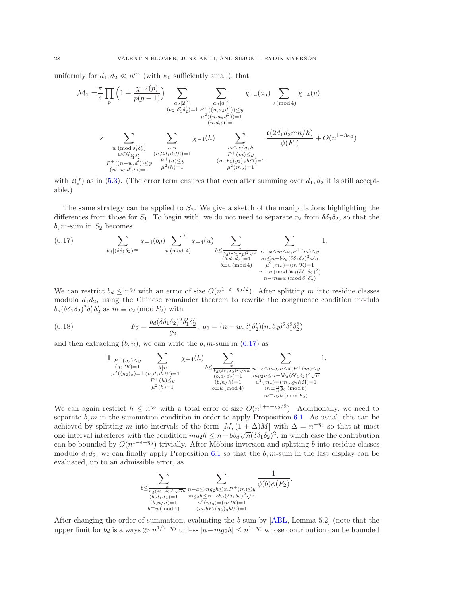uniformly for  $d_1, d_2 \ll n^{\kappa_0}$  (with  $\kappa_0$  sufficiently small), that

$$
\mathcal{M}_{1} = \frac{\pi}{4} \prod_{p} \left( 1 + \frac{\chi_{-4}(p)}{p(p-1)} \right) \sum_{\substack{a_{2} \mid 2^{\infty} \\ (a_{2}, \delta_{1}' \delta_{2}') = 1}} \sum_{\substack{P^{+}((n, a_{d}d^{2})) \leq y \\ \mu^{2}((n, a_{d}d^{2})) = 1 \\ (n, d, \mathfrak{N}) = 1}} \chi_{-4}(a_{d}) \sum_{v \pmod{4}} \chi_{-4}(v)
$$
\n
$$
\times \sum_{\substack{w \pmod{6}{16} \\ w \in \mathcal{G}_{\delta_{1}' \delta_{2}'}} \sum_{\substack{h \mid n \\ (h, 2d_{1}d_{2}\mathfrak{N}) = 1 \\ h \equiv w \in \mathcal{G}_{\delta_{1}' \delta_{2}'}} \sum_{\substack{h \mid n \\ (h, 2d_{1}d_{2}\mathfrak{N}) = 1 \\ (h, 2d_{1}d_{2}\mathfrak{N}) = 1}} \chi_{-4}(h) \sum_{\substack{m \leq x/g_{1}h \\ p \equiv (m) \leq y \\ p \equiv (m, F_{1}(g_{1})_{o}h\mathfrak{N}) = 1}} \frac{\mathfrak{c}(2d_{1}d_{2}mn/h)}{\phi(F_{1})} + O(n^{1-3\kappa_{0}})
$$
\n
$$
P^{+}((n-w,d')) \leq y \sum_{\substack{p \mid n \\ (n-w,d',\mathfrak{N}) = 1}} \mu^{2}(h) = 1} \frac{\mathfrak{c}(2d_{1}d_{2}mn/h)}{\mu^{2}(m_{o}) = 1}
$$

with  $c(f)$  as in [\(5.3\)](#page-16-2). (The error term ensures that even after summing over  $d_1, d_2$  it is still acceptable.)

The same strategy can be applied to  $S_2$ . We give a sketch of the manipulations highlighting the differences from those for  $S_1$ . To begin with, we do not need to separate  $r_2$  from  $\delta \delta_1 \delta_2$ , so that the  $b, m$ -sum in  $S_2$  becomes

<span id="page-27-0"></span>(6.17) 
$$
\sum_{\substack{b_d \mid (\delta \delta_1 \delta_2)^\infty \\ b_d \mid (\delta \delta_1 \delta_2)^\infty}} \chi_{-4}(b_d) \sum_{\substack{u \pmod{4} \\ u \pmod{4}}} \chi_{-4}(u) \sum_{\substack{b \le \frac{x}{b_d(\delta \delta_1 \delta_2)^2 \sqrt{n} \\ (b, d_1 d_2) = 1 \\ b \equiv u \pmod{4}}} \sum_{\substack{n - x \le m \le x, P^+(m) \le y \\ m \le n - bb_d(\delta \delta_1 \delta_2)^2 \sqrt{n} \\ n = n \pmod{b_d(\delta \delta_1 \delta_2)^2}}} 1.
$$

We can restrict  $b_d \leq n^{\eta_0}$  with an error of size  $O(n^{1+\epsilon-\eta_0/2})$ . After splitting m into residue classes modulo  $d_1d_2$ , using the Chinese remainder theorem to rewrite the congruence condition modulo  $b_d(\delta \delta_1 \delta_2)^2 \delta'_1 \delta'_2$  as  $m \equiv c_2 \pmod{F_2}$  with

<span id="page-27-1"></span>(6.18) 
$$
F_2 = \frac{b_d(\delta \delta_1 \delta_2)^2 \delta'_1 \delta'_2}{g_2}, \ g_2 = (n - w, \delta'_1 \delta'_2)(n, b_d \delta^2 \delta_1^2 \delta_2^2)
$$

and then extracting  $(b, n)$ , we can write the  $b, m$ -sum in  $(6.17)$  as

$$
\begin{array}{llll}1 & p +_{(g_2) \le y} & \displaystyle \sum_{\substack{(g_2, \mathfrak{N}) = 1\\ \mu^2((g_2)_o) = 1}} \sum_{\substack{h \mid n\\ h^2(h) = 1}} \chi_{-4}(h) & \sum_{\substack{\frac{x}{b_d(\delta \delta_1 \delta_2)^2 \sqrt{n}h}\\ (b, d_1 d_2) = 1\\ \mu^2(h) = 1}} \sum_{\substack{h \mid n\\ h^2(h) = 1}} \sum_{\substack{\frac{x}{b_d(\delta \delta_1 \delta_2)^2 \sqrt{n}h}\\ (b, n/h) = 1\\ b \equiv u \, (\text{mod } 4)}} \sum_{\substack{n - x \le mg_2h \le x, P^+(m) \le y\\ m \equiv \frac{n}{h} \overline{g}_2 \, (\text{mod } b)\\ m \equiv c_2 h \, (\text{mod } F_2)}} 1. \end{array}
$$

We can again restrict  $h \leq n^{\eta_0}$  with a total error of size  $O(n^{1+\varepsilon-\eta_0/2})$ . Additionally, we need to separate  $b, m$  in the summation condition in order to apply Proposition [6.1.](#page-18-0) As usual, this can be achieved by splitting m into intervals of the form  $[M,(1+\Delta)M]$  with  $\Delta = n^{-\eta_0}$  so that at most one interval interferes with the condition  $mg_2h \leq n - b\overline{b_d}\sqrt{n}(\delta\overline{\delta_1\delta_2})^2$ , in which case the contribution can be bounded by  $O(n^{1+\epsilon-\eta_0})$  trivially. After Möbius inversion and splitting b into residue classes modulo  $d_1d_2$ , we can finally apply Proposition [6.1](#page-18-0) so that the b, m-sum in the last display can be evaluated, up to an admissible error, as



After changing the order of summation, evaluating the b-sum by [\[ABL,](#page-37-4) Lemma 5.2] (note that the upper limit for  $b_d$  is always  $\gg n^{1/2-\eta_0}$  unless  $|n-mg_2h| \leq n^{1-\eta_0}$  whose contribution can be bounded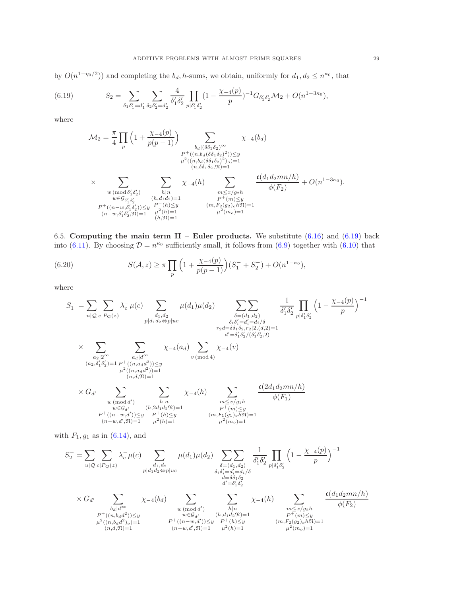by  $O(n^{1-\eta_0/2})$  and completing the  $b_d$ , h-sums, we obtain, uniformly for  $d_1, d_2 \leq n^{\kappa_0}$ , that

<span id="page-28-0"></span>(6.19) 
$$
S_2 = \sum_{\delta_1 \delta_1' = d_1'} \sum_{\delta_2 \delta_2' = d_2'} \frac{4}{\delta_1' \delta_2'} \prod_{p | \delta_1' \delta_2'} (1 - \frac{\chi_{-4}(p)}{p})^{-1} G_{\delta_1' \delta_2'} \mathcal{M}_2 + O(n^{1-3\kappa_0}),
$$

where

M<sup>2</sup> = π 4 Y p 1 + χ−4(p) p(p − 1) X bd|(δδ1δ2)<sup>∞</sup> P <sup>+</sup>((n,bd(δδ1δ2) 2 ))≤y µ 2 ((n,bd(δδ1δ2) 2 )o)=1 (n,δδ1δ2,N)=1 χ−4(bd) × X w (mod δ ′ 1 δ 2 ) w∈G<sup>δ</sup> ′ 1 δ ′ 2 P <sup>+</sup>((n−w,δ′ 1 δ ′ 2 ))≤y (n−w,δ′ 1 δ ′ 2 ,N)=1 X h|n (h,d1d2)=1 P <sup>+</sup>(h)≤<sup>y</sup> µ 2 (h)=1 (h,N)=1 χ−4(h) X m≤x/g2h P <sup>+</sup>(m)≤<sup>y</sup> (m,F2(g2)ohN)=1 µ 2 (mo)=1 c(d1d2mn/h) φ(F2) + O(n 1−3κ<sup>0</sup> ).

6.5. Computing the main term II – Euler products. We substitute  $(6.16)$  and  $(6.19)$  back into [\(6.11\)](#page-24-1). By choosing  $\mathcal{D} = n^{\kappa_0}$  sufficiently small, it follows from [\(6.9\)](#page-23-0) together with [\(6.10\)](#page-23-1) that

<span id="page-28-1"></span>(6.20) 
$$
S(\mathcal{A}, z) \geq \pi \prod_{p} \left( 1 + \frac{\chi_{-4}(p)}{p(p-1)} \right) (S_1^- + S_2^-) + O(n^{1-\kappa_0}),
$$

where

$$
S_{1}^{-} = \sum_{u|\mathcal{Q}} \sum_{c|P_{\mathcal{Q}}(z)} \lambda_{c}^{-} \mu(c) \sum_{\substack{d_1, d_2 \\ p|d_1d_2 \Leftrightarrow p|uc}} \mu(d_1)\mu(d_2) \sum_{\substack{\delta = (d_1, d_2) \\ \delta_i \delta'_i = d'_i = d_i/\delta \\ r_2d = \delta_1 \delta_2, r_2|2, (d, 2) = 1}} \frac{1}{\delta'_1 \delta'_2} \prod_{p|\delta'_1 \delta'_2} \left(1 - \frac{\chi_{-4}(p)}{p}\right)^{-1}
$$
  

$$
\times \sum_{\substack{a_2|2^{\infty} \\ a_2|2^{\infty} \\ (a_2, \delta'_1 \delta'_2) = 1}} \sum_{\substack{P^+(n, a_d d^2) \\ p^2 \equiv (n, a_d d^2) = 1 \\ (n, d, \mathfrak{N}) = 1}} \chi_{-4}(a_d) \sum_{v \pmod{4}} \chi_{-4}(v)
$$
  

$$
\times G_{d'} \sum_{\substack{w \pmod{d'} \\ w \pmod{d'} \\ w \in \mathcal{G}_{d'}}} \sum_{\substack{h|n \\ h|n \\ h \equiv (k, 2d_1 d_2 \mathfrak{N}) = 1 \\ (h, 2d_1 d_2 \mathfrak{N}) = 1}} \chi_{-4}(h) \sum_{\substack{m \le x/g_1 h \\ m \le x/g_1 h \\ P^+(m) \le y \\ P^+(m) \le y \\ (m, F_1(g_1)_o h \mathfrak{N}) = 1}} \frac{c(2d_1 d_2 m n/h)}{\phi(F_1)}
$$

with  $F_1$ ,  $g_1$  as in [\(6.14\)](#page-25-3), and

$$
S_2^- = \sum_{u|\mathcal{Q}} \sum_{c|P_{\mathcal{Q}}(z)} \lambda_c^- \mu(c) \sum_{\substack{d_1, d_2 \\ p|d_1d_2 \Leftrightarrow p|uc}} \mu(d_1)\mu(d_2) \sum_{\substack{\delta = (d_1, d_2) \\ \delta_i \delta'_{i} = d'_i = d_i/\delta \\ d = \delta \delta_1 \delta_2}} \frac{1}{\delta'_1 \delta'_2} \prod_{p|\delta'_1 \delta'_2} \left(1 - \frac{\chi_{-4}(p)}{p}\right)^{-1}
$$
  

$$
\times G_{d'} \sum_{\substack{b_d|d^{\infty} \\ b_d|d^{\infty}}} \chi_{-4}(b_d) \sum_{\substack{w \pmod{d'} \\ w \pmod{d'} \\ w \in \mathcal{G}_{d'}}} \sum_{\substack{h|n \\ h|n \\ h \equiv 0 \pmod{p+1} \\ h \equiv \mathcal{M}, d \equiv 0}} \chi_{-4}(h) \sum_{\substack{m \le x/g_2h \\ m \le x/g_2h \\ p^+(m) \le y \\ p^+(m) \le y \\ (n, d, d^2) \ge 1}} \frac{c(d_1d_2mn/h)}{\phi(F_2)}
$$
  

$$
\mu^2((n, b_d d^2)_o) = 1 \qquad \mu^2((n - w, d')) \le y \qquad p^+(h) \le y \qquad (m, F_2(g_2)_o, h \mathfrak{N}) = 1 \qquad (n - w, d', \mathfrak{N}) = 1} \mu^2(h) = 1
$$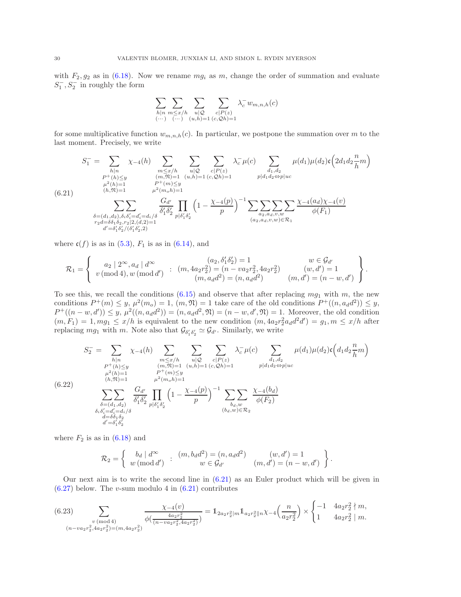with  $F_2, g_2$  as in [\(6.18\)](#page-27-1). Now we rename  $mg_i$  as m, change the order of summation and evaluate  $S_1^-, S_2^-$  in roughly the form

$$
\sum_{\substack{h|n \\ (\cdots) } }\sum_{\substack{m\leq x/h \\ (\cdots) } }\sum_{\substack{u| \mathcal{Q} \\ (u,h)=1}} \sum_{\substack{c|P(z) \\ (c,\mathcal{Q}h)=1}} \lambda_c^- w_{m,n,h}(c)
$$

for some multiplicative function  $w_{m,n,h}(c)$ . In particular, we postpone the summation over m to the last moment. Precisely, we write

$$
S_{1}^{-} = \sum_{\substack{h|n \\ P^{+}(h) \le y \\ \mu^{2}(h) = 1}} \chi_{-4}(h) \sum_{\substack{m \le x/h \\ (m, \mathfrak{N}) = 1 \\ (h, \mathfrak{N}) = 1}} \sum_{\substack{u|Q \\ (m, \mathfrak{N}) = 1 \\ u^{2}(m, h) = 1 \\ \mu^{2}(m, h) = 1}} \sum_{\substack{u|Q \\ (u, h) = 1 \\ (u, h) = 1 \\ (u, h) = 1}} \chi_{-2}(h) \sum_{\substack{d_1, d_2 \\ p \nmid d_1 d_2 \Leftrightarrow p | u c}} \mu(d_1) \mu(d_2) \mathfrak{c} \left( 2d_1 d_2 \frac{n}{h} m \right)
$$
\n
$$
S_{1}^{2}(h) = 1 \sum_{\substack{h^{2}(h) = 1 \\ (h, \mathfrak{N}) = 1 \\ \mu^{2}(m, h) = 1}} \frac{G_{d'}}{\mu^{2}(m, h) = 1} \left( 1 - \frac{\chi_{-4}(p)}{p} \right)^{-1} \sum_{\substack{m \ge x \\ (a_2, a_3, v, w) \in \mathcal{R}_1}} \frac{\chi_{-4}(a_d) \chi_{-4}(v)}{\phi(F_1)} \frac{\chi_{-4}(a_d) \chi_{-4}(v)}{\phi(F_1)} \frac{\chi_{-4}(a_d) \chi_{-4}(v)}{\chi_{-4}(a_d) \chi_{-4}(v)}}{\chi_{-4}(a_2, a_d, v, w) \in \mathcal{R}_1}
$$

where  $c(f)$  is as in  $(5.3)$ ,  $F_1$  is as in  $(6.14)$ , and

$$
\mathcal{R}_1 = \left\{ \begin{array}{ll} a_2 \mid 2^{\infty}, a_d \mid d^{\infty} & (a_2, \delta'_1 \delta'_2) = 1 & w \in \mathcal{G}_{d'} \\ v \, (\text{mod } 4), w \, (\text{mod } d') & : & (m, 4a_2 r_2^2) = (n - v a_2 r_2^2, 4a_2 r_2^2) & (w, d') = 1 \\ (m, a_d d^2) = (n, a_d d^2) & (m, d') = (n - w, d') \end{array} \right\}.
$$

To see this, we recall the conditions  $(6.15)$  and observe that after replacing  $mg_1$  with m, the new conditions  $P^+(m) \leq y, \mu^2(m_o) = 1, (m, \mathfrak{N}) = 1$  take care of the old conditions  $P^+((n, a_d d^2)) \leq y,$  $P^+((n-w, d')) \leq y, \mu^2((n, a_d d^2)) = (n, a_d d^2, \mathfrak{N}) = (n - w, d', \mathfrak{N}) = 1.$  Moreover, the old condition  $(m, F_1) = 1, mg_1 \le x/h$  is equivalent to the new condition  $(m, 4a_2r_2^2a_d d^2d') = g_1, m \le x/h$  after replacing  $mg_1$  with m. Note also that  $\mathcal{G}_{\delta'_1 \delta'_2} \simeq \mathcal{G}_{d'}$ . Similarly, we write

<span id="page-29-2"></span>
$$
S_{2}^{-} = \sum_{\substack{h|n \\ P^{+}(h) \le y \\ \mu^{2}(h) = 1}} \chi_{-4}(h) \sum_{\substack{m \le x/h \\ (m, \mathfrak{N}) = 1 \\ (b, \mathfrak{N}) = 1}} \sum_{\substack{u|Q \\ (m, \mathfrak{N}) = 1 \\ u^{2}(m_0h) = 1 \\ \mu^{2}(m_0h) = 1}} \sum_{\substack{u|Q \\ (u, h) = 1 \\ (u, h) = 1}} \chi_{-4}(c) \sum_{\substack{d_1, d_2 \\ p | d_1 d_2 \Leftrightarrow p | u c}} \mu(d_1) \mu(d_2) \mathfrak{c} \left( d_1 d_2 \frac{n}{h} m \right)
$$
\n
$$
(6.22)
$$
\n
$$
\sum_{\substack{\delta = (d_1, d_2) \\ \delta_i \delta'_i = d'_i = d_i/\delta \\ d = \delta \delta_1 \delta_2 \\ d' = \delta'_1 \delta'_2}} \frac{G_{d'}}{\delta'_1 \delta'_2} \prod_{p | \delta'_1 \delta'_2} \left( 1 - \frac{\chi_{-4}(p)}{p} \right)^{-1} \sum_{\substack{b_d, w \\ (b_d, w) \in \mathcal{R}_2}} \frac{\chi_{-4}(b_d)}{\phi(F_2)}
$$

where  $F_2$  is as in  $(6.18)$  and

$$
\mathcal{R}_2 = \left\{ \begin{array}{ll} b_d \mid d^{\infty} & ; & (m, b_d d^2) = (n, a_d d^2) \\ w \; (\text{mod } d') & ; & w \in \mathcal{G}_{d'} \end{array} \right. \quad (w, d') = 1 \\ (m, d') = (n - w, d') \end{array} \right\}.
$$

Our next aim is to write the second line in [\(6.21\)](#page-29-0) as an Euler product which will be given in  $(6.27)$  below. The v-sum modulo 4 in  $(6.21)$  contributes

<span id="page-29-1"></span>
$$
(6.23) \sum_{\substack{v \pmod{4} \\ (n-va_2r_2^2, 4a_2r_2^2) = (m, 4a_2r_2^2)}} \frac{\chi_{-4}(v)}{\phi(\frac{4a_2r_2^2}{(n-va_2r_2^2, 4a_2r_2^2)})} = \mathbb{1}_{2a_2r_2^2|m} \mathbb{1}_{a_2r_2^2|n} \chi_{-4}\left(\frac{n}{a_2r_2^2}\right) \times \begin{cases} -1 & 4a_2r_2^2 \nmid m, \\ 1 & 4a_2r_2^2 \mid m, \end{cases}
$$

<span id="page-29-0"></span> $($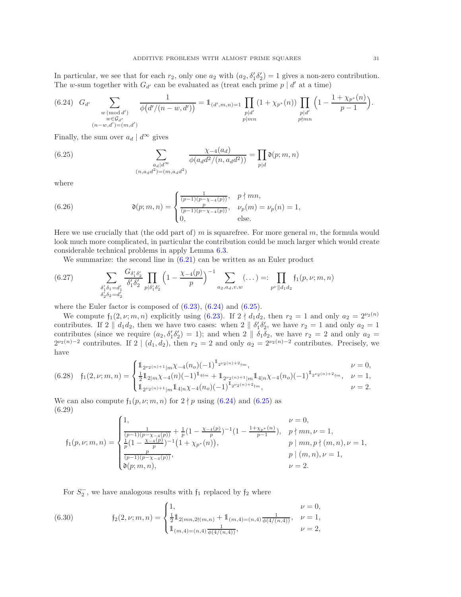In particular, we see that for each  $r_2$ , only one  $a_2$  with  $(a_2, \delta'_1 \delta'_2) = 1$  gives a non-zero contribution. The w-sum together with  $G_{d'}$  can be evaluated as (treat each prime  $p \mid d'$  at a time)

<span id="page-30-1"></span>
$$
(6.24) \quad G_{d'} \sum_{\substack{w \pmod{d'} \\ w \in \mathcal{G}_{d'}}} \frac{1}{\phi(d'/(n-w,d'))} = \mathbb{1}_{(d',m,n)=1} \prod_{\substack{p|d' \\ p \mid mn}} (1 + \chi_{p^*}(n)) \prod_{\substack{p|d' \\ p \nmid mn}} \left(1 - \frac{1 + \chi_{p^*}(n)}{p-1}\right).
$$

Finally, the sum over  $a_d | d^{\infty}$  gives

<span id="page-30-2"></span>(6.25) 
$$
\sum_{\substack{a_d | d^{\infty} \\ (n, a_d d^2) = (m, a_d d^2)}} \frac{\chi_{-4}(a_d)}{\phi(a_d d^2 / (n, a_d d^2))} = \prod_{p | d} \mathfrak{d}(p; m, n)
$$

where

<span id="page-30-6"></span>(6.26) 
$$
\mathfrak{d}(p;m,n) = \begin{cases} \frac{1}{(p-1)(p-\chi_{-4}(p))}, & p \nmid mn, \\ \frac{p}{(p-1)(p-\chi_{-4}(p))}, & \nu_p(m) = \nu_p(n) = 1, \\ 0, & \text{else.} \end{cases}
$$

Here we use crucially that (the odd part of) m is squarefree. For more general  $m$ , the formula would look much more complicated, in particular the contribution could be much larger which would create considerable technical problems in apply Lemma [6.3.](#page-22-1)

We summarize: the second line in  $(6.21)$  can be written as an Euler product

<span id="page-30-0"></span>(6.27) 
$$
\sum_{\substack{\delta'_1 \delta_1 = d'_1 \\ \delta'_2 \delta_2 = d'_2}} \frac{G_{\delta'_1 \delta'_2}}{\delta'_1 \delta'_2} \prod_{p | \delta'_1 \delta'_2} \left(1 - \frac{\chi_{-4}(p)}{p}\right)^{-1} \sum_{a_2, a_d, v, w} (\dots) =: \prod_{p^{\nu} || d_1 d_2} f_1(p, \nu; m, n)
$$

where the Euler factor is composed of  $(6.23)$ ,  $(6.24)$  and  $(6.25)$ .

We compute  $f_1(2, \nu; m, n)$  explicitly using [\(6.23\)](#page-29-1). If  $2 \nmid d_1 d_2$ , then  $r_2 = 1$  and only  $a_2 = 2^{\nu_2(n)}$ contributes. If  $2 \parallel d_1 d_2$ , then we have two cases: when  $2 \parallel \delta'_1 \delta'_2$ , we have  $r_2 = 1$  and only  $a_2 = 1$ contributes (since we require  $(a_2, \delta'_1 \delta'_2) = 1$ ); and when  $2 \parallel \delta_1 \delta_2$ , we have  $r_2 = 2$  and only  $a_2 =$  $2^{\nu_2(n)-2}$  contributes. If  $2 \mid (d_1, d_2)$ , then  $r_2 = 2$  and only  $a_2 = 2^{\nu_2(n)-2}$  contributes. Precisely, we have

<span id="page-30-4"></span>
$$
(6.28) \quad \mathfrak{f}_1(2,\nu;m,n)=\begin{cases}1\!\!\! 1_{2^{\nu_2(n)+1}|m}\chi_{-4}(n_o)(-1)^{1_{2^{\nu_2(n)+2}\nmid m}}, & \nu=0,\\ \frac{1}{2}1\!\!\! 1_{2|m}\chi_{-4}(n)(-1)^{1_{4\nmid m}}+1_{2^{\nu_2(n)+1}|m}1_{4|n}\chi_{-4}(n_o)(-1)^{1_{2^{\nu_2(n)+2}\nmid m}}, & \nu=1,\\ 1_{2^{\nu_2(n)+1}|m}1_{4|n}\chi_{-4}(n_o)(-1)^{1_{2^{\nu_2(n)+2}\nmid m}}, & \nu=2.\end{cases}
$$

<span id="page-30-5"></span>We can also compute  $f_1(p, \nu; m, n)$  for  $2 \nmid p$  using [\(6.24\)](#page-30-1) and [\(6.25\)](#page-30-2) as (6.29)

$$
\mathfrak{f}_1(p,\nu;m,n)=\begin{cases} 1, & \nu=0,\\ \frac{1}{(p-1)(p-\chi_{-4}(p))}+\frac{1}{p}(1-\frac{\chi_{-4}(p)}{p})^{-1}(1-\frac{1+\chi_{p^*}(n)}{p-1}), & p\nmid mn,\nu=1,\\ \frac{1}{p}(1-\frac{\chi_{-4}(p)}{p})^{-1}\left(1+\chi_{p^*}(n)\right), & p\mid mn,p\nmid (m,n),\nu=1,\\ \frac{p}{(p-1)(p-\chi_{-4}(p))}, & p\mid (m,n),\nu=1,\\ \mathfrak{d}(p;m,n), & \nu=2. \end{cases}
$$

For  $S_2^-$ , we have analogous results with  $f_1$  replaced by  $f_2$  where

<span id="page-30-3"></span>(6.30) 
$$
\mathfrak{f}_2(2,\nu;m,n) = \begin{cases} 1, & \nu = 0, \\ \frac{1}{2} \mathbb{1}_{2|mn,2\{(m,n)\}} + \mathbb{1}_{(m,4)=(n,4)} \frac{1}{\phi(4/(n,4))}, & \nu = 1, \\ \mathbb{1}_{(m,4)=(n,4)} \frac{1}{\phi(4/(n,4))}, & \nu = 2, \end{cases}
$$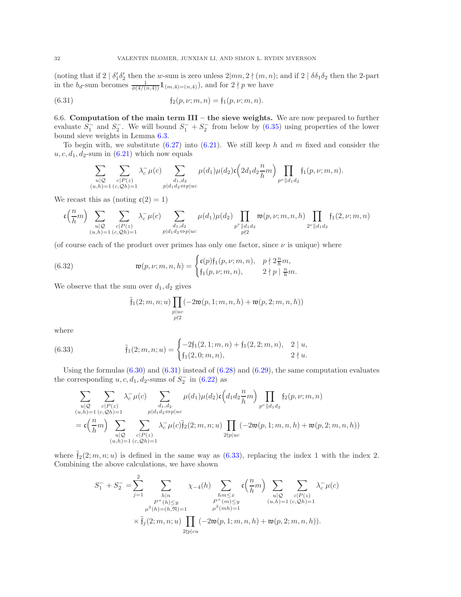(noting that if  $2 | \delta'_1 \delta'_2$  then the w-sum is zero unless  $2 | mn, 2 \nmid (m, n)$ ; and if  $2 | \delta \delta_1 \delta_2$  then the 2-part in the  $b_d$ -sum becomes  $\frac{1}{\phi(4/(n,4))}\mathbb{1}_{(m,4)=(n,4)}$ , and for  $2 \nmid p$  we have

<span id="page-31-0"></span>(6.31) 
$$
f_2(p,\nu;m,n) = f_1(p,\nu;m,n).
$$

6.6. Computation of the main term  $III$  – the sieve weights. We are now prepared to further evaluate  $S_1^-$  and  $S_2^-$ . We will bound  $S_1^- + S_2^-$  from below by  $(6.35)$  using properties of the lower bound sieve weights in Lemma [6.3.](#page-22-1)

To begin with, we substitute  $(6.27)$  into  $(6.21)$ . We still keep h and m fixed and consider the  $u, c, d_1, d_2$ -sum in  $(6.21)$  which now equals

$$
\sum_{\substack{u|\mathcal{Q}\\(u,h)=1}}\sum_{\substack{c|P(z)\\(c,\mathcal{Q}h)=1}}\lambda_c^-\mu(c)\sum_{\substack{d_1,d_2\\p|d_1d_2\Leftrightarrow p|uc}}\mu(d_1)\mu(d_2)\mathfrak{c}\left(2d_1d_2\frac{n}{h}m\right)\prod_{p^{\nu}||d_1d_2}\mathfrak{f}_1(p,\nu;m,n).
$$

We recast this as (noting  $\mathfrak{c}(2) = 1$ )

$$
\mathfrak{c} \Big( \frac{n}{h} m \Big) \sum_{\substack{u \mid \mathcal{Q} \\ (u,h) = 1}} \sum_{\substack{c \mid P(z) \\ (c, \mathcal{Q}h) = 1}} \lambda_c^- \mu(c) \sum_{\substack{d_1, d_2 \\ p \mid d_1 d_2 \Leftrightarrow p \mid uc}} \mu(d_1) \mu(d_2) \prod_{\substack{p^{\nu} \mid \mid d_1 d_2 \\ p \nmid 2}} \mathfrak{w}(p, \nu; m, n, h) \prod_{2^{\nu} \mid \mid d_1 d_2} \mathfrak{f}_1(2, \nu; m, n)
$$

(of course each of the product over primes has only one factor, since  $\nu$  is unique) where

<span id="page-31-2"></span>(6.32) 
$$
\mathfrak{w}(p,\nu;m,n,h) = \begin{cases} \mathfrak{c}(p) \mathfrak{f}_1(p,\nu;m,n), & p \nmid 2 \frac{n}{h} m, \\ \mathfrak{f}_1(p,\nu;m,n), & 2 \nmid p \mid \frac{n}{h} m. \end{cases}
$$

We observe that the sum over  $d_1, d_2$  gives

$$
\tilde{\mathfrak{f}}_1(2; m, n; u) \prod_{\substack{p \mid uc \\ p \nmid 2}} (-2\mathfrak{w}(p, 1; m, n, h) + \mathfrak{w}(p, 2; m, n, h))
$$

where

<span id="page-31-1"></span>(6.33) 
$$
\tilde{\mathfrak{f}}_1(2; m, n; u) = \begin{cases} -2\mathfrak{f}_1(2, 1; m, n) + \mathfrak{f}_1(2, 2; m, n), & 2 \mid u, \\ \mathfrak{f}_1(2, 0; m, n), & 2 \nmid u. \end{cases}
$$

Using the formulas  $(6.30)$  and  $(6.31)$  instead of  $(6.28)$  and  $(6.29)$ , the same computation evaluates the corresponding  $u, c, d_1, d_2$ -sums of  $S_2^-$  in  $(6.22)$  as

$$
\sum_{\substack{u|\mathcal{Q} \\ (u,h)=1}} \sum_{\substack{c|P(z) \\ (c,\mathcal{Q}h)=1}} \lambda_c^- \mu(c) \sum_{\substack{d_1,d_2 \\ p|d_1d_2\Leftrightarrow p|uc}} \mu(d_1)\mu(d_2) \mathfrak{c} \left(d_1d_2\frac{n}{h}m\right) \prod_{p^\nu ||d_1d_2} \mathfrak{f}_2(p,\nu;m,n)
$$
\n
$$
= \mathfrak{c} \left(\frac{n}{h}m\right) \sum_{\substack{u|\mathcal{Q} \\ (u,h)=1}} \sum_{\substack{c|P(z) \\ (c,\mathcal{Q}h)=1}} \lambda_c^- \mu(c) \tilde{\mathfrak{f}}_2(2;m,n;u) \prod_{2\nmid p|uc} (-2\mathfrak{w}(p,1;m,n,h) + \mathfrak{w}(p,2;m,n,h))
$$

where  $\tilde{f}_2(2; m, n; u)$  is defined in the same way as  $(6.33)$ , replacing the index 1 with the index 2. Combining the above calculations, we have shown

$$
S_1^- + S_2^- = \sum_{j=1}^2 \sum_{\substack{h|n \ p^+(h) \le y \\ \mu^2(h) = (h, \mathfrak{N}) = 1}} \chi_{-4}(h) \sum_{\substack{hm \le x \\ P^+(m) \le y \\ \mu^2(h) = 1}} \mathfrak{c}\left(\frac{n}{h}m\right) \sum_{\substack{u|Q \ c|P(z) \\ (u,h) = 1}} \sum_{\substack{c|P(z) \\ (u,h) = 1}} \lambda_c^- \mu(c)
$$
  

$$
\times \tilde{\mathfrak{f}}_j(2; m, n; u) \prod_{\substack{2 \nmid p | cu}} (-2\mathfrak{w}(p, 1; m, n, h) + \mathfrak{w}(p, 2; m, n, h)).
$$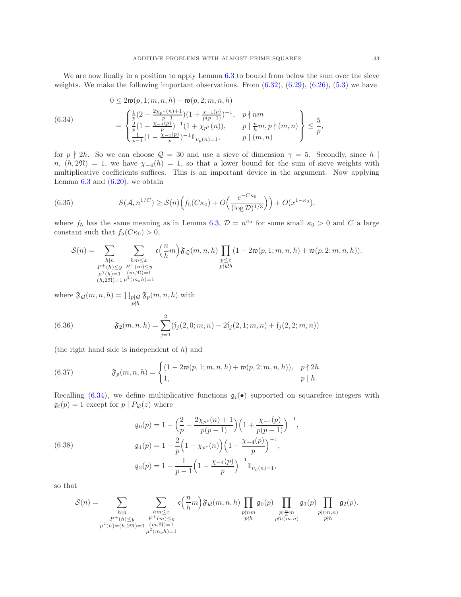We are now finally in a position to apply Lemma [6.3](#page-22-1) to bound from below the sum over the sieve weights. We make the following important observations. From  $(6.32)$ ,  $(6.29)$ ,  $(6.26)$ ,  $(5.3)$  we have

<span id="page-32-1"></span>(6.34) 
$$
0 \leq 2\mathfrak{w}(p, 1; m, n, h) - \mathfrak{w}(p, 2; m, n, h)
$$

$$
= \begin{cases} \frac{1}{p}(2 - \frac{2\chi_{p^*}(n) + 1}{p-1})(1 + \frac{\chi_{-4}(p)}{p(p-1)})^{-1}, & p \nmid nm \\ \frac{2}{p}(1 - \frac{\chi_{-4}(p)}{p})^{-1}(1 + \chi_{p^*}(n)), & p \mid \frac{n}{h}m, p \nmid (m, n) \\ \frac{1}{p-1}(1 - \frac{\chi_{-4}(p)}{p})^{-1}1_{\nu_p(n) = 1}, & p \mid (m, n) \end{cases} \leq \frac{5}{p},
$$

for  $p \nmid 2h$ . So we can choose  $\mathcal{Q} = 30$  and use a sieve of dimension  $\gamma = 5$ . Secondly, since h |  $n, (h, 2\mathfrak{N}) = 1$ , we have  $\chi_{-4}(h) = 1$ , so that a lower bound for the sum of sieve weights with multiplicative coefficients suffices. This is an important device in the argument. Now applying Lemma  $6.3$  and  $(6.20)$ , we obtain

<span id="page-32-0"></span>(6.35) 
$$
S(\mathcal{A}, n^{1/C}) \ge S(n) \Big( f_5(C\kappa_0) + O\Big(\frac{e^{-C\kappa_0}}{(\log \mathcal{D})^{1/3}} \Big) \Big) + O(x^{1-\kappa_0}),
$$

where  $f_5$  has the same meaning as in Lemma [6.3,](#page-22-1)  $\mathcal{D} = n^{\kappa_0}$  for some small  $\kappa_0 > 0$  and C a large constant such that  $f_5(C\kappa_0) > 0$ ,

$$
\mathcal{S}(n) = \sum_{\substack{h|n \\ P^+(h) \leq y \\ \mu^2(h) = 1 \\ (h,2\mathfrak{N}) = 1}} \sum_{\substack{hm \leq x \\ P^+(m) \leq y \\ (m, \mathfrak{N}) = 1}} \mathfrak{c}\Big(\frac{n}{h}m\Big) \mathfrak{F}_{\mathcal{Q}}(m,n,h) \prod_{\substack{p \leq z \\ p \nmid \mathcal{Q}h}} (1 - 2\mathfrak{w}(p,1;m,n,h) + \mathfrak{w}(p,2;m,n,h)).
$$

where  $\mathfrak{F}_{\mathcal{Q}}(m, n, h) = \prod_{\substack{p \mid \mathcal{Q} \\ p \nmid h}}$  $\mathfrak{F}_{p}(m,n,h)$  with

<span id="page-32-2"></span>(6.36) 
$$
\mathfrak{F}_2(m,n,h) = \sum_{j=1}^2 (\mathfrak{f}_j(2,0;m,n) - 2\mathfrak{f}_j(2,1;m,n) + \mathfrak{f}_j(2,2;m,n))
$$

(the right hand side is independent of  $h$ ) and

<span id="page-32-3"></span>(6.37) 
$$
\mathfrak{F}_p(m,n,h) = \begin{cases} (1-2\mathfrak{w}(p,1;m,n,h) + \mathfrak{w}(p,2;m,n,h)), & p \nmid 2h. \\ 1, & p \mid h. \end{cases}
$$

Recalling [\(6.34\)](#page-32-1), we define multiplicative functions  $\mathfrak{g}_i(\bullet)$  supported on squarefree integers with  $\mathfrak{g}_i(p) = 1$  except for  $p | P_{\mathcal{Q}}(z)$  where

<span id="page-32-4"></span>(6.38)  

$$
\mathfrak{g}_0(p) = 1 - \left(\frac{2}{p} - \frac{2\chi_{p^*}(n) + 1}{p(p-1)}\right) \left(1 + \frac{\chi_{-4}(p)}{p(p-1)}\right)^{-1},
$$

$$
\mathfrak{g}_1(p) = 1 - \frac{2}{p} \left(1 + \chi_{p^*}(n)\right) \left(1 - \frac{\chi_{-4}(p)}{p}\right)^{-1},
$$

$$
\mathfrak{g}_2(p) = 1 - \frac{1}{p-1} \left(1 - \frac{\chi_{-4}(p)}{p}\right)^{-1} \mathbb{1}_{\nu_p(n) = 1},
$$

so that

$$
\mathcal{S}(n) = \sum_{\substack{h|n \\ P^+(h) \leq y \\ \mu^2(h) = (h,2\mathfrak{N}) = 1}} \sum_{\substack{hm \leq x \\ P^+(m) \leq y \\ \mu^2(m_oh) = 1}} \mathfrak{c}\left(\frac{n}{h}m\right) \mathfrak{F}_{\mathcal{Q}}(m,n,h) \prod_{\substack{p|nm \\ p\nmid h}} \mathfrak{g}_0(p) \prod_{\substack{p| \frac{n}{h}m \\ p\nmid h(m,n)}} \mathfrak{g}_1(p) \prod_{\substack{p|(m,n) \\ p\nmid h}} \mathfrak{g}_2(p).
$$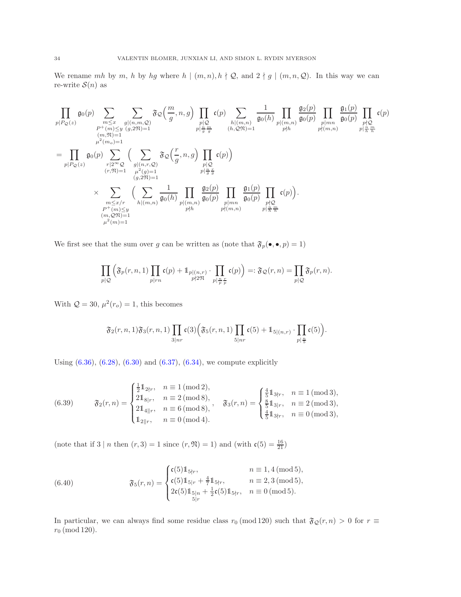We rename mh by m, h by hg where  $h \mid (m, n), h \nmid \mathcal{Q}$ , and  $2 \nmid g \mid (m, n, \mathcal{Q})$ . In this way we can re-write  $S(n)$  as

$$
\prod_{\substack{p|P_{\mathcal{Q}}(z) \\ (m, \mathfrak{N})=1}} \mathfrak{g}_{0}(p) \sum_{\substack{m \leq x \\ p \nmid (m, \mathfrak{N})=1 \\ (m, \mathfrak{N})=1}} \mathfrak{F}_{0}\left(\frac{m}{g}, n, g\right) \prod_{\substack{p|Q \\ p \nmid \frac{n}{g}, \frac{m}{g}}} \mathfrak{c}(p) \sum_{\substack{h|(m,n) \\ (h, \mathfrak{Q}}) \nmid (m,n) \\ (h, \mathfrak{Q}})} \frac{1}{\mathfrak{g}_{0}(h)} \prod_{\substack{p|(m,n) \\ p \nmid (m,n) \\ p \nmid (m,n)}} \frac{\mathfrak{g}_{1}(p)}{\mathfrak{g}_{0}(p)} \prod_{\substack{p|Q \\ p \nmid \frac{n}{g}}} \mathfrak{c}(p) \prod_{\substack{p|Q \\ p \nmid \frac{n}{g} \text{ a}}} \mathfrak{c}(p) \sum_{\substack{p|Q \\ (r, \mathfrak{N})=1}} \left(\sum_{\substack{q|n,r,\mathfrak{Q} \\ (q,2\mathfrak{N})=1}} \mathfrak{F}_{\mathcal{Q}}\left(\frac{r}{g}, n, g\right) \prod_{\substack{p|Q \\ p \nmid \frac{n}{g}, \frac{r}{g}}} \mathfrak{c}(p)\right) \prod_{\substack{p|P \\ p \nmid \frac{n}{g}, \frac{r}{g}}} \mathfrak{c}(p) \prod_{\substack{p|P \\ p \nmid \frac{n}{g}, \frac{r}{g}}} \mathfrak{c}(p) \sum_{\substack{p|P \\ p \nmid (m,n) \\ p \nmid (m,n)}} \frac{1}{\mathfrak{g}_{0}(p)} \prod_{\substack{p|P \\ p \nmid (m,n)}} \frac{\mathfrak{g}_{1}(p)}{\mathfrak{g}_{0}(p)} \prod_{\substack{p|P \\ p \nmid (m,n)}} \mathfrak{c}(p) \prod_{\substack{p|Q \\ p \nmid \frac{n}{g}, \frac{m}{g}}} \mathfrak{c}(p) \prod_{\substack{p|P \\ p \nmid (m,n)}} \mathfrak{c}(p) \prod_{\substack{p|Q \\ p \nmid \frac{n}{g}, \frac{m}{g}}} \mathfrak{c}(p) \prod_{\substack{p|P \\ p \nmid (m
$$

We first see that the sum over  $g$  can be written as (note that  $\mathfrak{F}_p(\bullet,\bullet,p)=1)$ 

$$
\prod_{p|\mathcal{Q}} \left( \mathfrak{F}_p(r,n,1) \prod_{p|rn} \mathfrak{c}(p) + \mathbb{1}_{\substack{p|(n,r) \\ p\nmid 2\mathfrak{N}}} \cdot \prod_{p|\frac{n}{p}\frac{r}{p}} \mathfrak{c}(p) \right) =: \mathfrak{F}_{\mathcal{Q}}(r,n) = \prod_{p|\mathcal{Q}} \mathfrak{F}_p(r,n).
$$

With  $Q = 30$ ,  $\mu^2(r_o) = 1$ , this becomes

$$
\mathfrak{F}_2(r,n,1)\mathfrak{F}_3(r,n,1)\prod_{3|nr}\mathfrak{c}(3)\Big(\mathfrak{F}_5(r,n,1)\prod_{5|nr}\mathfrak{c}(5)+1\!\!1_{5|(n,r)}\cdot\prod_{p|\frac{n}{5}}\mathfrak{c}(5)\Big).
$$

Using [\(6.36\)](#page-32-2), [\(6.28\)](#page-30-4), [\(6.30\)](#page-30-3) and [\(6.37\)](#page-32-3), [\(6.34\)](#page-32-1), we compute explicitly

<span id="page-33-0"></span>(6.39) 
$$
\mathfrak{F}_2(r,n) = \begin{cases} \frac{1}{2} \mathbb{1}_{2 \nmid r}, & n \equiv 1 \pmod{2}, \\ 2 \mathbb{1}_{8 \mid r}, & n \equiv 2 \pmod{8}, \\ 2 \mathbb{1}_{4 \mid \mid r}, & n \equiv 6 \pmod{8}, \\ \mathbb{1}_{2 \mid r}, & n \equiv 0 \pmod{4}. \end{cases}, \mathfrak{F}_3(r,n) = \begin{cases} \frac{4}{5} \mathbb{1}_{3 \nmid r}, & n \equiv 1 \pmod{3}, \\ \frac{8}{5} \mathbb{1}_{3 \mid r}, & n \equiv 2 \pmod{3}, \\ \frac{4}{5} \mathbb{1}_{3 \nmid r}, & n \equiv 0 \pmod{3}, \end{cases}
$$

(note that if  $3 | n$  then  $(r, 3) = 1$  since  $(r, \mathfrak{N}) = 1$ ) and (with  $\mathfrak{c}(5) = \frac{16}{21}$ )

<span id="page-33-1"></span>(6.40) 
$$
\mathfrak{F}_5(r,n) = \begin{cases} \mathfrak{c}(5) \mathbb{1}_{5 \nmid r}, & n \equiv 1,4 \pmod{5}, \\ \mathfrak{c}(5) \mathbb{1}_{5 \mid r} + \frac{4}{7} \mathbb{1}_{5 \nmid r}, & n \equiv 2,3 \pmod{5}, \\ 2\mathfrak{c}(5) \mathbb{1}_{5 \mid n} + \frac{1}{2}\mathfrak{c}(5) \mathbb{1}_{5 \nmid r}, & n \equiv 0 \pmod{5}. \end{cases}
$$

In particular, we can always find some residue class  $r_0 \pmod{120}$  such that  $\mathfrak{F}_{\mathcal{Q}}(r, n) > 0$  for  $r \equiv$  $r_0 \pmod{120}$ .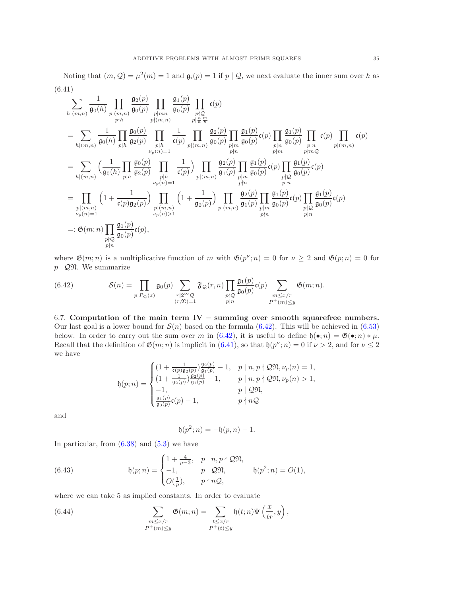<span id="page-34-2"></span>Noting that  $(m, Q) = \mu^2(m) = 1$  and  $\mathfrak{g}_i(p) = 1$  if  $p \mid Q$ , we next evaluate the inner sum over h as (6.41)

$$
\sum_{h|(m,n)} \frac{1}{\mathfrak{g}_{0}(h)} \prod_{p|m,n} \frac{\mathfrak{g}_{2}(p)}{\mathfrak{g}_{0}(p)} \prod_{p|m,n} \frac{\mathfrak{g}_{1}(p)}{\mathfrak{g}_{0}(p)} \prod_{p|\frac{m}{n}} \frac{\mathfrak{c}_{p}}{\mathfrak{c}_{p}} \mathfrak{c}_{p}
$$
\n
$$
= \sum_{h|(m,n)} \frac{1}{\mathfrak{g}_{0}(h)} \prod_{p|h} \frac{\mathfrak{g}_{0}(p)}{\mathfrak{g}_{2}(p)} \prod_{p|h} \frac{1}{\mathfrak{c}_{p}} \frac{1}{\mathfrak{c}_{p}} \prod_{p|(m,n)} \frac{\mathfrak{g}_{2}(p)}{\mathfrak{g}_{0}(p)} \prod_{p|m} \frac{\mathfrak{g}_{1}(p)}{\mathfrak{g}_{0}(p)} \mathfrak{c}_{p} \prod_{p|n} \frac{\mathfrak{g}_{1}(p)}{\mathfrak{g}_{0}(p)} \mathfrak{c}_{p} \prod_{p|m} \frac{\mathfrak{g}_{1}(p)}{\mathfrak{g}_{0}(p)} \prod_{p|m} \mathfrak{c}_{p}
$$
\n
$$
= \sum_{h|(m,n)} \left( \frac{1}{\mathfrak{g}_{0}(h)} \prod_{p|h} \frac{\mathfrak{g}_{0}(p)}{\mathfrak{g}_{2}(p)} \prod_{p|h} \frac{1}{\mathfrak{c}_{p}} \right) \prod_{p|m} \frac{\mathfrak{g}_{2}(p)}{\mathfrak{g}_{1}(p)} \prod_{p|m} \frac{\mathfrak{g}_{1}(p)}{\mathfrak{g}_{0}(p)} \mathfrak{c}_{p}
$$
\n
$$
= \prod_{p|(m,n)} \left( 1 + \frac{1}{\mathfrak{c}(p)\mathfrak{g}_{2}(p)} \right) \prod_{p|m, n \atop p_{p}(n) = 1} \left( 1 + \frac{1}{\mathfrak{c}(p)\mathfrak{g}_{2}(p)} \right) \prod_{p|m, n \atop p_{p}(n) > 1} \frac{\mathfrak{g}_{2}(p)}{\mathfrak{g}_{1}(p)} \prod_{p|m, n} \frac{\mathfrak{g}_{2}(p)}{\mathfrak{g}_{1}(p)} \prod_{p|m} \frac{\mathfrak{g}_{1}(p)}{\mathfrak{g}_{1}(p)} \mathfrak{c}_{p}
$$

where  $\mathfrak{G}(m; n)$  is a multiplicative function of m with  $\mathfrak{G}(p^{\nu}; n) = 0$  for  $\nu \geq 2$  and  $\mathfrak{G}(p; n) = 0$  for  $p \mid \mathcal{Q} \mathfrak{N}$ . We summarize

<span id="page-34-1"></span>(6.42) 
$$
\mathcal{S}(n) = \prod_{\substack{p|P_{\mathcal{Q}}(z) \\ (r,\mathfrak{N})=1}} \mathfrak{g}_0(p) \sum_{\substack{r|2 \sim \mathcal{Q} \\ (r,\mathfrak{N})=1}} \mathfrak{F}_{\mathcal{Q}}(r,n) \prod_{\substack{p \nmid \mathcal{Q} \\ p|n}} \frac{\mathfrak{g}_1(p)}{\mathfrak{g}_0(p)} \mathfrak{c}(p) \sum_{\substack{m \leq x/r \\ P^+(m) \leq y}} \mathfrak{G}(m;n).
$$

<span id="page-34-0"></span>6.7. Computation of the main term  $IV -$  summing over smooth squarefree numbers. Our last goal is a lower bound for  $\mathcal{S}(n)$  based on the formula [\(6.42\)](#page-34-1). This will be achieved in [\(6.53\)](#page-36-0) below. In order to carry out the sum over m in [\(6.42\)](#page-34-1), it is useful to define  $\mathfrak{h}(\bullet;\eta) = \mathfrak{G}(\bullet;\eta) * \mu$ . Recall that the definition of  $\mathfrak{G}(m; n)$  is implicit in  $(6.41)$ , so that  $\mathfrak{h}(p^{\nu}; n) = 0$  if  $\nu > 2$ , and for  $\nu \leq 2$ we have

$$
\mathfrak{h}(p;n)=\begin{cases} (1+\frac{1}{\mathfrak{c}(p)\mathfrak{g}_2(p)})\frac{\mathfrak{g}_2(p)}{\mathfrak{g}_1(p)}-1, & p\mid n,p\nmid\mathcal{QN},\nu_p(n)=1,\\ (1+\frac{1}{\mathfrak{g}_2(p)})\frac{\mathfrak{g}_2(p)}{\mathfrak{g}_1(p)}-1, & p\mid n,p\nmid\mathcal{QN},\nu_p(n)>1,\\ -1, & p\mid\mathcal{QN},\\ \frac{\mathfrak{g}_1(p)}{\mathfrak{g}_0(p)}\mathfrak{c}(p)-1, & p\nmid n\mathcal{Q} \end{cases}
$$

and

$$
\mathfrak{h}(p^2; n) = -\mathfrak{h}(p, n) - 1.
$$

In particular, from  $(6.38)$  and  $(5.3)$  we have

<span id="page-34-4"></span>(6.43) 
$$
\mathfrak{h}(p;n) = \begin{cases} 1 + \frac{4}{p-3}, & p | n, p \nmid \mathcal{Q}\mathfrak{N}, \\ -1, & p | \mathcal{Q}\mathfrak{N}, \\ O(\frac{1}{p}), & p \nmid n\mathcal{Q}, \end{cases} \qquad \mathfrak{h}(p^2;n) = O(1),
$$

where we can take 5 as implied constants. In order to evaluate

<span id="page-34-3"></span>(6.44) 
$$
\sum_{\substack{m \leq x/r \\ P^+(m) \leq y}} \mathfrak{G}(m; n) = \sum_{\substack{t \leq x/r \\ P^+(t) \leq y}} \mathfrak{h}(t; n) \Psi\left(\frac{x}{tr}, y\right),
$$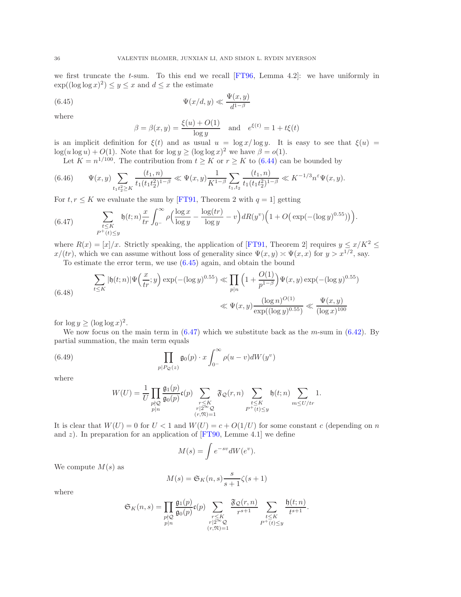we first truncate the t-sum. To this end we recall  $[FT96, Lemma 4.2]$ : we have uniformly in  $\exp((\log \log x)^2) \leq y \leq x$  and  $d \leq x$  the estimate

<span id="page-35-0"></span>(6.45) 
$$
\Psi(x/d, y) \ll \frac{\Psi(x, y)}{d^{1-\beta}}
$$

where

$$
\beta = \beta(x, y) = \frac{\xi(u) + O(1)}{\log y}
$$
 and  $e^{\xi(t)} = 1 + t\xi(t)$ 

is an implicit definition for  $\xi(t)$  and as usual  $u = \log x / \log y$ . It is easy to see that  $\xi(u) =$  $\log(u \log u) + O(1)$ . Note that for  $\log y \ge (\log \log x)^2$  we have  $\beta = o(1)$ .

Let  $K = n^{1/100}$ . The contribution from  $t \geq K$  or  $r \geq K$  to [\(6.44\)](#page-34-3) can be bounded by

<span id="page-35-4"></span>
$$
(6.46) \qquad \Psi(x,y) \sum_{t_1 t_2^2 \ge K} \frac{(t_1,n)}{t_1(t_1 t_2^2)^{1-\beta}} \ll \Psi(x,y) \frac{1}{K^{1-\beta}} \sum_{t_1,t_2} \frac{(t_1,n)}{t_1(t_1 t_2^2)^{1-\beta}} \ll K^{-1/3} n^{\varepsilon} \Psi(x,y).
$$

For  $t, r \leq K$  we evaluate the sum by [\[FT91,](#page-37-32) Theorem 2 with  $q = 1$ ] getting

<span id="page-35-1"></span>(6.47) 
$$
\sum_{\substack{t \leq K \\ P^+(t) \leq y}} \mathfrak{h}(t;n) \frac{x}{tr} \int_{0^-}^{\infty} \rho \Big( \frac{\log x}{\log y} - \frac{\log (tr)}{\log y} - v \Big) dR(y^v) \Big( 1 + O\big( \exp(-(\log y)^{0.55}) \big) \Big).
$$

where  $R(x) = [x]/x$ . Strictly speaking, the application of [\[FT91,](#page-37-32) Theorem 2] requires  $y \le x/K^2 \le$  $x/(tr)$ , which we can assume without loss of generality since  $\Psi(x, y) \approx \Psi(x, x)$  for  $y > x^{1/2}$ , say.

To estimate the error term, we use [\(6.45\)](#page-35-0) again, and obtain the bound

<span id="page-35-3"></span>(6.48) 
$$
\sum_{t \leq K} |\mathfrak{h}(t;n)| \Psi\left(\frac{x}{tr};y\right) \exp(-(\log y)^{0.55}) \ll \prod_{p|n} \left(1 + \frac{O(1)}{p^{1-\beta}}\right) \Psi(x,y) \exp(-(\log y)^{0.55})
$$

$$
\ll \Psi(x,y) \frac{(\log n)^{O(1)}}{\exp((\log y)^{0.55})} \ll \frac{\Psi(x,y)}{(\log x)^{100}}
$$

for  $\log y \ge (\log \log x)^2$ .

We now focus on the main term in  $(6.47)$  which we substitute back as the m-sum in  $(6.42)$ . By partial summation, the main term equals

<span id="page-35-2"></span>(6.49) 
$$
\prod_{p|P_{\mathcal{Q}}(z)} \mathfrak{g}_0(p) \cdot x \int_{0^-}^{\infty} \rho(u-v) dW(y^v)
$$

where

$$
W(U) = \frac{1}{U} \prod_{\substack{p \nmid \mathcal{Q} \\ p \mid n}} \frac{\mathfrak{g}_1(p)}{\mathfrak{g}_0(p)} \mathfrak{c}(p) \sum_{\substack{r \leq K \\ r \mid 2^{\infty} \mathcal{Q} \\ (r, \mathfrak{N}) = 1}} \mathfrak{F}_{\mathcal{Q}}(r, n) \sum_{\substack{t \leq K \\ P^+(t) \leq y}} \mathfrak{h}(t; n) \sum_{m \leq U/tr} 1.
$$

It is clear that  $W(U) = 0$  for  $U < 1$  and  $W(U) = c + O(1/U)$  for some constant c (depending on n and  $z$ ). In preparation for an application of [\[FT90,](#page-37-23) Lemme 4.1] we define

$$
M(s) = \int e^{-sv} dW(e^v).
$$

We compute  $M(s)$  as

$$
M(s) = \mathfrak{S}_K(n, s) \frac{s}{s+1} \zeta(s+1)
$$

where

$$
\mathfrak{S}_K(n,s) = \prod_{\substack{p \nmid \mathfrak{D} \\ p \mid n}} \frac{\mathfrak{g}_1(p)}{\mathfrak{g}_0(p)} \mathfrak{c}(p) \sum_{\substack{r \leq K \\ r \mid 2^{\infty} \mathfrak{D} \\ (r,\mathfrak{N}) = 1}} \frac{\mathfrak{F}_{\mathfrak{D}}(r,n)}{r^{s+1}} \sum_{\substack{t \leq K \\ P^+(t) \leq y}} \frac{\mathfrak{h}(t;n)}{t^{s+1}}.
$$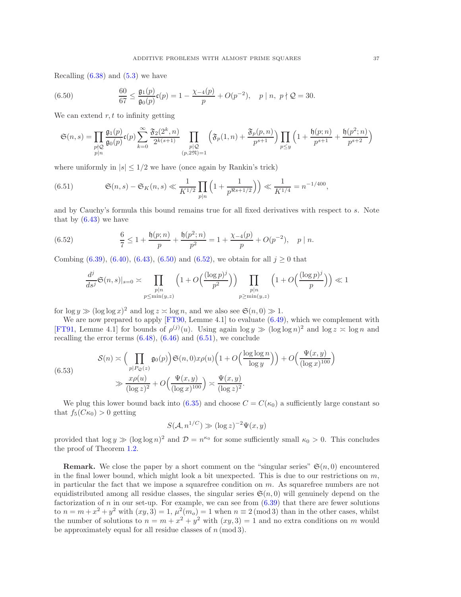Recalling  $(6.38)$  and  $(5.3)$  we have

<span id="page-36-1"></span>(6.50) 
$$
\frac{60}{67} \le \frac{\mathfrak{g}_1(p)}{\mathfrak{g}_0(p)} \mathfrak{c}(p) = 1 - \frac{\chi_{-4}(p)}{p} + O(p^{-2}), \quad p \mid n, \ p \nmid \mathcal{Q} = 30.
$$

We can extend  $r, t$  to infinity getting

$$
\mathfrak{S}(n,s)=\prod_{\substack{p\nmid \mathcal{Q}\\ p|n}}\frac{\mathfrak{g}_1(p)}{\mathfrak{g}_0(p)}\mathfrak{c}(p)\sum_{k=0}^\infty \frac{\mathfrak{F}_2(2^k,n)}{2^{k(s+1)}}\prod_{\substack{p|\mathcal{Q}\\ (p,2\mathfrak{N})=1}}\left(\mathfrak{F}_p(1,n)+\frac{\mathfrak{F}_p(p,n)}{p^{s+1}}\right)\prod_{p\leq y}\left(1+\frac{\mathfrak{h}(p;n)}{p^{s+1}}+\frac{\mathfrak{h}(p^2;n)}{p^{s+2}}\right)
$$

where uniformly in  $|s| \leq 1/2$  we have (once again by Rankin's trick)

<span id="page-36-3"></span>(6.51) 
$$
\mathfrak{S}(n,s) - \mathfrak{S}_K(n,s) \ll \frac{1}{K^{1/2}} \prod_{p|n} \left(1 + \frac{1}{p^{\Re s + 1/2}}\right) \ll \frac{1}{K^{1/4}} = n^{-1/400},
$$

and by Cauchy's formula this bound remains true for all fixed derivatives with respect to s. Note that by  $(6.43)$  we have

<span id="page-36-2"></span>(6.52) 
$$
\frac{6}{7} \le 1 + \frac{\mathfrak{h}(p;n)}{p} + \frac{\mathfrak{h}(p^2;n)}{p^2} = 1 + \frac{\chi_{-4}(p)}{p} + O(p^{-2}), \quad p \mid n.
$$

Combing [\(6.39\)](#page-33-0), [\(6.40\)](#page-33-1), [\(6.43\)](#page-34-4), [\(6.50\)](#page-36-1) and [\(6.52\)](#page-36-2), we obtain for all  $j \ge 0$  that

$$
\frac{d^j}{ds^j}\mathfrak{S}(n,s)|_{s=0} \asymp \prod_{\substack{p|n\\p\leq \min(y,z)}}\left(1+O\Big(\frac{(\log p)^j}{p^2}\Big)\right) \prod_{\substack{p|n\\p\geq \min(y,z)}}\left(1+O\Big(\frac{(\log p)^j}{p}\Big)\right) \ll 1
$$

for  $\log y \gg (\log \log x)^2$  and  $\log z \asymp \log n$ , and we also see  $\mathfrak{S}(n,0) \gg 1$ .

We are now prepared to apply  $[FT90, Lemme 4.1]$  to evaluate  $(6.49)$ , which we complement with [\[FT91,](#page-37-32) Lemme 4.1] for bounds of  $\rho^{(j)}(u)$ . Using again  $\log y \gg (\log \log n)^2$  and  $\log z \approx \log n$  and recalling the error terms  $(6.48)$ ,  $(6.46)$  and  $(6.51)$ , we conclude

$$
S(n) \asymp \Big(\prod_{p|P_{\mathcal{Q}}(z)} \mathfrak{g}_0(p)\Big) \mathfrak{S}(n,0) x \rho(u) \Big(1+O\Big(\frac{\log\log n}{\log y}\Big)\Big) + O\Big(\frac{\Psi(x,y)}{(\log x)^{100}}\Big)
$$
  

$$
\gg \frac{x \rho(u)}{(\log z)^2} + O\Big(\frac{\Psi(x,y)}{(\log x)^{100}}\Big) \asymp \frac{\Psi(x,y)}{(\log z)^2}.
$$

<span id="page-36-0"></span> $(6)$ 

We plug this lower bound back into (6.35) and choose 
$$
C = C(\kappa_0)
$$
 a sufficiently large constant so that  $f_5(C\kappa_0) > 0$  getting

$$
S(\mathcal{A}, n^{1/C}) \gg (\log z)^{-2} \Psi(x, y)
$$

provided that  $\log y \gg (\log \log n)^2$  and  $\mathcal{D} = n^{\kappa_0}$  for some sufficiently small  $\kappa_0 > 0$ . This concludes the proof of Theorem [1.2.](#page-1-1)

**Remark.** We close the paper by a short comment on the "singular series"  $\mathfrak{S}(n,0)$  encountered in the final lower bound, which might look a bit unexpected. This is due to our restrictions on  $m$ , in particular the fact that we impose a squarefree condition on m. As squarefree numbers are not equidistributed among all residue classes, the singular series  $\mathfrak{S}(n,0)$  will genuinely depend on the factorization of n in our set-up. For example, we can see from  $(6.39)$  that there are fewer solutions to  $n = m + x^2 + y^2$  with  $(xy, 3) = 1$ ,  $\mu^2(m_o) = 1$  when  $n \equiv 2 \pmod{3}$  than in the other cases, whilst the number of solutions to  $n = m + x^2 + y^2$  with  $(xy, 3) = 1$  and no extra conditions on m would be approximately equal for all residue classes of  $n \pmod{3}$ .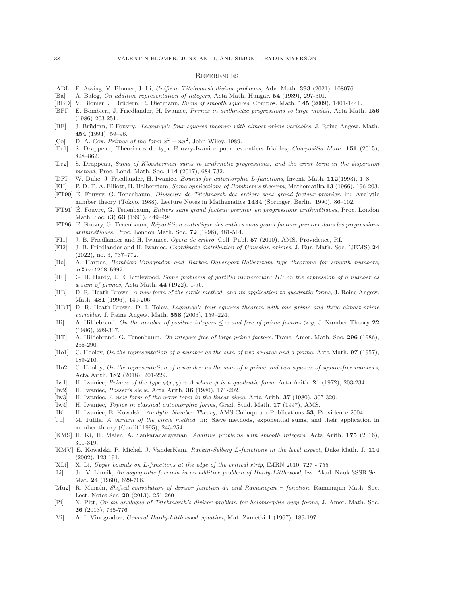#### **REFERENCES**

- <span id="page-37-4"></span>[ABL] E. Assing, V. Blomer, J. Li, *Uniform Titchmarsh divisor problems*, Adv. Math. 393 (2021), 108076.
- <span id="page-37-6"></span>[Ba] A. Balog, *On additive representation of integers*, Acta Math. Hungar. 54 (1989), 297-301.
- <span id="page-37-7"></span>[BBD] V. Blomer, J. Brüdern, R. Dietmann, *Sums of smooth squares*, Compos. Math. 145 (2009), 1401-1441.
- [BFI] E. Bombieri, J. Friedlander, H. Iwaniec, *Primes in arithmetic progressions to large moduli*, Acta Math. 156 (1986) 203-251.
- <span id="page-37-11"></span>[BF] J. Brüdern, É Fouvry, *Lagrange's four squares theorem with almost prime variables*, J. Reine Angew. Math. 454 (1994), 59–96.
- <span id="page-37-15"></span>[Co] D. A. Cox, *Primes of the form*  $x^2 + ny^2$ , John Wiley, 1989.
- <span id="page-37-24"></span>[Dr1] S. Drappeau, Théorèmes de type Fouvry-Iwaniec pour les entiers friables, *Compositio Math.* 151 (2015), 828–862.
- <span id="page-37-18"></span>[Dr2] S. Drappeau, *Sums of Kloosterman sums in arithmetic progressions, and the error term in the dispersion method*, Proc. Lond. Math. Soc. 114 (2017), 684-732.
- <span id="page-37-17"></span>[DFI] W. Duke, J. Friedlander, H. Iwaniec. *Bounds for automorphic L-functions*, Invent. Math. 112(1993), 1–8.
- <span id="page-37-23"></span><span id="page-37-3"></span>[EH] P. D. T. A. Elliott, H. Halberstam, *Some applications of Bombieri's theorem*, Mathematika 13 (1966), 196-203. [FT90] É. Fouvry, G. Tenenbaum, *Diviseurs de Titchmarsh des entiers sans grand facteur premier*, in: Analytic
- number theory (Tokyo, 1988), Lecture Notes in Mathematics 1434 (Springer, Berlin, 1990), 86–102.
- <span id="page-37-32"></span>[FT91] É. Fouvry, G. Tenenbaum, *Entiers sans grand facteur premier en progressions arithmétiques*, Proc. London Math. Soc. (3) **63** (1991), 449-494.
- <span id="page-37-20"></span>[FT96] E. Fouvry, G. Tenenbaum, *R´epartition statistique des entiers sans grand facteur premier dans les progressions arithm´etiques*, Proc. London Math. Soc. 72 (1996), 481-514.
- <span id="page-37-19"></span>[FI1] J. B. Friedlander and H. Iwaniec, *Opera de cribro*, Coll. Publ. 57 (2010), AMS, Providence, RI.
- <span id="page-37-10"></span>[FI2] J. B. Friedlander and H. Iwaniec, *Coordinate distribution of Gaussian primes*, J. Eur. Math. Soc. (JEMS) 24 (2022), no. 3, 737–772.
- <span id="page-37-31"></span>[Ha] A. Harper, *Bombieri-Vinogradov and Barban-Davenport-Halberstam type theorems for smooth numbers*, arXiv:1208.5992
- <span id="page-37-1"></span>[HL] G. H. Hardy, J. E. Littlewood, *Some problems of partitio numerorum; III: on the expression of a number as a sum of primes*, Acta Math. 44 (1922), 1-70.
- <span id="page-37-16"></span>[HB] D. R. Heath-Brown, *A new form of the circle method, and its application to quadratic forms*, J. Reine Angew. Math. 481 (1996), 149-206.
- <span id="page-37-12"></span>[HBT] D. R. Heath-Brown, D. I. Tolev, *Lagrange's four squares theorem with one prime and three almost-prime variables*, J. Reine Angew. Math. 558 (2003), 159–224.
- <span id="page-37-9"></span>[Hi] A. Hildebrand, *On the number of positive integers* ≤ x *and free of prime factors* > y, J. Number Theory 22 (1986), 289-307.
- [HT] A. Hildebrand, G. Tenenbaum, *On integers free of large prime factors.* Trans. Amer. Math. Soc. 296 (1986), 265-290.
- <span id="page-37-0"></span>[Ho1] C. Hooley, *On the representation of a number as the sum of two squares and a prime*, Acta Math. 97 (1957), 189-210.
- <span id="page-37-5"></span>[Ho2] C. Hooley, *On the representation of a number as the sum of a prime and two squares of square-free numbers*, Acta Arith. 182 (2018), 201-229.
- <span id="page-37-13"></span>[Iw1] H. Iwaniec, *Primes of the type*  $\phi(x, y) + A$  *where*  $\phi$  *is a quadratic form*, Acta Arith. 21 (1972), 203-234.
- <span id="page-37-30"></span>[Iw2] H. Iwaniec, *Rosser's sieve*, Acta Arith. 36 (1980), 171-202.
- <span id="page-37-33"></span>[Iw3] H. Iwaniec, *A new form of the error term in the linear sieve*, Acta Arith. 37 (1980), 307-320.
- <span id="page-37-21"></span>[Iw4] H. Iwaniec, *Topics in classical automorphic forms*, Grad. Stud. Math. 17 (1997), AMS.
- <span id="page-37-29"></span>[IK] H. Iwaniec, E. Kowalski, *Analytic Number Theory*, AMS Colloquium Publications 53, Providence 2004
- <span id="page-37-27"></span>[Ju] M. Jutila, *A variant of the circle method*, in: Sieve methods, exponential sums, and their application in number theory (Cardiff 1995), 245-254.
- <span id="page-37-8"></span>[KMS] H. Ki, H. Maier, A. Sankaranarayanan, *Additive problems with smooth integers*, Acta Arith. 175 (2016), 301-319.
- <span id="page-37-28"></span>[KMV] E. Kowalski, P. Michel, J. VanderKam, *Rankin-Selberg* L*-functions in the level aspect*, Duke Math. J. 114 (2002), 123-191.
- <span id="page-37-25"></span>[XLi] X. Li, *Upper bounds on* L*-functions at the edge of the critical strip*, IMRN 2010, 727 - 755
- <span id="page-37-2"></span>[Li] Ju. V. Linnik, *An asymptotic formula in an additive problem of Hardy-Littlewood*, Izv. Akad. Nauk SSSR Ser. Mat. 24 (1960), 629-706.
- <span id="page-37-26"></span>[Mu2] R. Munshi, *Shifted convolution of divisor function* d3 *and Ramanujan* τ *function*, Ramanujan Math. Soc. Lect. Notes Ser. 20 (2013), 251-260
- <span id="page-37-22"></span>[Pi] N. Pitt, *On an analogue of Titchmarsh's divisor problem for holomorphic cusp forms*, J. Amer. Math. Soc. 26 (2013), 735-776
- <span id="page-37-14"></span>[Vi] A. I. Vinogradov, *General Hardy-Littlewood equation*, Mat. Zametki 1 (1967), 189-197.